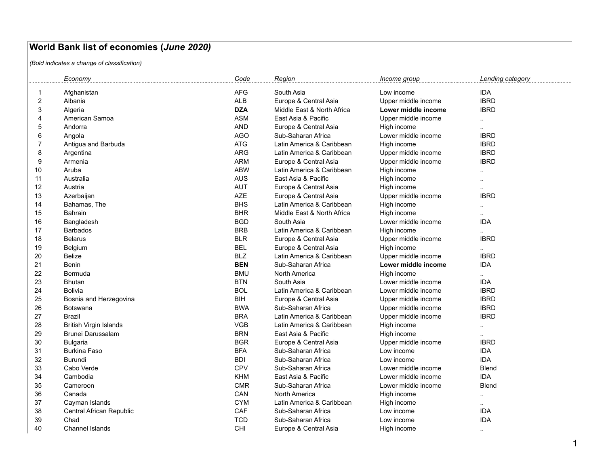## **World Bank list of economies (***June 2020)*

*(Bold indicates a change of classification)*

|    | Economy                       | Code       | Region                     |                     |                      |
|----|-------------------------------|------------|----------------------------|---------------------|----------------------|
| -1 | Afghanistan                   | <b>AFG</b> | South Asia                 | Low income          | <b>IDA</b>           |
| 2  | Albania                       | <b>ALB</b> | Europe & Central Asia      | Upper middle income | <b>IBRD</b>          |
| 3  | Algeria                       | <b>DZA</b> | Middle East & North Africa | Lower middle income | <b>IBRD</b>          |
| 4  | American Samoa                | <b>ASM</b> | East Asia & Pacific        | Upper middle income | $\ddotsc$            |
| 5  | Andorra                       | <b>AND</b> | Europe & Central Asia      | High income         |                      |
| 6  | Angola                        | <b>AGO</b> | Sub-Saharan Africa         | Lower middle income | <b>IBRD</b>          |
| 7  | Antigua and Barbuda           | <b>ATG</b> | Latin America & Caribbean  | High income         | <b>IBRD</b>          |
| 8  | Argentina                     | <b>ARG</b> | Latin America & Caribbean  | Upper middle income | <b>IBRD</b>          |
| 9  | Armenia                       | <b>ARM</b> | Europe & Central Asia      | Upper middle income | <b>IBRD</b>          |
| 10 | Aruba                         | <b>ABW</b> | Latin America & Caribbean  | High income         | $\cdot$ .            |
| 11 | Australia                     | <b>AUS</b> | East Asia & Pacific        | High income         | $\ddot{\phantom{a}}$ |
| 12 | Austria                       | <b>AUT</b> | Europe & Central Asia      | High income         | $\ddotsc$            |
| 13 | Azerbaijan                    | <b>AZE</b> | Europe & Central Asia      | Upper middle income | <b>IBRD</b>          |
| 14 | Bahamas, The                  | <b>BHS</b> | Latin America & Caribbean  | High income         | $\sim$               |
| 15 | Bahrain                       | <b>BHR</b> | Middle East & North Africa | High income         | $\ddot{\phantom{a}}$ |
| 16 | Bangladesh                    | <b>BGD</b> | South Asia                 | Lower middle income | <b>IDA</b>           |
| 17 | <b>Barbados</b>               | <b>BRB</b> | Latin America & Caribbean  | High income         | $\sim$               |
| 18 | <b>Belarus</b>                | <b>BLR</b> | Europe & Central Asia      | Upper middle income | <b>IBRD</b>          |
| 19 | Belgium                       | <b>BEL</b> | Europe & Central Asia      | High income         | $\sim$               |
| 20 | Belize                        | <b>BLZ</b> | Latin America & Caribbean  | Upper middle income | <b>IBRD</b>          |
| 21 | Benin                         | <b>BEN</b> | Sub-Saharan Africa         | Lower middle income | <b>IDA</b>           |
| 22 | Bermuda                       | <b>BMU</b> | <b>North America</b>       | High income         | $\ddotsc$            |
| 23 | <b>Bhutan</b>                 | <b>BTN</b> | South Asia                 | Lower middle income | <b>IDA</b>           |
| 24 | <b>Bolivia</b>                | <b>BOL</b> | Latin America & Caribbean  | Lower middle income | <b>IBRD</b>          |
| 25 | Bosnia and Herzegovina        | <b>BIH</b> | Europe & Central Asia      | Upper middle income | <b>IBRD</b>          |
| 26 | <b>Botswana</b>               | <b>BWA</b> | Sub-Saharan Africa         | Upper middle income | <b>IBRD</b>          |
| 27 | Brazil                        | <b>BRA</b> | Latin America & Caribbean  | Upper middle income | <b>IBRD</b>          |
| 28 | <b>British Virgin Islands</b> | <b>VGB</b> | Latin America & Caribbean  | High income         |                      |
| 29 | Brunei Darussalam             | <b>BRN</b> | East Asia & Pacific        | High income         | $\ddotsc$            |
| 30 | <b>Bulgaria</b>               | <b>BGR</b> | Europe & Central Asia      | Upper middle income | <b>IBRD</b>          |
| 31 | <b>Burkina Faso</b>           | <b>BFA</b> | Sub-Saharan Africa         | Low income          | <b>IDA</b>           |
| 32 | <b>Burundi</b>                | <b>BDI</b> | Sub-Saharan Africa         | Low income          | <b>IDA</b>           |
| 33 | Cabo Verde                    | <b>CPV</b> | Sub-Saharan Africa         | Lower middle income | <b>Blend</b>         |
| 34 | Cambodia                      | <b>KHM</b> | East Asia & Pacific        | Lower middle income | <b>IDA</b>           |
| 35 | Cameroon                      | <b>CMR</b> | Sub-Saharan Africa         | Lower middle income | <b>Blend</b>         |
| 36 | Canada                        | CAN        | <b>North America</b>       | High income         | $\ddotsc$            |
| 37 | Cayman Islands                | <b>CYM</b> | Latin America & Caribbean  | High income         | $\ddotsc$            |
| 38 | Central African Republic      | CAF        | Sub-Saharan Africa         | Low income          | <b>IDA</b>           |
| 39 | Chad                          | <b>TCD</b> | Sub-Saharan Africa         | Low income          | <b>IDA</b>           |
| 40 | <b>Channel Islands</b>        | <b>CHI</b> | Europe & Central Asia      | High income         | $\sim$               |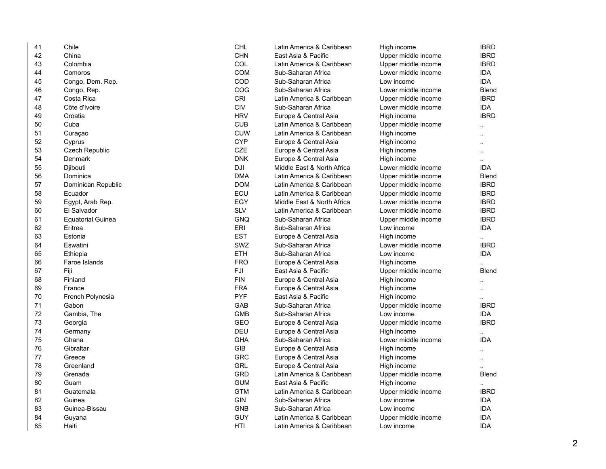| 41 | Chile                    | <b>CHL</b> | Latin America & Caribbean  | High income         | <b>IBRD</b>          |
|----|--------------------------|------------|----------------------------|---------------------|----------------------|
| 42 | China                    | <b>CHN</b> | East Asia & Pacific        | Upper middle income | <b>IBRD</b>          |
| 43 | Colombia                 | COL        | Latin America & Caribbean  | Upper middle income | <b>IBRD</b>          |
| 44 | Comoros                  | <b>COM</b> | Sub-Saharan Africa         | Lower middle income | <b>IDA</b>           |
| 45 | Congo, Dem. Rep.         | COD        | Sub-Saharan Africa         | Low income          | <b>IDA</b>           |
| 46 | Congo, Rep.              | COG        | Sub-Saharan Africa         | Lower middle income | Blend                |
| 47 | Costa Rica               | CRI        | Latin America & Caribbean  | Upper middle income | <b>IBRD</b>          |
| 48 | Côte d'Ivoire            | <b>CIV</b> | Sub-Saharan Africa         | Lower middle income | <b>IDA</b>           |
| 49 | Croatia                  | <b>HRV</b> | Europe & Central Asia      | High income         | <b>IBRD</b>          |
| 50 | Cuba                     | <b>CUB</b> | Latin America & Caribbean  | Upper middle income | $\ddotsc$            |
| 51 | Curaçao                  | <b>CUW</b> | Latin America & Caribbean  | High income         | Ω.                   |
| 52 | Cyprus                   | <b>CYP</b> | Europe & Central Asia      | High income         | Ω.                   |
| 53 | <b>Czech Republic</b>    | CZE        | Europe & Central Asia      | High income         | $\ddot{\phantom{a}}$ |
| 54 | Denmark                  | <b>DNK</b> | Europe & Central Asia      | High income         | $\ddot{\phantom{a}}$ |
| 55 | Djibouti                 | DJI        | Middle East & North Africa | Lower middle income | <b>IDA</b>           |
| 56 | Dominica                 | <b>DMA</b> | Latin America & Caribbean  | Upper middle income | Blend                |
| 57 | Dominican Republic       | <b>DOM</b> | Latin America & Caribbean  | Upper middle income | <b>IBRD</b>          |
| 58 | Ecuador                  | ECU        | Latin America & Caribbean  | Upper middle income | <b>IBRD</b>          |
| 59 | Egypt, Arab Rep.         | EGY        | Middle East & North Africa | Lower middle income | <b>IBRD</b>          |
| 60 | El Salvador              | <b>SLV</b> | Latin America & Caribbean  | Lower middle income | <b>IBRD</b>          |
| 61 | <b>Equatorial Guinea</b> | <b>GNQ</b> | Sub-Saharan Africa         | Upper middle income | <b>IBRD</b>          |
| 62 | Eritrea                  | <b>ERI</b> | Sub-Saharan Africa         | Low income          | <b>IDA</b>           |
| 63 | Estonia                  | <b>EST</b> | Europe & Central Asia      | High income         |                      |
| 64 | Eswatini                 | SWZ        | Sub-Saharan Africa         | Lower middle income | <b>IBRD</b>          |
| 65 | Ethiopia                 | <b>ETH</b> | Sub-Saharan Africa         | Low income          | <b>IDA</b>           |
| 66 | Faroe Islands            | <b>FRO</b> | Europe & Central Asia      | High income         |                      |
| 67 | Fiji                     | FJI        | East Asia & Pacific        | Upper middle income | Blend                |
| 68 | Finland                  | <b>FIN</b> | Europe & Central Asia      | High income         | $\ddot{\phantom{a}}$ |
| 69 | France                   | <b>FRA</b> | Europe & Central Asia      | High income         | $\ddotsc$            |
| 70 | French Polynesia         | <b>PYF</b> | East Asia & Pacific        | High income         | $\ddotsc$            |
| 71 | Gabon                    | GAB        | Sub-Saharan Africa         | Upper middle income | <b>IBRD</b>          |
| 72 | Gambia, The              | <b>GMB</b> | Sub-Saharan Africa         | Low income          | <b>IDA</b>           |
| 73 | Georgia                  | <b>GEO</b> | Europe & Central Asia      | Upper middle income | <b>IBRD</b>          |
| 74 | Germany                  | <b>DEU</b> | Europe & Central Asia      | High income         |                      |
| 75 | Ghana                    | <b>GHA</b> | Sub-Saharan Africa         | Lower middle income | <b>IDA</b>           |
| 76 | Gibraltar                | <b>GIB</b> | Europe & Central Asia      | High income         | $\ddot{\phantom{a}}$ |
| 77 | Greece                   | <b>GRC</b> | Europe & Central Asia      | High income         |                      |
| 78 | Greenland                | <b>GRL</b> | Europe & Central Asia      | High income         | $\ddot{\phantom{a}}$ |
| 79 | Grenada                  | <b>GRD</b> | Latin America & Caribbean  | Upper middle income | Blend                |
| 80 | Guam                     | <b>GUM</b> | East Asia & Pacific        | High income         |                      |
| 81 | Guatemala                | <b>GTM</b> | Latin America & Caribbean  | Upper middle income | <b>IBRD</b>          |
| 82 | Guinea                   | GIN        | Sub-Saharan Africa         | Low income          | <b>IDA</b>           |
| 83 | Guinea-Bissau            | <b>GNB</b> | Sub-Saharan Africa         | Low income          | <b>IDA</b>           |
| 84 | Guyana                   | <b>GUY</b> | Latin America & Caribbean  | Upper middle income | <b>IDA</b>           |
| 85 | Haiti                    | HTI        | Latin America & Caribbean  | Low income          | <b>IDA</b>           |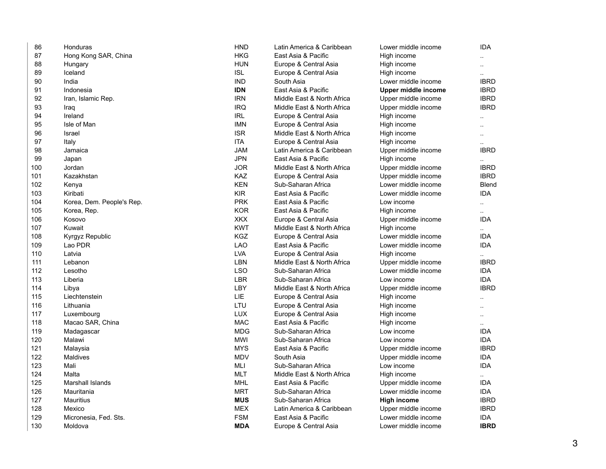| 86  | Honduras                  | <b>HND</b>                         | Latin America & Caribbean  | Lower middle income | <b>IDA</b>           |
|-----|---------------------------|------------------------------------|----------------------------|---------------------|----------------------|
| 87  | Hong Kong SAR, China      | <b>HKG</b>                         | East Asia & Pacific        | High income         |                      |
| 88  | Hungary                   | <b>HUN</b>                         | Europe & Central Asia      | High income         | $\ddot{\phantom{a}}$ |
| 89  | Iceland                   | <b>ISL</b>                         | Europe & Central Asia      | High income         |                      |
| 90  | India                     | <b>IND</b>                         | South Asia                 | Lower middle income | <b>IBRD</b>          |
| 91  | Indonesia                 | <b>IDN</b>                         | East Asia & Pacific        | Upper middle income | <b>IBRD</b>          |
| 92  | Iran, Islamic Rep.        | <b>IRN</b>                         | Middle East & North Africa | Upper middle income | <b>IBRD</b>          |
| 93  | Iraq                      | <b>IRQ</b>                         | Middle East & North Africa | Upper middle income | <b>IBRD</b>          |
| 94  | Ireland                   | $\ensuremath{\mathsf{IRL}}\xspace$ | Europe & Central Asia      | High income         |                      |
| 95  | Isle of Man               | <b>IMN</b>                         | Europe & Central Asia      | High income         |                      |
| 96  | Israel                    | <b>ISR</b>                         | Middle East & North Africa | High income         |                      |
| 97  | Italy                     | <b>ITA</b>                         | Europe & Central Asia      | High income         |                      |
| 98  | Jamaica                   | <b>JAM</b>                         | Latin America & Caribbean  | Upper middle income | <b>IBRD</b>          |
| 99  | Japan                     | <b>JPN</b>                         | East Asia & Pacific        | High income         |                      |
| 100 | Jordan                    | <b>JOR</b>                         | Middle East & North Africa | Upper middle income | <b>IBRD</b>          |
| 101 | Kazakhstan                | <b>KAZ</b>                         | Europe & Central Asia      | Upper middle income | <b>IBRD</b>          |
| 102 | Kenya                     | <b>KEN</b>                         | Sub-Saharan Africa         | Lower middle income | Blend                |
| 103 | Kiribati                  | <b>KIR</b>                         | East Asia & Pacific        | Lower middle income | <b>IDA</b>           |
| 104 | Korea, Dem. People's Rep. | <b>PRK</b>                         | East Asia & Pacific        | Low income          |                      |
| 105 | Korea, Rep.               | <b>KOR</b>                         | East Asia & Pacific        | High income         | ٠.                   |
| 106 | Kosovo                    | <b>XKX</b>                         | Europe & Central Asia      | Upper middle income | <b>IDA</b>           |
| 107 | Kuwait                    | <b>KWT</b>                         | Middle East & North Africa | High income         | ٠.                   |
| 108 | Kyrgyz Republic           | <b>KGZ</b>                         | Europe & Central Asia      | Lower middle income | <b>IDA</b>           |
| 109 | Lao PDR                   | <b>LAO</b>                         | East Asia & Pacific        | Lower middle income | IDA                  |
| 110 | Latvia                    | <b>LVA</b>                         | Europe & Central Asia      | High income         |                      |
| 111 | Lebanon                   | LBN                                | Middle East & North Africa | Upper middle income | <b>IBRD</b>          |
| 112 | Lesotho                   | <b>LSO</b>                         | Sub-Saharan Africa         | Lower middle income | ida                  |
| 113 | Liberia                   | <b>LBR</b>                         | Sub-Saharan Africa         | Low income          | <b>IDA</b>           |
| 114 | Libya                     | LBY                                | Middle East & North Africa | Upper middle income | <b>IBRD</b>          |
| 115 | Liechtenstein             | <b>LIE</b>                         | Europe & Central Asia      | High income         |                      |
| 116 | Lithuania                 | LTU                                | Europe & Central Asia      | High income         |                      |
| 117 | Luxembourg                | <b>LUX</b>                         | Europe & Central Asia      | High income         | ٠.                   |
| 118 | Macao SAR, China          | <b>MAC</b>                         | East Asia & Pacific        | High income         |                      |
| 119 | Madagascar                | <b>MDG</b>                         | Sub-Saharan Africa         | Low income          | <b>IDA</b>           |
| 120 | Malawi                    | <b>MWI</b>                         | Sub-Saharan Africa         | Low income          | ida                  |
| 121 | Malaysia                  | <b>MYS</b>                         | East Asia & Pacific        | Upper middle income | <b>IBRD</b>          |
| 122 | Maldives                  | <b>MDV</b>                         | South Asia                 | Upper middle income | <b>IDA</b>           |
| 123 | Mali                      | MLI                                | Sub-Saharan Africa         | Low income          | <b>IDA</b>           |
| 124 | Malta                     | <b>MLT</b>                         | Middle East & North Africa | High income         | н.                   |
| 125 | <b>Marshall Islands</b>   | <b>MHL</b>                         | East Asia & Pacific        | Upper middle income | <b>IDA</b>           |
| 126 | Mauritania                | <b>MRT</b>                         | Sub-Saharan Africa         | Lower middle income | ida                  |
| 127 | Mauritius                 | <b>MUS</b>                         | Sub-Saharan Africa         | <b>High income</b>  | <b>IBRD</b>          |
| 128 | Mexico                    | <b>MEX</b>                         | Latin America & Caribbean  | Upper middle income | <b>IBRD</b>          |
| 129 | Micronesia, Fed. Sts.     | <b>FSM</b>                         | East Asia & Pacific        | Lower middle income | <b>IDA</b>           |
| 130 | Moldova                   | <b>MDA</b>                         | Europe & Central Asia      | Lower middle income | <b>IBRD</b>          |
|     |                           |                                    |                            |                     |                      |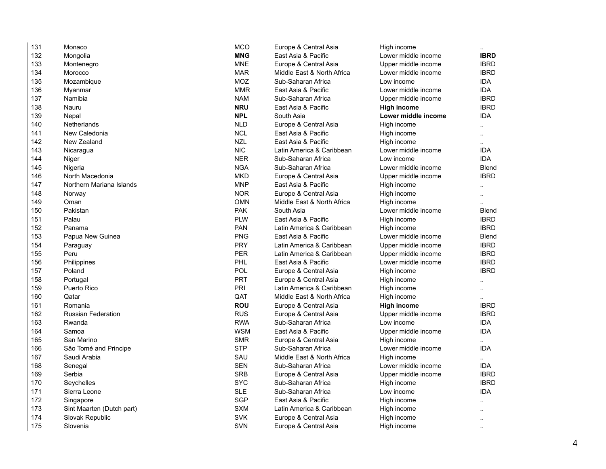| 131 | Monaco                    | <b>MCO</b> | Europe & Central Asia      | High income         |                      |
|-----|---------------------------|------------|----------------------------|---------------------|----------------------|
| 132 | Mongolia                  | <b>MNG</b> | East Asia & Pacific        | Lower middle income | <b>IBRD</b>          |
| 133 | Montenegro                | <b>MNE</b> | Europe & Central Asia      | Upper middle income | <b>IBRD</b>          |
| 134 | Morocco                   | <b>MAR</b> | Middle East & North Africa | Lower middle income | <b>IBRD</b>          |
| 135 | Mozambique                | <b>MOZ</b> | Sub-Saharan Africa         | Low income          | <b>IDA</b>           |
| 136 | Myanmar                   | <b>MMR</b> | East Asia & Pacific        | Lower middle income | <b>IDA</b>           |
| 137 | Namibia                   | <b>NAM</b> | Sub-Saharan Africa         | Upper middle income | <b>IBRD</b>          |
| 138 | Nauru                     | <b>NRU</b> | East Asia & Pacific        | <b>High income</b>  | <b>IBRD</b>          |
| 139 | Nepal                     | <b>NPL</b> | South Asia                 | Lower middle income | <b>IDA</b>           |
| 140 | Netherlands               | <b>NLD</b> | Europe & Central Asia      | High income         | ٠.                   |
| 141 | New Caledonia             | <b>NCL</b> | East Asia & Pacific        | High income         | ä.                   |
| 142 | New Zealand               | <b>NZL</b> | East Asia & Pacific        | High income         | $\ddot{\phantom{a}}$ |
| 143 | Nicaragua                 | <b>NIC</b> | Latin America & Caribbean  | Lower middle income | <b>IDA</b>           |
| 144 | Niger                     | <b>NER</b> | Sub-Saharan Africa         | Low income          | IDA                  |
| 145 | Nigeria                   | <b>NGA</b> | Sub-Saharan Africa         | Lower middle income | Blend                |
| 146 | North Macedonia           | <b>MKD</b> | Europe & Central Asia      | Upper middle income | <b>IBRD</b>          |
| 147 | Northern Mariana Islands  | <b>MNP</b> | East Asia & Pacific        | High income         |                      |
| 148 | Norway                    | <b>NOR</b> | Europe & Central Asia      | High income         | $\ddot{\phantom{a}}$ |
| 149 | Oman                      | <b>OMN</b> | Middle East & North Africa | High income         |                      |
| 150 | Pakistan                  | <b>PAK</b> | South Asia                 | Lower middle income | Blend                |
| 151 | Palau                     | <b>PLW</b> | East Asia & Pacific        | High income         | <b>IBRD</b>          |
| 152 | Panama                    | <b>PAN</b> | Latin America & Caribbean  | High income         | <b>IBRD</b>          |
| 153 | Papua New Guinea          | <b>PNG</b> | East Asia & Pacific        | Lower middle income | Blend                |
| 154 | Paraguay                  | <b>PRY</b> | Latin America & Caribbean  | Upper middle income | <b>IBRD</b>          |
| 155 | Peru                      | <b>PER</b> | Latin America & Caribbean  | Upper middle income | <b>IBRD</b>          |
| 156 | Philippines               | PHL        | East Asia & Pacific        | Lower middle income | <b>IBRD</b>          |
| 157 | Poland                    | POL        | Europe & Central Asia      | High income         | <b>IBRD</b>          |
| 158 | Portugal                  | PRT        | Europe & Central Asia      | High income         | άú.                  |
| 159 | <b>Puerto Rico</b>        | PRI        | Latin America & Caribbean  | High income         | ä.                   |
| 160 | Qatar                     | QAT        | Middle East & North Africa | High income         |                      |
| 161 | Romania                   | <b>ROU</b> | Europe & Central Asia      | <b>High income</b>  | <b>IBRD</b>          |
| 162 | <b>Russian Federation</b> | <b>RUS</b> | Europe & Central Asia      | Upper middle income | <b>IBRD</b>          |
| 163 | Rwanda                    | <b>RWA</b> | Sub-Saharan Africa         | Low income          | <b>IDA</b>           |
| 164 | Samoa                     | <b>WSM</b> | East Asia & Pacific        | Upper middle income | <b>IDA</b>           |
| 165 | San Marino                | <b>SMR</b> | Europe & Central Asia      | High income         |                      |
| 166 | São Tomé and Principe     | <b>STP</b> | Sub-Saharan Africa         | Lower middle income | <b>IDA</b>           |
| 167 | Saudi Arabia              | SAU        | Middle East & North Africa | High income         |                      |
| 168 | Senegal                   | <b>SEN</b> | Sub-Saharan Africa         | Lower middle income | <b>IDA</b>           |
| 169 | Serbia                    | <b>SRB</b> | Europe & Central Asia      | Upper middle income | <b>IBRD</b>          |
| 170 | Seychelles                | <b>SYC</b> | Sub-Saharan Africa         | High income         | <b>IBRD</b>          |
| 171 | Sierra Leone              | <b>SLE</b> | Sub-Saharan Africa         | Low income          | <b>IDA</b>           |
| 172 | Singapore                 | <b>SGP</b> | East Asia & Pacific        | High income         |                      |
| 173 | Sint Maarten (Dutch part) | <b>SXM</b> | Latin America & Caribbean  | High income         |                      |
| 174 | Slovak Republic           | <b>SVK</b> | Europe & Central Asia      | High income         | ä.                   |
| 175 | Slovenia                  | <b>SVN</b> | Europe & Central Asia      | High income         |                      |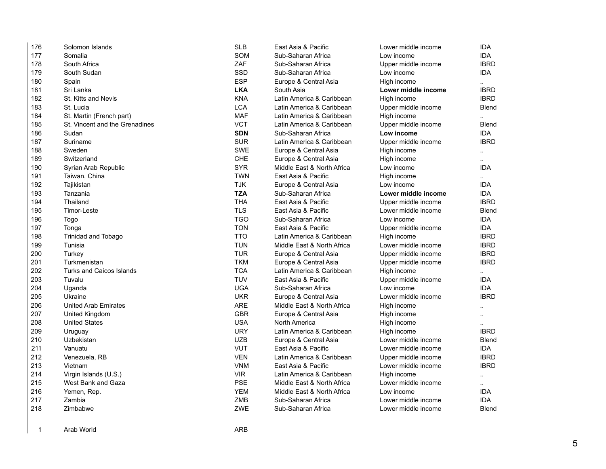| 176 | Solomon Islands                 | <b>SLB</b> | East Asia & Pacific        | Lower middle income | <b>IDA</b>           |
|-----|---------------------------------|------------|----------------------------|---------------------|----------------------|
| 177 | Somalia                         | <b>SOM</b> | Sub-Saharan Africa         | Low income          | <b>IDA</b>           |
| 178 | South Africa                    | ZAF        | Sub-Saharan Africa         | Upper middle income | <b>IBRD</b>          |
| 179 | South Sudan                     | <b>SSD</b> | Sub-Saharan Africa         | Low income          | <b>IDA</b>           |
| 180 | Spain                           | <b>ESP</b> | Europe & Central Asia      | High income         | $\ddot{\phantom{a}}$ |
| 181 | Sri Lanka                       | <b>LKA</b> | South Asia                 | Lower middle income | <b>IBRD</b>          |
| 182 | St. Kitts and Nevis             | <b>KNA</b> | Latin America & Caribbean  | High income         | <b>IBRD</b>          |
| 183 | St. Lucia                       | <b>LCA</b> | Latin America & Caribbean  | Upper middle income | <b>Blend</b>         |
| 184 | St. Martin (French part)        | <b>MAF</b> | Latin America & Caribbean  | High income         | Ω.                   |
| 185 | St. Vincent and the Grenadines  | <b>VCT</b> | Latin America & Caribbean  | Upper middle income | <b>Blend</b>         |
| 186 | Sudan                           | <b>SDN</b> | Sub-Saharan Africa         | Low income          | <b>IDA</b>           |
| 187 | Suriname                        | <b>SUR</b> | Latin America & Caribbean  | Upper middle income | <b>IBRD</b>          |
| 188 | Sweden                          | <b>SWE</b> | Europe & Central Asia      | High income         | $\sim$               |
| 189 | Switzerland                     | <b>CHE</b> | Europe & Central Asia      | High income         | $\ddotsc$            |
| 190 | Syrian Arab Republic            | <b>SYR</b> | Middle East & North Africa | Low income          | <b>IDA</b>           |
| 191 | Taiwan, China                   | <b>TWN</b> | East Asia & Pacific        | High income         | $\ddotsc$            |
| 192 | Tajikistan                      | <b>TJK</b> | Europe & Central Asia      | Low income          | <b>IDA</b>           |
| 193 | Tanzania                        | <b>TZA</b> | Sub-Saharan Africa         | Lower middle income | IDA.                 |
| 194 | Thailand                        | <b>THA</b> | East Asia & Pacific        | Upper middle income | <b>IBRD</b>          |
| 195 | Timor-Leste                     | <b>TLS</b> | East Asia & Pacific        | Lower middle income | Blend                |
| 196 | Togo                            | <b>TGO</b> | Sub-Saharan Africa         | Low income          | <b>IDA</b>           |
| 197 | Tonga                           | <b>TON</b> | East Asia & Pacific        | Upper middle income | <b>IDA</b>           |
| 198 | <b>Trinidad and Tobago</b>      | <b>TTO</b> | Latin America & Caribbean  | High income         | <b>IBRD</b>          |
| 199 | Tunisia                         | <b>TUN</b> | Middle East & North Africa | Lower middle income | <b>IBRD</b>          |
| 200 | Turkey                          | <b>TUR</b> | Europe & Central Asia      | Upper middle income | <b>IBRD</b>          |
| 201 | Turkmenistan                    | <b>TKM</b> | Europe & Central Asia      | Upper middle income | <b>IBRD</b>          |
| 202 | <b>Turks and Caicos Islands</b> | <b>TCA</b> | Latin America & Caribbean  | High income         |                      |
| 203 | Tuvalu                          | <b>TUV</b> | East Asia & Pacific        | Upper middle income | <b>IDA</b>           |
| 204 | Uganda                          | <b>UGA</b> | Sub-Saharan Africa         | Low income          | IDA.                 |
| 205 | Ukraine                         | <b>UKR</b> | Europe & Central Asia      | Lower middle income | <b>IBRD</b>          |
| 206 | <b>United Arab Emirates</b>     | <b>ARE</b> | Middle East & North Africa | High income         | $\ddotsc$            |
| 207 | United Kingdom                  | <b>GBR</b> | Europe & Central Asia      | High income         | $\ddotsc$            |
| 208 | <b>United States</b>            | <b>USA</b> | North America              | High income         | $\ddotsc$            |
| 209 | Uruguay                         | <b>URY</b> | Latin America & Caribbean  | High income         | <b>IBRD</b>          |
| 210 | Uzbekistan                      | <b>UZB</b> | Europe & Central Asia      | Lower middle income | Blend                |
| 211 | Vanuatu                         | <b>VUT</b> | East Asia & Pacific        | Lower middle income | <b>IDA</b>           |
| 212 | Venezuela, RB                   | <b>VEN</b> | Latin America & Caribbean  | Upper middle income | <b>IBRD</b>          |
| 213 | Vietnam                         | <b>VNM</b> | East Asia & Pacific        | Lower middle income | <b>IBRD</b>          |
| 214 | Virgin Islands (U.S.)           | <b>VIR</b> | Latin America & Caribbean  | High income         | $\ddot{\phantom{1}}$ |
| 215 | West Bank and Gaza              | <b>PSE</b> | Middle East & North Africa | Lower middle income | $\ddotsc$            |
| 216 | Yemen, Rep.                     | <b>YEM</b> | Middle East & North Africa | Low income          | <b>IDA</b>           |
| 217 | Zambia                          | ZMB        | Sub-Saharan Africa         | Lower middle income | <b>IDA</b>           |
| 218 | Zimbabwe                        | ZWE        | Sub-Saharan Africa         | Lower middle income | <b>Blend</b>         |
|     |                                 |            |                            |                     |                      |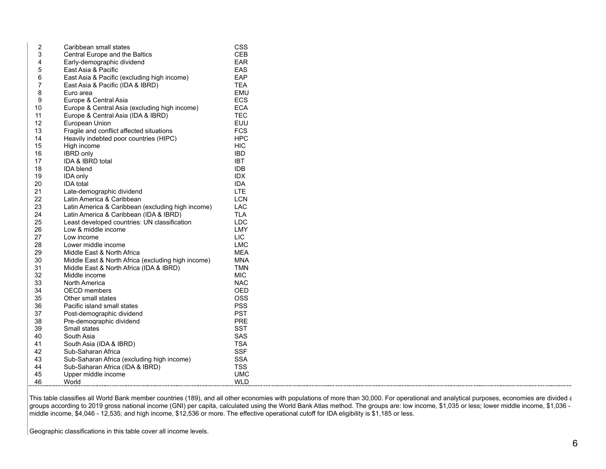| 2  | Caribbean small states                             | <b>CSS</b> |
|----|----------------------------------------------------|------------|
| 3  | Central Europe and the Baltics                     | CEB        |
| 4  | Early-demographic dividend                         | <b>EAR</b> |
| 5  | East Asia & Pacific                                | <b>EAS</b> |
| 6  | East Asia & Pacific (excluding high income)        | <b>EAP</b> |
| 7  | East Asia & Pacific (IDA & IBRD)                   | <b>TEA</b> |
| 8  | Euro area                                          | EMU        |
| 9  | Europe & Central Asia                              | <b>ECS</b> |
| 10 | Europe & Central Asia (excluding high income)      | <b>ECA</b> |
| 11 | Europe & Central Asia (IDA & IBRD)                 | <b>TEC</b> |
| 12 | European Union                                     | EUU        |
| 13 | Fragile and conflict affected situations           | <b>FCS</b> |
| 14 | Heavily indebted poor countries (HIPC)             | <b>HPC</b> |
| 15 | High income                                        | HIC        |
| 16 | <b>IBRD</b> only                                   | <b>IBD</b> |
| 17 | IDA & IBRD total                                   | <b>IBT</b> |
| 18 | <b>IDA blend</b>                                   | <b>IDB</b> |
| 19 | <b>IDA only</b>                                    | <b>IDX</b> |
| 20 | <b>IDA</b> total                                   | <b>IDA</b> |
| 21 | Late-demographic dividend                          | <b>LTE</b> |
| 22 | Latin America & Caribbean                          | <b>LCN</b> |
| 23 | Latin America & Caribbean (excluding high income)  | LAC        |
| 24 | Latin America & Caribbean (IDA & IBRD)             | <b>TLA</b> |
| 25 | Least developed countries: UN classification       | <b>LDC</b> |
| 26 | Low & middle income                                | LMY        |
| 27 | Low income                                         | <b>LIC</b> |
| 28 | Lower middle income                                | <b>LMC</b> |
| 29 | Middle East & North Africa                         | MEA        |
| 30 | Middle East & North Africa (excluding high income) | MNA        |
| 31 | Middle East & North Africa (IDA & IBRD)            | TMN        |
| 32 | Middle income                                      | MIC        |
| 33 | North America                                      | <b>NAC</b> |
| 34 | <b>OECD</b> members                                | OED        |
| 35 | Other small states                                 | OSS        |
| 36 | Pacific island small states                        | <b>PSS</b> |
| 37 | Post-demographic dividend                          | <b>PST</b> |
| 38 | Pre-demographic dividend                           | <b>PRE</b> |
| 39 | Small states                                       | <b>SST</b> |
| 40 | South Asia                                         | <b>SAS</b> |
| 41 | South Asia (IDA & IBRD)                            | <b>TSA</b> |
| 42 | Sub-Saharan Africa                                 | <b>SSF</b> |
| 43 | Sub-Saharan Africa (excluding high income)         | <b>SSA</b> |
| 44 | Sub-Saharan Africa (IDA & IBRD)                    | <b>TSS</b> |
| 45 | Upper middle income                                | <b>UMC</b> |
| 46 | World                                              | <b>WLD</b> |

This table classifies all World Bank member countries (189), and all other economies with populations of more than 30,000. For operational and analytical purposes, economies are divided and groups according to 2019 gross national income (GNI) per capita, calculated using the World Bank Atlas method. The groups are: low income, \$1,035 or less; lower middle income, \$1,036 middle income, \$4,046 - 12,535; and high income, \$12,536 or more. The effective operational cutoff for IDA eligibility is \$1,185 or less.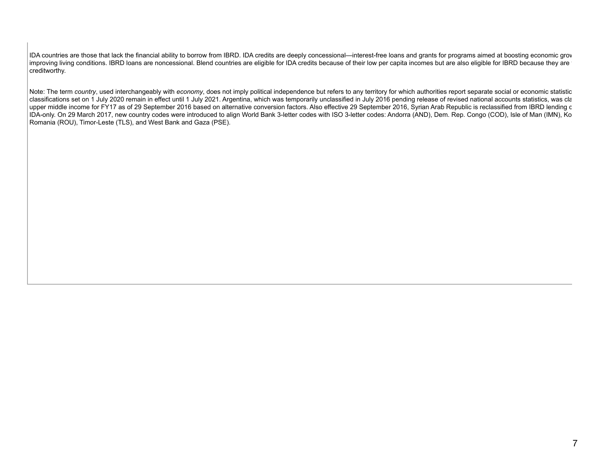IDA countries are those that lack the financial ability to borrow from IBRD. IDA credits are deeply concessional—interest-free loans and grants for programs aimed at boosting economic grov improving living conditions. IBRD loans are noncessional. Blend countries are eligible for IDA credits because of their low per capita incomes but are also eligible for IBRD because they are creditworthy.

Note: The term *country*, used interchangeably with *economy*, does not imply political independence but refers to any territory for which authorities report separate social or economic statistic classifications set on 1 July 2020 remain in effect until 1 July 2021. Argentina, which was temporarily unclassified in July 2016 pending release of revised national accounts statistics, was cla upper middle income for FY17 as of 29 September 2016 based on alternative conversion factors. Also effective 29 September 2016, Syrian Arab Republic is reclassified from IBRD lending c IDA-only. On 29 March 2017, new country codes were introduced to align World Bank 3-letter codes with ISO 3-letter codes: Andorra (AND), Dem. Rep. Congo (COD), Isle of Man (IMN), Ko Romania (ROU), Timor-Leste (TLS), and West Bank and Gaza (PSE).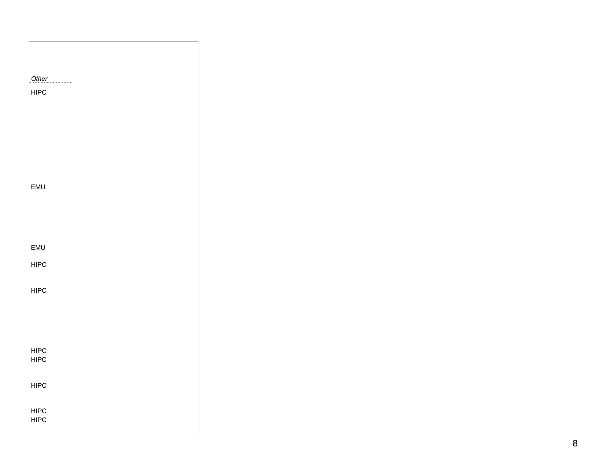| Other        |  |  |
|--------------|--|--|
|              |  |  |
| <b>HIPC</b>  |  |  |
|              |  |  |
|              |  |  |
|              |  |  |
|              |  |  |
|              |  |  |
|              |  |  |
|              |  |  |
|              |  |  |
|              |  |  |
|              |  |  |
|              |  |  |
|              |  |  |
|              |  |  |
| EMU          |  |  |
|              |  |  |
|              |  |  |
|              |  |  |
|              |  |  |
|              |  |  |
|              |  |  |
|              |  |  |
| EMU          |  |  |
|              |  |  |
| ${\sf HIPC}$ |  |  |
|              |  |  |
|              |  |  |
|              |  |  |
| HIPC         |  |  |
|              |  |  |
|              |  |  |
|              |  |  |
|              |  |  |
|              |  |  |
|              |  |  |
|              |  |  |
|              |  |  |
| HIPC<br>HIPC |  |  |
|              |  |  |
|              |  |  |
|              |  |  |
| HIPC         |  |  |
|              |  |  |
|              |  |  |
|              |  |  |
| HIPC         |  |  |
| HIPC         |  |  |
|              |  |  |
|              |  |  |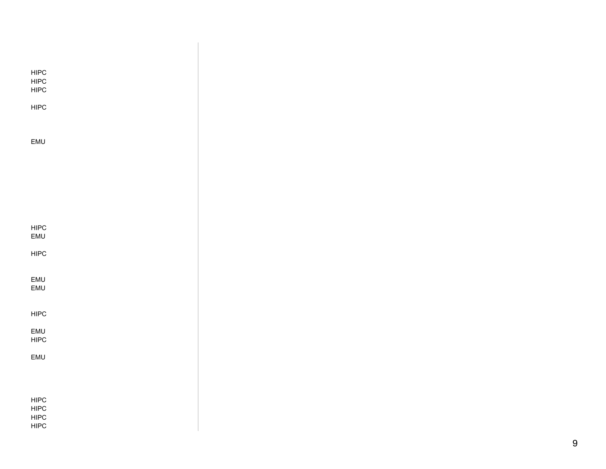| <b>HIPC</b><br><b>HIPC</b><br><b>HIPC</b> |  |  |  |
|-------------------------------------------|--|--|--|
| <b>HIPC</b>                               |  |  |  |
|                                           |  |  |  |
| EMU                                       |  |  |  |
|                                           |  |  |  |
|                                           |  |  |  |
|                                           |  |  |  |
|                                           |  |  |  |
| <b>HIPC</b><br><b>EMU</b>                 |  |  |  |
| <b>HIPC</b>                               |  |  |  |
|                                           |  |  |  |
| <b>EMU</b><br>EMU                         |  |  |  |
|                                           |  |  |  |
| <b>HIPC</b>                               |  |  |  |
| EMU<br><b>HIPC</b>                        |  |  |  |
| EMU                                       |  |  |  |
|                                           |  |  |  |
|                                           |  |  |  |
| <b>HIPC</b><br><b>HIPC</b>                |  |  |  |
| <b>HIPC</b>                               |  |  |  |
| <b>HIPC</b>                               |  |  |  |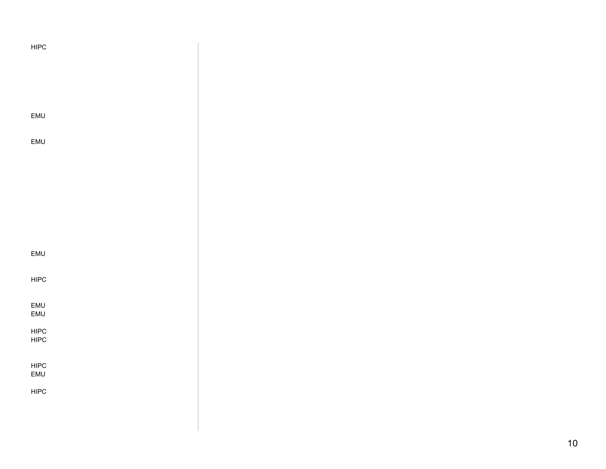| HIPC         |  |
|--------------|--|
|              |  |
|              |  |
| EMU          |  |
| EMU          |  |
|              |  |
|              |  |
|              |  |
|              |  |
| EMU          |  |
| HIPC         |  |
| EMU<br>EMU   |  |
| HIPC<br>HIPC |  |
| ${\sf HIPC}$ |  |
| EMU          |  |
| HIPC         |  |
|              |  |

 $\vert$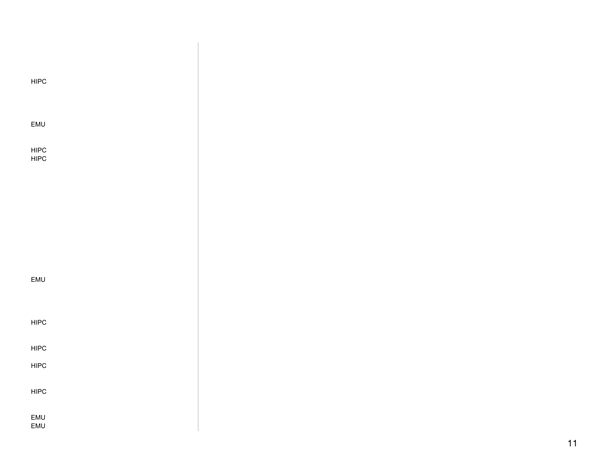| HIPC         |  |  |
|--------------|--|--|
|              |  |  |
|              |  |  |
| EMU          |  |  |
|              |  |  |
| HIPC<br>HIPC |  |  |
|              |  |  |
|              |  |  |
|              |  |  |
|              |  |  |
|              |  |  |
|              |  |  |
|              |  |  |
| EMU          |  |  |
|              |  |  |
|              |  |  |
| ${\sf HIPC}$ |  |  |
| HIPC         |  |  |
|              |  |  |
| HIPC         |  |  |
| HIPC         |  |  |
|              |  |  |
| EMU<br>EMU   |  |  |
|              |  |  |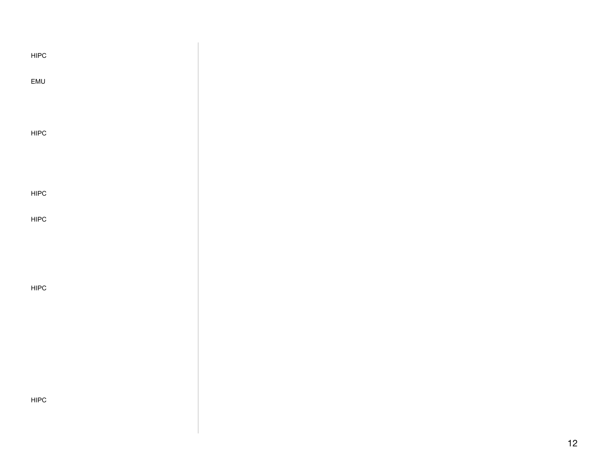| HIPC        |  |
|-------------|--|
| EMU         |  |
|             |  |
| <b>HIPC</b> |  |
|             |  |
| HIPC        |  |
| HIPC        |  |
|             |  |
|             |  |
| <b>HIPC</b> |  |
|             |  |
|             |  |
|             |  |
| <b>HIPC</b> |  |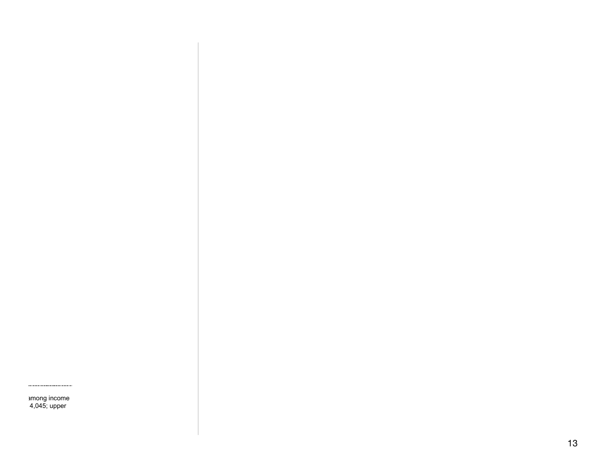among income 4,045; upper

...........................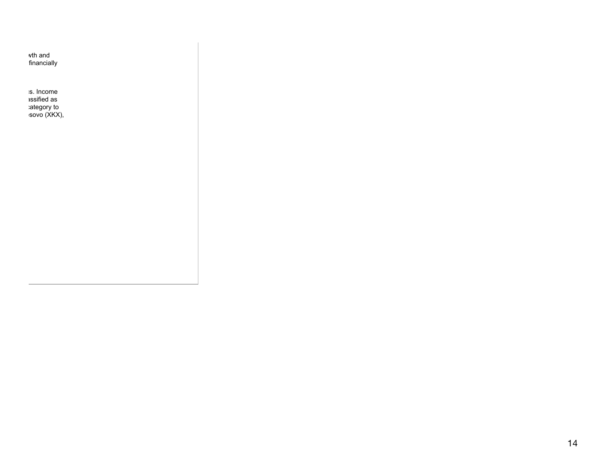vth and financially

Note: The term *country*, used interchangeably with *economy*, does not imply political independence but refers to any territory for which authorities report separate social or economic statistics. Income ussified as ategory to:  $\mathsf{sovo}\ (\mathsf{X}\mathsf{K}\mathsf{X}),$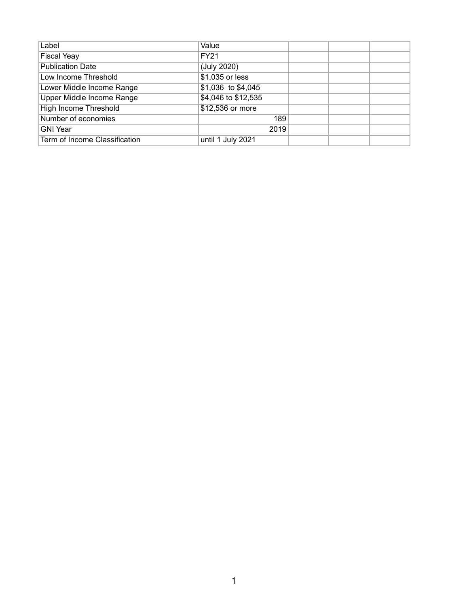| Label                         | Value               |  |  |
|-------------------------------|---------------------|--|--|
| <b>Fiscal Yeay</b>            | <b>FY21</b>         |  |  |
| <b>Publication Date</b>       | (July 2020)         |  |  |
| Low Income Threshold          | \$1,035 or less     |  |  |
| Lower Middle Income Range     | \$1,036 to \$4,045  |  |  |
| Upper Middle Income Range     | \$4,046 to \$12,535 |  |  |
| <b>High Income Threshold</b>  | \$12,536 or more    |  |  |
| Number of economies           | 189                 |  |  |
| <b>GNI Year</b>               | 2019                |  |  |
| Term of Income Classification | until 1 July 2021   |  |  |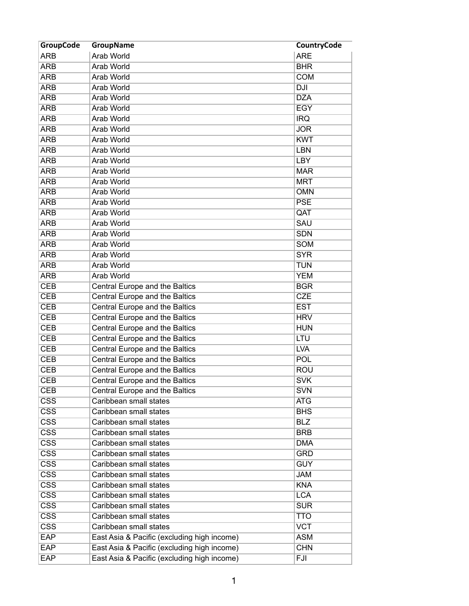| <b>GroupCode</b>        | <b>GroupName</b>                            | <b>CountryCode</b> |
|-------------------------|---------------------------------------------|--------------------|
| <b>ARB</b>              | Arab World                                  | <b>ARE</b>         |
| <b>ARB</b>              | <b>Arab World</b>                           | <b>BHR</b>         |
| <b>ARB</b>              | Arab World                                  | <b>COM</b>         |
| <b>ARB</b>              | <b>Arab World</b>                           | <b>DJI</b>         |
| <b>ARB</b>              | Arab World                                  | <b>DZA</b>         |
| <b>ARB</b>              | Arab World                                  | <b>EGY</b>         |
| <b>ARB</b>              | <b>Arab World</b>                           | <b>IRQ</b>         |
| <b>ARB</b>              | Arab World                                  | <b>JOR</b>         |
| <b>ARB</b>              | Arab World                                  | <b>KWT</b>         |
| <b>ARB</b>              | Arab World                                  | <b>LBN</b>         |
| <b>ARB</b>              | Arab World                                  | <b>LBY</b>         |
| <b>ARB</b>              | <b>Arab World</b>                           | <b>MAR</b>         |
| <b>ARB</b>              | <b>Arab World</b>                           | <b>MRT</b>         |
| <b>ARB</b>              | <b>Arab World</b>                           | <b>OMN</b>         |
| <b>ARB</b>              | <b>Arab World</b>                           | <b>PSE</b>         |
| <b>ARB</b>              | Arab World                                  | QAT                |
| <b>ARB</b>              | Arab World                                  | <b>SAU</b>         |
| <b>ARB</b>              | Arab World                                  | <b>SDN</b>         |
| <b>ARB</b>              | <b>Arab World</b>                           | <b>SOM</b>         |
| <b>ARB</b>              | <b>Arab World</b>                           | <b>SYR</b>         |
| <b>ARB</b>              | <b>Arab World</b>                           | <b>TUN</b>         |
| <b>ARB</b>              | Arab World                                  | <b>YEM</b>         |
| <b>CEB</b>              | Central Europe and the Baltics              | <b>BGR</b>         |
| <b>CEB</b>              | Central Europe and the Baltics              | <b>CZE</b>         |
|                         |                                             |                    |
| <b>CEB</b>              | Central Europe and the Baltics              | <b>EST</b>         |
| <b>CEB</b>              | Central Europe and the Baltics              | <b>HRV</b>         |
| <b>CEB</b>              | Central Europe and the Baltics              | <b>HUN</b>         |
| <b>CEB</b>              | Central Europe and the Baltics              | LTU                |
| <b>CEB</b>              | Central Europe and the Baltics              | <b>LVA</b>         |
| <b>CEB</b>              | Central Europe and the Baltics              | POL                |
| <b>CEB</b>              | Central Europe and the Baltics              | <b>ROU</b>         |
| <b>CEB</b>              | Central Europe and the Baltics              | <b>SVK</b>         |
| <b>CEB</b>              | Central Europe and the Baltics              | <b>SVN</b>         |
| $\overline{\text{CSS}}$ | Caribbean small states                      | <b>ATG</b>         |
| $\overline{\text{CSS}}$ | Caribbean small states                      | <b>BHS</b>         |
| $\overline{\text{CSS}}$ | Caribbean small states                      | <b>BLZ</b>         |
| $\overline{\text{CSS}}$ | Caribbean small states                      | <b>BRB</b>         |
| $\overline{\text{CSS}}$ | Caribbean small states                      | <b>DMA</b>         |
| $\overline{\text{CSS}}$ | Caribbean small states                      | <b>GRD</b>         |
| $\overline{\text{CSS}}$ | Caribbean small states                      | <b>GUY</b>         |
| $\overline{\text{CSS}}$ | Caribbean small states                      | <b>JAM</b>         |
| $\overline{\text{CSS}}$ | Caribbean small states                      | <b>KNA</b>         |
| $\overline{\text{CSS}}$ | Caribbean small states                      | <b>LCA</b>         |
| $\overline{\text{CSS}}$ | Caribbean small states                      | <b>SUR</b>         |
| $\overline{\text{CSS}}$ | Caribbean small states                      | <b>TTO</b>         |
| $\overline{\text{CSS}}$ | Caribbean small states                      | <b>VCT</b>         |
| <b>EAP</b>              | East Asia & Pacific (excluding high income) | <b>ASM</b>         |
| <b>EAP</b>              | East Asia & Pacific (excluding high income) | <b>CHN</b>         |
| <b>EAP</b>              | East Asia & Pacific (excluding high income) | FJI                |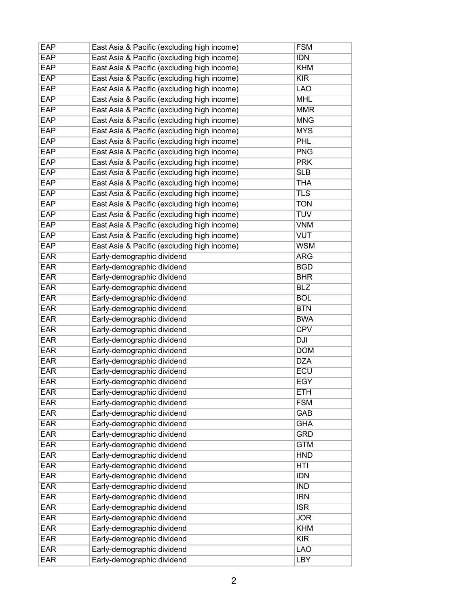| EAP        | East Asia & Pacific (excluding high income) | <b>FSM</b> |
|------------|---------------------------------------------|------------|
| <b>EAP</b> | East Asia & Pacific (excluding high income) | <b>IDN</b> |
| <b>EAP</b> | East Asia & Pacific (excluding high income) | <b>KHM</b> |
| <b>EAP</b> | East Asia & Pacific (excluding high income) | <b>KIR</b> |
| <b>EAP</b> | East Asia & Pacific (excluding high income) | <b>LAO</b> |
| <b>EAP</b> | East Asia & Pacific (excluding high income) | <b>MHL</b> |
| <b>EAP</b> | East Asia & Pacific (excluding high income) | <b>MMR</b> |
| <b>EAP</b> | East Asia & Pacific (excluding high income) | <b>MNG</b> |
| <b>EAP</b> | East Asia & Pacific (excluding high income) | <b>MYS</b> |
| <b>EAP</b> | East Asia & Pacific (excluding high income) | <b>PHL</b> |
| <b>EAP</b> | East Asia & Pacific (excluding high income) | <b>PNG</b> |
| <b>EAP</b> | East Asia & Pacific (excluding high income) | <b>PRK</b> |
| <b>EAP</b> | East Asia & Pacific (excluding high income) | <b>SLB</b> |
| <b>EAP</b> | East Asia & Pacific (excluding high income) | <b>THA</b> |
| <b>EAP</b> | East Asia & Pacific (excluding high income) | <b>TLS</b> |
| <b>EAP</b> | East Asia & Pacific (excluding high income) | <b>TON</b> |
| <b>EAP</b> | East Asia & Pacific (excluding high income) | <b>TUV</b> |
| <b>EAP</b> | East Asia & Pacific (excluding high income) | <b>VNM</b> |
| <b>EAP</b> | East Asia & Pacific (excluding high income) | <b>VUT</b> |
| EAP        | East Asia & Pacific (excluding high income) | <b>WSM</b> |
| <b>EAR</b> | Early-demographic dividend                  | <b>ARG</b> |
| EAR        | Early-demographic dividend                  | <b>BGD</b> |
| <b>EAR</b> | Early-demographic dividend                  | <b>BHR</b> |
| <b>EAR</b> | Early-demographic dividend                  | <b>BLZ</b> |
| <b>EAR</b> | Early-demographic dividend                  | <b>BOL</b> |
| <b>EAR</b> | Early-demographic dividend                  | <b>BTN</b> |
| <b>EAR</b> | Early-demographic dividend                  | <b>BWA</b> |
| <b>EAR</b> | Early-demographic dividend                  | <b>CPV</b> |
| <b>EAR</b> | Early-demographic dividend                  | DJI        |
| <b>EAR</b> | Early-demographic dividend                  | <b>DOM</b> |
| <b>EAR</b> | Early-demographic dividend                  | <b>DZA</b> |
| <b>EAR</b> | Early-demographic dividend                  | <b>ECU</b> |
| <b>EAR</b> | Early-demographic dividend                  | <b>EGY</b> |
| <b>EAR</b> | Early-demographic dividend                  | <b>ETH</b> |
| <b>EAR</b> | Early-demographic dividend                  | <b>FSM</b> |
| <b>EAR</b> | Early-demographic dividend                  | <b>GAB</b> |
| <b>EAR</b> | Early-demographic dividend                  | <b>GHA</b> |
| <b>EAR</b> | Early-demographic dividend                  | <b>GRD</b> |
| <b>EAR</b> | Early-demographic dividend                  | <b>GTM</b> |
| <b>EAR</b> | Early-demographic dividend                  | <b>HND</b> |
| <b>EAR</b> | Early-demographic dividend                  | <b>HTI</b> |
| <b>EAR</b> | Early-demographic dividend                  | <b>IDN</b> |
| <b>EAR</b> | Early-demographic dividend                  | <b>IND</b> |
| <b>EAR</b> | Early-demographic dividend                  | <b>IRN</b> |
| <b>EAR</b> | Early-demographic dividend                  | ISR        |
| <b>EAR</b> | Early-demographic dividend                  | <b>JOR</b> |
| <b>EAR</b> | Early-demographic dividend                  | <b>KHM</b> |
| <b>EAR</b> | Early-demographic dividend                  | KIR        |
| <b>EAR</b> | Early-demographic dividend                  | <b>LAO</b> |
| <b>EAR</b> | Early-demographic dividend                  | <b>LBY</b> |
|            |                                             |            |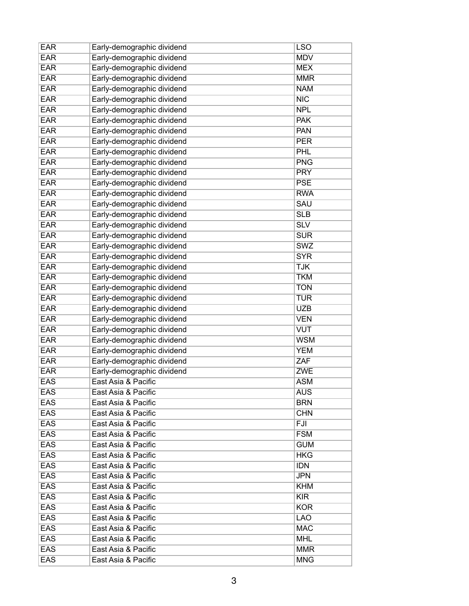| <b>EAR</b> | Early-demographic dividend | <b>LSO</b>              |
|------------|----------------------------|-------------------------|
| <b>EAR</b> | Early-demographic dividend | <b>MDV</b>              |
| <b>EAR</b> | Early-demographic dividend | <b>MEX</b>              |
| <b>EAR</b> | Early-demographic dividend | <b>MMR</b>              |
| <b>EAR</b> | Early-demographic dividend | <b>NAM</b>              |
| <b>EAR</b> | Early-demographic dividend | NIC                     |
| <b>EAR</b> | Early-demographic dividend | <b>NPL</b>              |
| <b>EAR</b> | Early-demographic dividend | <b>PAK</b>              |
| <b>EAR</b> | Early-demographic dividend | <b>PAN</b>              |
| <b>EAR</b> | Early-demographic dividend | <b>PER</b>              |
| <b>EAR</b> | Early-demographic dividend | PHL                     |
| <b>EAR</b> | Early-demographic dividend | <b>PNG</b>              |
| <b>EAR</b> | Early-demographic dividend | <b>PRY</b>              |
| <b>EAR</b> | Early-demographic dividend | <b>PSE</b>              |
| <b>EAR</b> | Early-demographic dividend | <b>RWA</b>              |
| <b>EAR</b> | Early-demographic dividend | <b>SAU</b>              |
| <b>EAR</b> | Early-demographic dividend | SLB                     |
| <b>EAR</b> | Early-demographic dividend | $\overline{\text{SLV}}$ |
| <b>EAR</b> | Early-demographic dividend | <b>SUR</b>              |
| <b>EAR</b> | Early-demographic dividend | <b>SWZ</b>              |
| <b>EAR</b> | Early-demographic dividend | <b>SYR</b>              |
| <b>EAR</b> | Early-demographic dividend | <b>TJK</b>              |
| <b>EAR</b> | Early-demographic dividend | <b>TKM</b>              |
| <b>EAR</b> | Early-demographic dividend | <b>TON</b>              |
| <b>EAR</b> | Early-demographic dividend | <b>TUR</b>              |
| <b>EAR</b> | Early-demographic dividend | <b>UZB</b>              |
| <b>EAR</b> | Early-demographic dividend | <b>VEN</b>              |
| <b>EAR</b> | Early-demographic dividend | <b>VUT</b>              |
| <b>EAR</b> | Early-demographic dividend | <b>WSM</b>              |
| <b>EAR</b> | Early-demographic dividend | <b>YEM</b>              |
| <b>EAR</b> | Early-demographic dividend | ZAF                     |
| <b>EAR</b> | Early-demographic dividend | <b>ZWE</b>              |
| <b>EAS</b> | East Asia & Pacific        | <b>ASM</b>              |
| <b>EAS</b> | East Asia & Pacific        | <b>AUS</b>              |
| <b>EAS</b> | East Asia & Pacific        | <b>BRN</b>              |
| EAS        | East Asia & Pacific        | <b>CHN</b>              |
| EAS        | East Asia & Pacific        | <b>FJI</b>              |
| <b>EAS</b> | East Asia & Pacific        | <b>FSM</b>              |
| <b>EAS</b> | East Asia & Pacific        | <b>GUM</b>              |
| <b>EAS</b> | East Asia & Pacific        | HKG                     |
| <b>EAS</b> | East Asia & Pacific        | <b>IDN</b>              |
| EAS        | East Asia & Pacific        | <b>JPN</b>              |
| <b>EAS</b> | East Asia & Pacific        | KHM                     |
| <b>EAS</b> | East Asia & Pacific        | <b>KIR</b>              |
| <b>EAS</b> | East Asia & Pacific        | <b>KOR</b>              |
| EAS        | East Asia & Pacific        | <b>LAO</b>              |
| EAS        | East Asia & Pacific        | <b>MAC</b>              |
| <b>EAS</b> | East Asia & Pacific        | <b>MHL</b>              |
| <b>EAS</b> | East Asia & Pacific        | <b>MMR</b>              |
| <b>EAS</b> | East Asia & Pacific        | <b>MNG</b>              |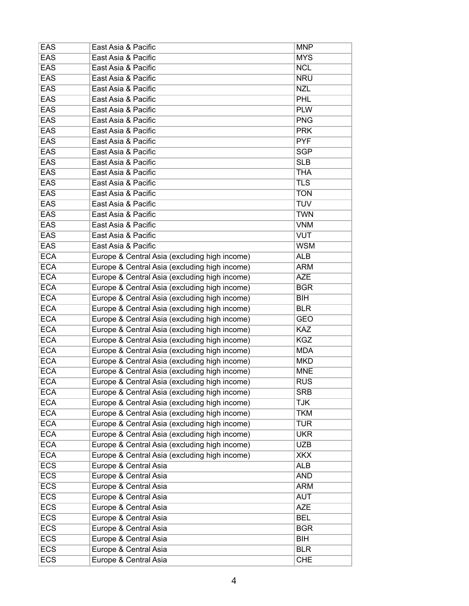| EAS        | East Asia & Pacific                           | <b>MNP</b> |
|------------|-----------------------------------------------|------------|
| <b>EAS</b> | East Asia & Pacific                           | <b>MYS</b> |
| <b>EAS</b> | East Asia & Pacific                           | <b>NCL</b> |
| <b>EAS</b> | East Asia & Pacific                           | <b>NRU</b> |
| <b>EAS</b> | East Asia & Pacific                           | <b>NZL</b> |
| <b>EAS</b> | East Asia & Pacific                           | <b>PHL</b> |
| <b>EAS</b> | East Asia & Pacific                           | <b>PLW</b> |
| <b>EAS</b> | East Asia & Pacific                           | <b>PNG</b> |
| <b>EAS</b> | East Asia & Pacific                           | <b>PRK</b> |
| <b>EAS</b> | East Asia & Pacific                           | <b>PYF</b> |
| <b>EAS</b> | East Asia & Pacific                           | <b>SGP</b> |
| <b>EAS</b> | East Asia & Pacific                           | <b>SLB</b> |
| <b>EAS</b> | East Asia & Pacific                           | <b>THA</b> |
| <b>EAS</b> | East Asia & Pacific                           | <b>TLS</b> |
| <b>EAS</b> | East Asia & Pacific                           | <b>TON</b> |
| <b>EAS</b> | East Asia & Pacific                           | <b>TUV</b> |
| <b>EAS</b> | East Asia & Pacific                           | <b>TWN</b> |
| <b>EAS</b> | East Asia & Pacific                           | <b>VNM</b> |
| <b>EAS</b> | East Asia & Pacific                           | <b>VUT</b> |
| <b>EAS</b> | East Asia & Pacific                           | <b>WSM</b> |
| <b>ECA</b> | Europe & Central Asia (excluding high income) | <b>ALB</b> |
| <b>ECA</b> | Europe & Central Asia (excluding high income) | <b>ARM</b> |
| <b>ECA</b> | Europe & Central Asia (excluding high income) | <b>AZE</b> |
| <b>ECA</b> | Europe & Central Asia (excluding high income) | <b>BGR</b> |
| <b>ECA</b> | Europe & Central Asia (excluding high income) | <b>BIH</b> |
| <b>ECA</b> | Europe & Central Asia (excluding high income) | <b>BLR</b> |
| <b>ECA</b> |                                               | <b>GEO</b> |
| <b>ECA</b> | Europe & Central Asia (excluding high income) | <b>KAZ</b> |
| <b>ECA</b> | Europe & Central Asia (excluding high income) | <b>KGZ</b> |
|            | Europe & Central Asia (excluding high income) |            |
| <b>ECA</b> | Europe & Central Asia (excluding high income) | <b>MDA</b> |
| <b>ECA</b> | Europe & Central Asia (excluding high income) | <b>MKD</b> |
| <b>ECA</b> | Europe & Central Asia (excluding high income) | <b>MNE</b> |
| <b>ECA</b> | Europe & Central Asia (excluding high income) | <b>RUS</b> |
| <b>ECA</b> | Europe & Central Asia (excluding high income) | <b>SRB</b> |
| <b>ECA</b> | Europe & Central Asia (excluding high income) | <b>TJK</b> |
| <b>ECA</b> | Europe & Central Asia (excluding high income) | <b>TKM</b> |
| <b>ECA</b> | Europe & Central Asia (excluding high income) | <b>TUR</b> |
| <b>ECA</b> | Europe & Central Asia (excluding high income) | <b>UKR</b> |
| <b>ECA</b> | Europe & Central Asia (excluding high income) | <b>UZB</b> |
| <b>ECA</b> | Europe & Central Asia (excluding high income) | <b>XKX</b> |
| <b>ECS</b> | Europe & Central Asia                         | <b>ALB</b> |
| <b>ECS</b> | Europe & Central Asia                         | <b>AND</b> |
| <b>ECS</b> | Europe & Central Asia                         | <b>ARM</b> |
| <b>ECS</b> | Europe & Central Asia                         | <b>AUT</b> |
| <b>ECS</b> | Europe & Central Asia                         | <b>AZE</b> |
| <b>ECS</b> | Europe & Central Asia                         | <b>BEL</b> |
| <b>ECS</b> | Europe & Central Asia                         | <b>BGR</b> |
| <b>ECS</b> | Europe & Central Asia                         | <b>BIH</b> |
| <b>ECS</b> | Europe & Central Asia                         | <b>BLR</b> |
| <b>ECS</b> | Europe & Central Asia                         | <b>CHE</b> |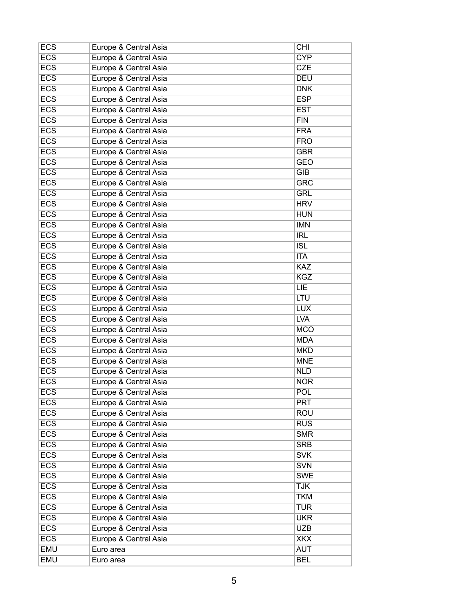| <b>ECS</b> | Europe & Central Asia | <b>CHI</b> |
|------------|-----------------------|------------|
| <b>ECS</b> | Europe & Central Asia | <b>CYP</b> |
| <b>ECS</b> | Europe & Central Asia | <b>CZE</b> |
| <b>ECS</b> | Europe & Central Asia | <b>DEU</b> |
| <b>ECS</b> | Europe & Central Asia | <b>DNK</b> |
| <b>ECS</b> | Europe & Central Asia | <b>ESP</b> |
| <b>ECS</b> | Europe & Central Asia | <b>EST</b> |
| <b>ECS</b> | Europe & Central Asia | <b>FIN</b> |
| <b>ECS</b> | Europe & Central Asia | <b>FRA</b> |
| <b>ECS</b> | Europe & Central Asia | <b>FRO</b> |
| <b>ECS</b> | Europe & Central Asia | <b>GBR</b> |
| <b>ECS</b> | Europe & Central Asia | <b>GEO</b> |
| <b>ECS</b> | Europe & Central Asia | <b>GIB</b> |
| <b>ECS</b> | Europe & Central Asia | <b>GRC</b> |
| <b>ECS</b> | Europe & Central Asia | <b>GRL</b> |
| <b>ECS</b> | Europe & Central Asia | <b>HRV</b> |
| <b>ECS</b> | Europe & Central Asia | <b>HUN</b> |
| <b>ECS</b> | Europe & Central Asia | <b>IMN</b> |
| <b>ECS</b> | Europe & Central Asia | <b>IRL</b> |
| <b>ECS</b> | Europe & Central Asia | <b>ISL</b> |
| <b>ECS</b> | Europe & Central Asia | <b>ITA</b> |
| <b>ECS</b> | Europe & Central Asia | <b>KAZ</b> |
| <b>ECS</b> | Europe & Central Asia | <b>KGZ</b> |
| <b>ECS</b> | Europe & Central Asia | LIE        |
| <b>ECS</b> | Europe & Central Asia | <b>LTU</b> |
| <b>ECS</b> | Europe & Central Asia | <b>LUX</b> |
| <b>ECS</b> | Europe & Central Asia | <b>LVA</b> |
| <b>ECS</b> |                       | <b>MCO</b> |
| <b>ECS</b> | Europe & Central Asia | <b>MDA</b> |
|            | Europe & Central Asia |            |
| <b>ECS</b> | Europe & Central Asia | <b>MKD</b> |
| <b>ECS</b> | Europe & Central Asia | <b>MNE</b> |
| <b>ECS</b> | Europe & Central Asia | <b>NLD</b> |
| <b>ECS</b> | Europe & Central Asia | <b>NOR</b> |
| <b>ECS</b> | Europe & Central Asia | <b>POL</b> |
| <b>ECS</b> | Europe & Central Asia | <b>PRT</b> |
| <b>ECS</b> | Europe & Central Asia | <b>ROU</b> |
| <b>ECS</b> | Europe & Central Asia | <b>RUS</b> |
| <b>ECS</b> | Europe & Central Asia | <b>SMR</b> |
| <b>ECS</b> | Europe & Central Asia | <b>SRB</b> |
| <b>ECS</b> | Europe & Central Asia | <b>SVK</b> |
| <b>ECS</b> | Europe & Central Asia | <b>SVN</b> |
| <b>ECS</b> | Europe & Central Asia | <b>SWE</b> |
| <b>ECS</b> | Europe & Central Asia | <b>TJK</b> |
| <b>ECS</b> | Europe & Central Asia | <b>TKM</b> |
| <b>ECS</b> | Europe & Central Asia | <b>TUR</b> |
| <b>ECS</b> | Europe & Central Asia | <b>UKR</b> |
| <b>ECS</b> | Europe & Central Asia | <b>UZB</b> |
| <b>ECS</b> | Europe & Central Asia | <b>XKX</b> |
| EMU        | Euro area             | <b>AUT</b> |
| <b>EMU</b> | Euro area             | <b>BEL</b> |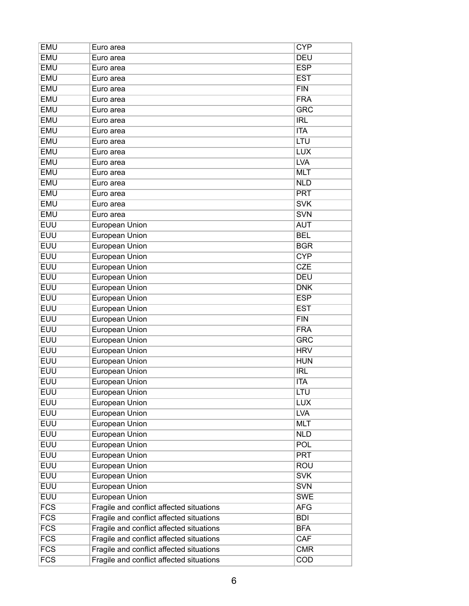| <b>EMU</b>       | Euro area                                | <b>CYP</b> |
|------------------|------------------------------------------|------------|
| <b>EMU</b>       | Euro area                                | <b>DEU</b> |
| <b>EMU</b>       | Euro area                                | <b>ESP</b> |
| <b>EMU</b>       | Euro area                                | <b>EST</b> |
| <b>EMU</b>       | Euro area                                | FIN        |
| <b>EMU</b>       | Euro area                                | <b>FRA</b> |
| <b>EMU</b>       | Euro area                                | <b>GRC</b> |
| <b>EMU</b>       | Euro area                                | <b>IRL</b> |
| <b>EMU</b>       | Euro area                                | <b>ITA</b> |
| <b>EMU</b>       | Euro area                                | LTU        |
| <b>EMU</b>       | Euro area                                | <b>LUX</b> |
| <b>EMU</b>       | Euro area                                | <b>LVA</b> |
| <b>EMU</b>       | Euro area                                | <b>MLT</b> |
| <b>EMU</b>       | Euro area                                | <b>NLD</b> |
| <b>EMU</b>       | Euro area                                | <b>PRT</b> |
| <b>EMU</b>       | Euro area                                | <b>SVK</b> |
| <b>EMU</b>       | Euro area                                | <b>SVN</b> |
| <b>EUU</b>       | European Union                           | <b>AUT</b> |
| <b>EUU</b>       | <b>European Union</b>                    | <b>BEL</b> |
| <b>EUU</b>       | <b>European Union</b>                    | <b>BGR</b> |
| <b>EUU</b>       | <b>European Union</b>                    | <b>CYP</b> |
| <b>EUU</b>       | <b>European Union</b>                    | <b>CZE</b> |
| <b>EUU</b>       | <b>European Union</b>                    | <b>DEU</b> |
| <b>EUU</b>       | <b>European Union</b>                    | <b>DNK</b> |
| <b>EUU</b>       | European Union                           | <b>ESP</b> |
| <b>EUU</b>       | <b>European Union</b>                    | <b>EST</b> |
| <b>EUU</b>       | <b>European Union</b>                    | FIN        |
| <b>EUU</b>       | <b>European Union</b>                    | <b>FRA</b> |
| <b>EUU</b>       | <b>European Union</b>                    | <b>GRC</b> |
| <b>EUU</b>       | <b>European Union</b>                    | <b>HRV</b> |
| <b>EUU</b>       | <b>European Union</b>                    | <b>HUN</b> |
| <b>EUU</b>       | <b>European Union</b>                    | <b>IRL</b> |
| <b>EUU</b>       | <b>European Union</b>                    | <b>ITA</b> |
| <b>EUU</b>       | European Union                           | LTU        |
| <b>EUU</b>       | <b>European Union</b>                    | <b>LUX</b> |
| <b>EUU</b>       | European Union                           | <b>LVA</b> |
| <b>EUU</b>       | <b>European Union</b>                    | <b>MLT</b> |
| <b>EUU</b>       | European Union                           | <b>NLD</b> |
| <b>EUU</b>       | European Union                           | POL        |
| <b>EUU</b>       | <b>European Union</b>                    | <b>PRT</b> |
| <b>EUU</b>       | <b>European Union</b>                    | <b>ROU</b> |
| <b>EUU</b>       | <b>European Union</b>                    | <b>SVK</b> |
| <b>EUU</b>       | European Union                           | <b>SVN</b> |
| <b>EUU</b>       | <b>European Union</b>                    | <b>SWE</b> |
| FCS              | Fragile and conflict affected situations | <b>AFG</b> |
| $\overline{FCS}$ | Fragile and conflict affected situations | <b>BDI</b> |
| FCS              | Fragile and conflict affected situations | <b>BFA</b> |
| FCS              | Fragile and conflict affected situations | CAF        |
| FCS              | Fragile and conflict affected situations | <b>CMR</b> |
| $\overline{FCS}$ | Fragile and conflict affected situations | <b>COD</b> |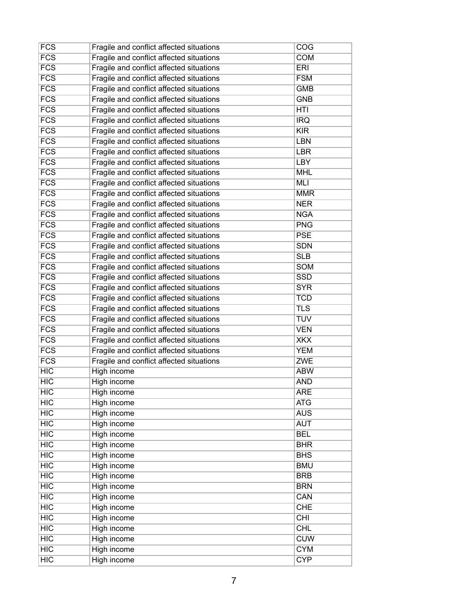| <b>FCS</b>       | Fragile and conflict affected situations | COG        |
|------------------|------------------------------------------|------------|
| FCS              | Fragile and conflict affected situations | <b>COM</b> |
| $\overline{FCS}$ | Fragile and conflict affected situations | <b>ERI</b> |
| $\overline{FCS}$ | Fragile and conflict affected situations | <b>FSM</b> |
| <b>FCS</b>       | Fragile and conflict affected situations | <b>GMB</b> |
| $\overline{FCS}$ | Fragile and conflict affected situations | <b>GNB</b> |
| <b>FCS</b>       | Fragile and conflict affected situations | <b>HTI</b> |
| FCS              | Fragile and conflict affected situations | <b>IRQ</b> |
| FCS              | Fragile and conflict affected situations | <b>KIR</b> |
| FCS              | Fragile and conflict affected situations | LBN        |
| $\overline{FCS}$ | Fragile and conflict affected situations | LBR        |
| FCS              | Fragile and conflict affected situations | LBY        |
| $\overline{FCS}$ | Fragile and conflict affected situations | <b>MHL</b> |
| FCS              | Fragile and conflict affected situations | <b>MLI</b> |
| FCS              | Fragile and conflict affected situations | <b>MMR</b> |
| <b>FCS</b>       | Fragile and conflict affected situations | <b>NER</b> |
| $\overline{FCS}$ | Fragile and conflict affected situations | <b>NGA</b> |
| $\overline{FCS}$ | Fragile and conflict affected situations | <b>PNG</b> |
| $\overline{FCS}$ | Fragile and conflict affected situations | <b>PSE</b> |
| <b>FCS</b>       | Fragile and conflict affected situations | <b>SDN</b> |
| $\overline{FCS}$ | Fragile and conflict affected situations | <b>SLB</b> |
| FCS              | Fragile and conflict affected situations | <b>SOM</b> |
| FCS              | Fragile and conflict affected situations | <b>SSD</b> |
| FCS              | Fragile and conflict affected situations | <b>SYR</b> |
| FCS              | Fragile and conflict affected situations | <b>TCD</b> |
| FCS              | Fragile and conflict affected situations | <b>TLS</b> |
| <b>FCS</b>       | Fragile and conflict affected situations | <b>TUV</b> |
| $\overline{FCS}$ | Fragile and conflict affected situations | <b>VEN</b> |
| FCS              | Fragile and conflict affected situations | <b>XKX</b> |
| $\overline{FCS}$ | Fragile and conflict affected situations | <b>YEM</b> |
| <b>FCS</b>       | Fragile and conflict affected situations | <b>ZWE</b> |
| HIC              | High income                              | <b>ABW</b> |
| <b>HIC</b>       | High income                              | <b>AND</b> |
| HIC              | High income                              | <b>ARE</b> |
| HIC              | High income                              | <b>ATG</b> |
| HIC              | High income                              | <b>AUS</b> |
| HIC              | High income                              | <b>AUT</b> |
| HIC              | High income                              | <b>BEL</b> |
| HIC              | High income                              | <b>BHR</b> |
| HIC              | High income                              | <b>BHS</b> |
| HIC              | <b>High income</b>                       | <b>BMU</b> |
| HIC              | High income                              | <b>BRB</b> |
| HIC              | High income                              | <b>BRN</b> |
| HIC              | High income                              | CAN        |
| HIC              | High income                              | <b>CHE</b> |
| HIC              | <b>High income</b>                       | CHI        |
| HIC              | High income                              | <b>CHL</b> |
| HIC              | <b>High income</b>                       | <b>CUW</b> |
| HIC              | High income                              | <b>CYM</b> |
| HIC              | <b>High income</b>                       | <b>CYP</b> |
|                  |                                          |            |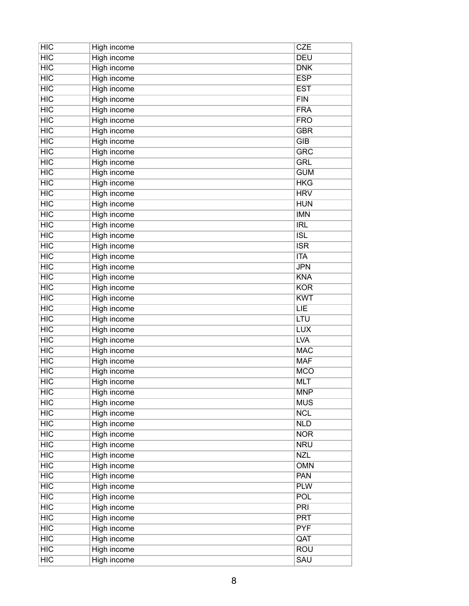| <b>HIC</b> | High income        | <b>CZE</b> |
|------------|--------------------|------------|
| HIC        | <b>High income</b> | <b>DEU</b> |
| <b>HIC</b> | High income        | <b>DNK</b> |
| HIC        | High income        | <b>ESP</b> |
| HIC        | <b>High income</b> | <b>EST</b> |
| HIC        | <b>High income</b> | FIN        |
| HIC        | <b>High income</b> | <b>FRA</b> |
| <b>HIC</b> | <b>High income</b> | <b>FRO</b> |
| HIC        | <b>High income</b> | <b>GBR</b> |
| HIC        | High income        | GIB        |
| HIC        | <b>High income</b> | <b>GRC</b> |
| <b>HIC</b> | High income        | <b>GRL</b> |
| HIC        | <b>High income</b> | <b>GUM</b> |
| <b>HIC</b> | High income        | <b>HKG</b> |
| HIC        | <b>High income</b> | <b>HRV</b> |
| <b>HIC</b> | High income        | <b>HUN</b> |
| HIC        | <b>High income</b> | <b>IMN</b> |
| HIC        | High income        | IRL        |
| HIC        | <b>High income</b> | <b>ISL</b> |
| HIC        | High income        | <b>ISR</b> |
| HIC        | High income        | <b>ITA</b> |
| HIC        | <b>High income</b> | <b>JPN</b> |
| HIC        | High income        | <b>KNA</b> |
| HIC        | <b>High income</b> | <b>KOR</b> |
| HIC        | High income        | <b>KWT</b> |
| HIC        | <b>High income</b> | <b>LIE</b> |
| <b>HIC</b> | High income        | <b>LTU</b> |
| HIC        | <b>High income</b> | <b>LUX</b> |
| <b>HIC</b> | <b>High income</b> | <b>LVA</b> |
| HIC        | High income        | <b>MAC</b> |
| HIC        | <b>High income</b> | <b>MAF</b> |
| HIC        | <b>High income</b> | <b>MCO</b> |
| <b>HIC</b> | <b>High income</b> | <b>MLT</b> |
| HIC        | High income        | <b>MNP</b> |
| HIC        | <b>High income</b> | <b>MUS</b> |
| HIC        | High income        | <b>NCL</b> |
| HIC        | <b>High income</b> | <b>NLD</b> |
| HIC        | High income        | <b>NOR</b> |
| HIC        | <b>High income</b> | <b>NRU</b> |
| HIC        | High income        | <b>NZL</b> |
| HIC        | <b>High income</b> | <b>OMN</b> |
| HIC        | <b>High income</b> | <b>PAN</b> |
| HIC        | High income        | <b>PLW</b> |
| HIC        | <b>High income</b> | <b>POL</b> |
| HIC        | High income        | PRI        |
| HIC        | <b>High income</b> | <b>PRT</b> |
| HIC        | High income        | <b>PYF</b> |
| HIC        | <b>High income</b> | QAT        |
| HIC        | <b>High income</b> | <b>ROU</b> |
| HIC        | <b>High income</b> | <b>SAU</b> |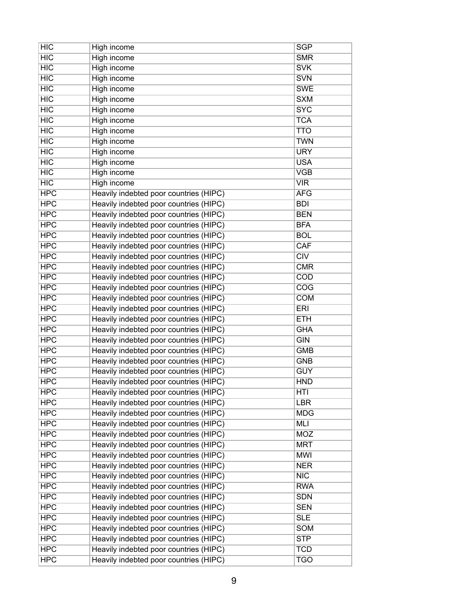| <b>HIC</b> | High income                            | <b>SGP</b> |
|------------|----------------------------------------|------------|
| HIC        | <b>High income</b>                     | <b>SMR</b> |
| <b>HIC</b> | <b>High income</b>                     | <b>SVK</b> |
| HIC        | High income                            | <b>SVN</b> |
| <b>HIC</b> | High income                            | <b>SWE</b> |
| HIC        | <b>High income</b>                     | <b>SXM</b> |
| HIC        | High income                            | <b>SYC</b> |
| <b>HIC</b> | <b>High income</b>                     | <b>TCA</b> |
| HIC        | <b>High income</b>                     | <b>TTO</b> |
| HIC        | High income                            | <b>TWN</b> |
| HIC        | <b>High income</b>                     | <b>URY</b> |
| <b>HIC</b> | High income                            | <b>USA</b> |
| HIC        | <b>High income</b>                     | <b>VGB</b> |
| HIC        | High income                            | <b>VIR</b> |
| <b>HPC</b> | Heavily indebted poor countries (HIPC) | <b>AFG</b> |
| <b>HPC</b> | Heavily indebted poor countries (HIPC) | <b>BDI</b> |
| <b>HPC</b> | Heavily indebted poor countries (HIPC) | <b>BEN</b> |
| <b>HPC</b> | Heavily indebted poor countries (HIPC) | <b>BFA</b> |
| <b>HPC</b> | Heavily indebted poor countries (HIPC) | <b>BOL</b> |
| <b>HPC</b> | Heavily indebted poor countries (HIPC) | CAF        |
| <b>HPC</b> | Heavily indebted poor countries (HIPC) | CIV        |
| <b>HPC</b> | Heavily indebted poor countries (HIPC) | <b>CMR</b> |
| <b>HPC</b> | Heavily indebted poor countries (HIPC) | <b>COD</b> |
| <b>HPC</b> | Heavily indebted poor countries (HIPC) | COG        |
| <b>HPC</b> | Heavily indebted poor countries (HIPC) | <b>COM</b> |
| <b>HPC</b> | Heavily indebted poor countries (HIPC) | <b>ERI</b> |
| <b>HPC</b> | Heavily indebted poor countries (HIPC) | <b>ETH</b> |
| <b>HPC</b> | Heavily indebted poor countries (HIPC) | <b>GHA</b> |
| <b>HPC</b> | Heavily indebted poor countries (HIPC) | <b>GIN</b> |
| <b>HPC</b> | Heavily indebted poor countries (HIPC) | <b>GMB</b> |
| <b>HPC</b> | Heavily indebted poor countries (HIPC) | <b>GNB</b> |
| <b>HPC</b> | Heavily indebted poor countries (HIPC) | <b>GUY</b> |
| <b>HPC</b> | Heavily indebted poor countries (HIPC) | <b>HND</b> |
| <b>HPC</b> | Heavily indebted poor countries (HIPC) | HTI        |
| <b>HPC</b> | Heavily indebted poor countries (HIPC) | <b>LBR</b> |
| <b>HPC</b> | Heavily indebted poor countries (HIPC) | <b>MDG</b> |
| <b>HPC</b> | Heavily indebted poor countries (HIPC) | MLI        |
| <b>HPC</b> | Heavily indebted poor countries (HIPC) | <b>MOZ</b> |
| <b>HPC</b> | Heavily indebted poor countries (HIPC) | <b>MRT</b> |
| <b>HPC</b> | Heavily indebted poor countries (HIPC) | <b>MWI</b> |
| <b>HPC</b> | Heavily indebted poor countries (HIPC) | <b>NER</b> |
| <b>HPC</b> | Heavily indebted poor countries (HIPC) | NIC        |
| <b>HPC</b> | Heavily indebted poor countries (HIPC) | <b>RWA</b> |
| <b>HPC</b> | Heavily indebted poor countries (HIPC) | <b>SDN</b> |
| <b>HPC</b> | Heavily indebted poor countries (HIPC) | <b>SEN</b> |
| <b>HPC</b> | Heavily indebted poor countries (HIPC) | <b>SLE</b> |
| <b>HPC</b> | Heavily indebted poor countries (HIPC) | <b>SOM</b> |
| <b>HPC</b> | Heavily indebted poor countries (HIPC) | <b>STP</b> |
| <b>HPC</b> | Heavily indebted poor countries (HIPC) | <b>TCD</b> |
| <b>HPC</b> | Heavily indebted poor countries (HIPC) | <b>TGO</b> |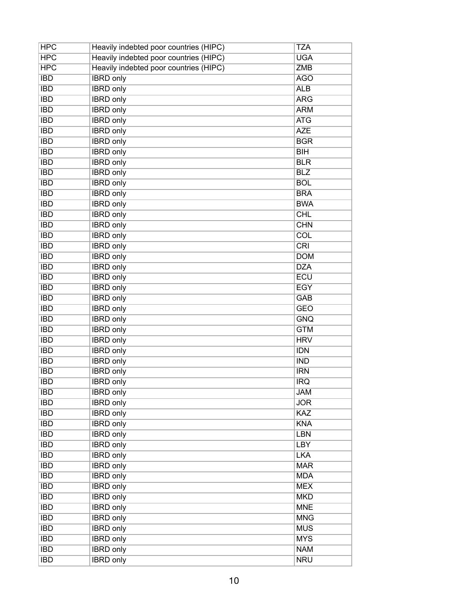| <b>HPC</b> | Heavily indebted poor countries (HIPC) | <b>TZA</b>              |
|------------|----------------------------------------|-------------------------|
| <b>HPC</b> | Heavily indebted poor countries (HIPC) | <b>UGA</b>              |
| <b>HPC</b> | Heavily indebted poor countries (HIPC) | <b>ZMB</b>              |
| <b>IBD</b> | <b>IBRD</b> only                       | <b>AGO</b>              |
| <b>IBD</b> | <b>IBRD</b> only                       | <b>ALB</b>              |
| <b>IBD</b> | <b>IBRD</b> only                       | <b>ARG</b>              |
| <b>IBD</b> | <b>IBRD</b> only                       | <b>ARM</b>              |
| <b>IBD</b> | <b>IBRD</b> only                       | <b>ATG</b>              |
| <b>IBD</b> | <b>IBRD</b> only                       | <b>AZE</b>              |
| <b>IBD</b> | <b>IBRD</b> only                       | <b>BGR</b>              |
| <b>IBD</b> | <b>IBRD</b> only                       | $\overline{BH}$         |
| <b>IBD</b> | <b>IBRD</b> only                       | <b>BLR</b>              |
| <b>IBD</b> | <b>IBRD</b> only                       | <b>BLZ</b>              |
| <b>IBD</b> | <b>IBRD</b> only                       | <b>BOL</b>              |
| <b>IBD</b> | <b>IBRD</b> only                       | <b>BRA</b>              |
| <b>IBD</b> | <b>IBRD</b> only                       | <b>BWA</b>              |
| <b>IBD</b> | <b>IBRD</b> only                       | <b>CHL</b>              |
| <b>IBD</b> | <b>IBRD</b> only                       | <b>CHN</b>              |
| <b>IBD</b> | <b>IBRD</b> only                       | $\overline{\text{COL}}$ |
| <b>IBD</b> | <b>IBRD</b> only                       | CRI                     |
| <b>IBD</b> | <b>IBRD</b> only                       | <b>DOM</b>              |
| <b>IBD</b> | <b>IBRD</b> only                       | <b>DZA</b>              |
| <b>IBD</b> | <b>IBRD</b> only                       | <b>ECU</b>              |
| <b>IBD</b> | <b>IBRD</b> only                       | <b>EGY</b>              |
| <b>IBD</b> | <b>IBRD</b> only                       | <b>GAB</b>              |
| <b>IBD</b> | <b>IBRD</b> only                       | <b>GEO</b>              |
| <b>IBD</b> | <b>IBRD</b> only                       | <b>GNQ</b>              |
| <b>IBD</b> | <b>IBRD</b> only                       | <b>GTM</b>              |
| <b>IBD</b> | <b>IBRD</b> only                       | <b>HRV</b>              |
| <b>IBD</b> | <b>IBRD</b> only                       | <b>IDN</b>              |
| <b>IBD</b> | <b>IBRD</b> only                       | <b>IND</b>              |
| <b>IBD</b> | <b>IBRD</b> only                       | <b>IRN</b>              |
| <b>IBD</b> | <b>IBRD</b> only                       | <b>IRQ</b>              |
| <b>IBD</b> | <b>IBRD</b> only                       | <b>JAM</b>              |
| <b>IBD</b> | <b>IBRD</b> only                       | <b>JOR</b>              |
| <b>IBD</b> | <b>IBRD</b> only                       | KAZ                     |
| <b>IBD</b> | <b>IBRD</b> only                       | <b>KNA</b>              |
| <b>IBD</b> | <b>IBRD only</b>                       | <b>LBN</b>              |
| <b>IBD</b> | <b>IBRD</b> only                       | <b>LBY</b>              |
| <b>IBD</b> | <b>IBRD</b> only                       | <b>LKA</b>              |
| <b>IBD</b> | <b>IBRD</b> only                       | <b>MAR</b>              |
| <b>IBD</b> | <b>IBRD</b> only                       | <b>MDA</b>              |
| <b>IBD</b> | <b>IBRD</b> only                       | <b>MEX</b>              |
| <b>IBD</b> | <b>IBRD</b> only                       | <b>MKD</b>              |
| <b>IBD</b> | <b>IBRD</b> only                       | <b>MNE</b>              |
| <b>IBD</b> | <b>IBRD</b> only                       | <b>MNG</b>              |
| <b>IBD</b> | <b>IBRD</b> only                       | <b>MUS</b>              |
| <b>IBD</b> | <b>IBRD</b> only                       | <b>MYS</b>              |
| <b>IBD</b> | <b>IBRD</b> only                       | <b>NAM</b>              |
| <b>IBD</b> | <b>IBRD</b> only                       | <b>NRU</b>              |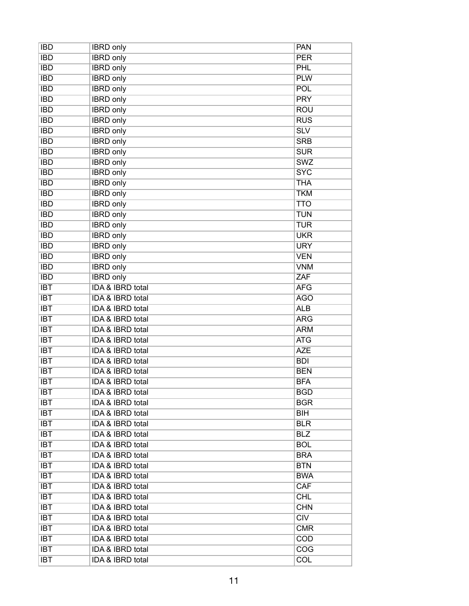| <b>IBD</b>       | <b>IBRD</b> only            | <b>PAN</b> |
|------------------|-----------------------------|------------|
| <b>IBD</b>       | <b>IBRD</b> only            | <b>PER</b> |
| <b>IBD</b>       | <b>IBRD</b> only            | PHL        |
| <b>IBD</b>       | <b>IBRD</b> only            | <b>PLW</b> |
| <b>IBD</b>       | <b>IBRD</b> only            | POL        |
| <b>IBD</b>       | <b>IBRD</b> only            | <b>PRY</b> |
| <b>IBD</b>       | <b>IBRD</b> only            | <b>ROU</b> |
| <b>IBD</b>       | <b>IBRD</b> only            | <b>RUS</b> |
| <b>IBD</b>       | <b>IBRD</b> only            | SLV        |
| <b>IBD</b>       | <b>IBRD</b> only            | <b>SRB</b> |
| <b>IBD</b>       | <b>IBRD</b> only            | <b>SUR</b> |
| <b>IBD</b>       | <b>IBRD</b> only            | <b>SWZ</b> |
| <b>IBD</b>       | <b>IBRD</b> only            | <b>SYC</b> |
| <b>IBD</b>       | <b>IBRD</b> only            | <b>THA</b> |
| <b>IBD</b>       | <b>IBRD</b> only            | <b>TKM</b> |
| <b>IBD</b>       | <b>IBRD</b> only            | <b>TTO</b> |
| <b>IBD</b>       | <b>IBRD</b> only            | <b>TUN</b> |
| <b>IBD</b>       | <b>IBRD</b> only            | <b>TUR</b> |
| <b>IBD</b>       | <b>IBRD</b> only            | <b>UKR</b> |
| <b>IBD</b>       | <b>IBRD</b> only            | <b>URY</b> |
| <b>IBD</b>       | <b>IBRD</b> only            | <b>VEN</b> |
| <b>IBD</b>       | <b>IBRD</b> only            | <b>VNM</b> |
| <b>IBD</b>       | <b>IBRD</b> only            | ZAF        |
| <b>IBT</b>       | IDA & IBRD total            | <b>AFG</b> |
| <b>IBT</b>       | <b>IDA &amp; IBRD total</b> | <b>AGO</b> |
| <b>IBT</b>       | IDA & IBRD total            | <b>ALB</b> |
| <b>IBT</b>       | <b>IDA &amp; IBRD total</b> | <b>ARG</b> |
| <b>IBT</b>       | <b>IDA &amp; IBRD total</b> | <b>ARM</b> |
| <b>IBT</b>       | <b>IDA &amp; IBRD total</b> | <b>ATG</b> |
| <b>IBT</b>       | <b>IDA &amp; IBRD total</b> | <b>AZE</b> |
| <b>IBT</b>       | IDA & IBRD total            | <b>BDI</b> |
| $\overline{IBT}$ | IDA & IBRD total            | <b>BEN</b> |
| <b>IBT</b>       | IDA & IBRD total            | <b>BFA</b> |
| <b>IBT</b>       | IDA & IBRD total            | <b>BGD</b> |
| <b>IBT</b>       | IDA & IBRD total            | <b>BGR</b> |
| <b>IBT</b>       | IDA & IBRD total            | <b>BIH</b> |
| <b>IBT</b>       | IDA & IBRD total            | <b>BLR</b> |
| <b>IBT</b>       | IDA & IBRD total            | <b>BLZ</b> |
| <b>IBT</b>       | <b>IDA &amp; IBRD total</b> | <b>BOL</b> |
| <b>IBT</b>       | IDA & IBRD total            | <b>BRA</b> |
| IBT              | IDA & IBRD total            | <b>BTN</b> |
| <b>IBT</b>       | IDA & IBRD total            | <b>BWA</b> |
| <b>IBT</b>       | IDA & IBRD total            | <b>CAF</b> |
| <b>IBT</b>       | IDA & IBRD total            | <b>CHL</b> |
| <b>IBT</b>       | IDA & IBRD total            | <b>CHN</b> |
| <b>IBT</b>       | IDA & IBRD total            | CIV        |
| <b>IBT</b>       | IDA & IBRD total            | <b>CMR</b> |
| <b>IBT</b>       | IDA & IBRD total            | COD        |
| <b>IBT</b>       | IDA & IBRD total            | <b>COG</b> |
| <b>IBT</b>       | IDA & IBRD total            | <b>COL</b> |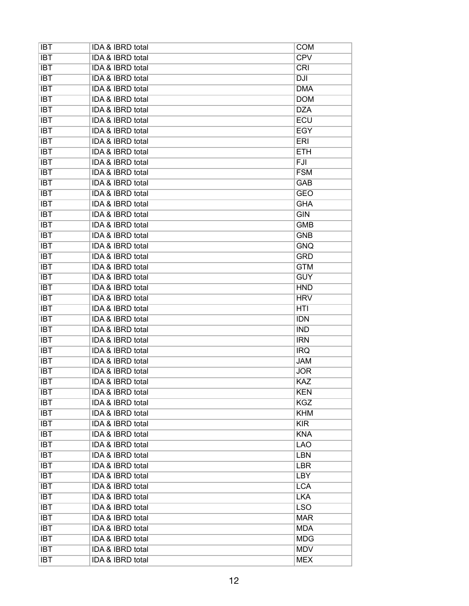| <b>IBT</b>       | IDA & IBRD total            | <b>COM</b> |
|------------------|-----------------------------|------------|
| <b>IBT</b>       | IDA & IBRD total            | <b>CPV</b> |
| <b>IBT</b>       | <b>IDA &amp; IBRD total</b> | CRI        |
| <b>IBT</b>       | <b>IDA &amp; IBRD total</b> | <b>DJI</b> |
| <b>IBT</b>       | <b>IDA &amp; IBRD total</b> | <b>DMA</b> |
| $\overline{IBT}$ | <b>IDA &amp; IBRD total</b> | <b>DOM</b> |
| <b>IBT</b>       | <b>IDA &amp; IBRD total</b> | <b>DZA</b> |
| <b>IBT</b>       | IDA & IBRD total            | ECU        |
| <b>IBT</b>       | <b>IDA &amp; IBRD total</b> | <b>EGY</b> |
| <b>IBT</b>       | <b>IDA &amp; IBRD total</b> | ERI        |
| <b>IBT</b>       | <b>IDA &amp; IBRD total</b> | <b>ETH</b> |
| <b>IBT</b>       | IDA & IBRD total            | <b>FJI</b> |
| $\overline{IBT}$ | <b>IDA &amp; IBRD total</b> | <b>FSM</b> |
| <b>IBT</b>       | IDA & IBRD total            | <b>GAB</b> |
| <b>IBT</b>       | <b>IDA &amp; IBRD total</b> | <b>GEO</b> |
| <b>IBT</b>       | IDA & IBRD total            | <b>GHA</b> |
| <b>IBT</b>       | <b>IDA &amp; IBRD total</b> | GIN        |
| <b>IBT</b>       | IDA & IBRD total            | <b>GMB</b> |
| <b>IBT</b>       | IDA & IBRD total            | <b>GNB</b> |
| <b>IBT</b>       | <b>IDA &amp; IBRD total</b> | <b>GNQ</b> |
| <b>IBT</b>       | IDA & IBRD total            | <b>GRD</b> |
| <b>IBT</b>       | IDA & IBRD total            | <b>GTM</b> |
| <b>IBT</b>       | IDA & IBRD total            | <b>GUY</b> |
| $\overline{IBT}$ | <b>IDA &amp; IBRD total</b> | <b>HND</b> |
| <b>IBT</b>       | IDA & IBRD total            | <b>HRV</b> |
| <b>IBT</b>       | IDA & IBRD total            | <b>HTI</b> |
| <b>IBT</b>       | IDA & IBRD total            | <b>IDN</b> |
| <b>IBT</b>       | IDA & IBRD total            | <b>IND</b> |
| <b>IBT</b>       | IDA & IBRD total            | <b>IRN</b> |
| <b>IBT</b>       | IDA & IBRD total            | <b>IRQ</b> |
| <b>IBT</b>       | <b>IDA &amp; IBRD total</b> | <b>JAM</b> |
| <b>IBT</b>       | <b>IDA &amp; IBRD total</b> | <b>JOR</b> |
| <b>IBT</b>       | <b>IDA &amp; IBRD total</b> | <b>KAZ</b> |
| <b>IBT</b>       | IDA & IBRD total            | <b>KEN</b> |
| <b>IBT</b>       | IDA & IBRD total            | <b>KGZ</b> |
| <b>IBT</b>       | IDA & IBRD total            | <b>KHM</b> |
| <b>IBT</b>       | <b>IDA &amp; IBRD total</b> | <b>KIR</b> |
| <b>IBT</b>       | IDA & IBRD total            | <b>KNA</b> |
| <b>IBT</b>       | IDA & IBRD total            | <b>LAO</b> |
| <b>IBT</b>       | IDA & IBRD total            | <b>LBN</b> |
| <b>IBT</b>       | IDA & IBRD total            | <b>LBR</b> |
| <b>IBT</b>       | IDA & IBRD total            | <b>LBY</b> |
| <b>IBT</b>       | IDA & IBRD total            | <b>LCA</b> |
| <b>IBT</b>       | IDA & IBRD total            | <b>LKA</b> |
| <b>IBT</b>       | IDA & IBRD total            | <b>LSO</b> |
| IBT              | IDA & IBRD total            | <b>MAR</b> |
| <b>IBT</b>       | IDA & IBRD total            | <b>MDA</b> |
| <b>IBT</b>       | IDA & IBRD total            | <b>MDG</b> |
| <b>IBT</b>       | IDA & IBRD total            | <b>MDV</b> |
|                  |                             |            |
| <b>IBT</b>       | <b>IDA &amp; IBRD total</b> | <b>MEX</b> |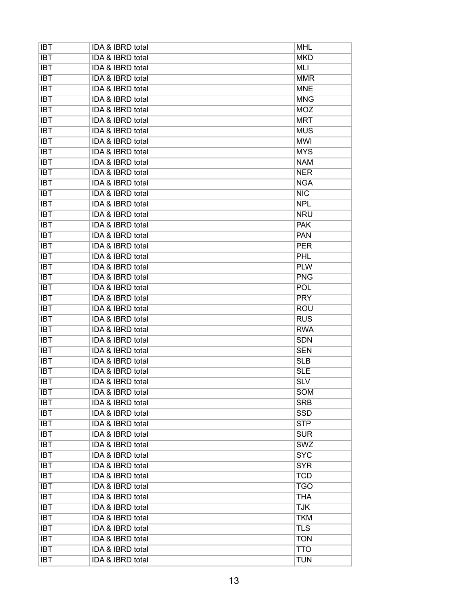| <b>IBT</b> | IDA & IBRD total            | <b>MHL</b> |
|------------|-----------------------------|------------|
| <b>IBT</b> | IDA & IBRD total            | <b>MKD</b> |
| <b>IBT</b> | IDA & IBRD total            | <b>MLI</b> |
| <b>IBT</b> | IDA & IBRD total            | <b>MMR</b> |
| <b>IBT</b> | <b>IDA &amp; IBRD total</b> | <b>MNE</b> |
| <b>IBT</b> | <b>IDA &amp; IBRD total</b> | <b>MNG</b> |
| <b>IBT</b> | IDA & IBRD total            | <b>MOZ</b> |
| <b>IBT</b> | <b>IDA &amp; IBRD total</b> | <b>MRT</b> |
| <b>IBT</b> | <b>IDA &amp; IBRD total</b> | <b>MUS</b> |
| <b>IBT</b> | IDA & IBRD total            | <b>MWI</b> |
| <b>IBT</b> | IDA & IBRD total            | <b>MYS</b> |
| <b>IBT</b> | IDA & IBRD total            | <b>NAM</b> |
| <b>IBT</b> | <b>IDA &amp; IBRD total</b> | <b>NER</b> |
| <b>IBT</b> | IDA & IBRD total            | <b>NGA</b> |
| <b>IBT</b> | IDA & IBRD total            | <b>NIC</b> |
| <b>IBT</b> | <b>IDA &amp; IBRD total</b> | <b>NPL</b> |
| <b>IBT</b> | <b>IDA &amp; IBRD total</b> | <b>NRU</b> |
| <b>IBT</b> | <b>IDA &amp; IBRD total</b> | <b>PAK</b> |
| <b>IBT</b> | <b>IDA &amp; IBRD total</b> | <b>PAN</b> |
| <b>IBT</b> | IDA & IBRD total            | <b>PER</b> |
| <b>IBT</b> | IDA & IBRD total            | <b>PHL</b> |
| <b>IBT</b> | IDA & IBRD total            | <b>PLW</b> |
| <b>IBT</b> | IDA & IBRD total            | <b>PNG</b> |
| <b>IBT</b> | <b>IDA &amp; IBRD total</b> | <b>POL</b> |
| <b>IBT</b> | IDA & IBRD total            | <b>PRY</b> |
| <b>IBT</b> | IDA & IBRD total            | <b>ROU</b> |
| <b>IBT</b> | <b>IDA &amp; IBRD total</b> | <b>RUS</b> |
| <b>IBT</b> | IDA & IBRD total            | <b>RWA</b> |
| <b>IBT</b> | IDA & IBRD total            | <b>SDN</b> |
| <b>IBT</b> | <b>IDA &amp; IBRD total</b> | <b>SEN</b> |
| <b>IBT</b> | <b>IDA &amp; IBRD total</b> | <b>SLB</b> |
| <b>IBT</b> | <b>IDA &amp; IBRD total</b> | <b>SLE</b> |
| <b>IBT</b> | IDA & IBRD total            | <b>SLV</b> |
| <b>IBT</b> | IDA & IBRD total            | <b>SOM</b> |
| <b>IBT</b> | IDA & IBRD total            | <b>SRB</b> |
| <b>IBT</b> | IDA & IBRD total            | <b>SSD</b> |
| <b>IBT</b> | IDA & IBRD total            | <b>STP</b> |
| <b>IBT</b> | IDA & IBRD total            | <b>SUR</b> |
| <b>IBT</b> | <b>IDA &amp; IBRD total</b> | <b>SWZ</b> |
| <b>IBT</b> | IDA & IBRD total            | <b>SYC</b> |
| <b>IBT</b> | <b>IDA &amp; IBRD total</b> | <b>SYR</b> |
| <b>IBT</b> | IDA & IBRD total            | <b>TCD</b> |
| <b>IBT</b> | IDA & IBRD total            | <b>TGO</b> |
| <b>IBT</b> | IDA & IBRD total            | <b>THA</b> |
| <b>IBT</b> | IDA & IBRD total            | <b>TJK</b> |
| <b>IBT</b> | IDA & IBRD total            | <b>TKM</b> |
| <b>IBT</b> | IDA & IBRD total            | <b>TLS</b> |
| <b>IBT</b> | IDA & IBRD total            | <b>TON</b> |
| <b>IBT</b> | IDA & IBRD total            | <b>TTO</b> |
| <b>IBT</b> | IDA & IBRD total            | <b>TUN</b> |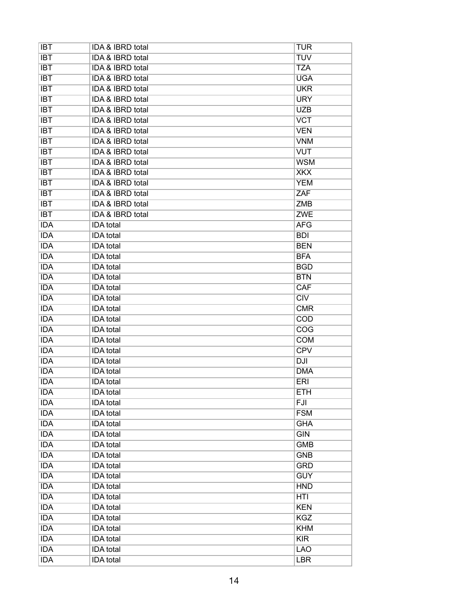| <b>IBT</b>               | IDA & IBRD total                     | <b>TUR</b>               |
|--------------------------|--------------------------------------|--------------------------|
| $\overline{IBT}$         | <b>IDA &amp; IBRD total</b>          | <b>TUV</b>               |
| <b>IBT</b>               | <b>IDA &amp; IBRD total</b>          | <b>TZA</b>               |
| <b>IBT</b>               | <b>IDA &amp; IBRD total</b>          | <b>UGA</b>               |
| <b>IBT</b>               | <b>IDA &amp; IBRD total</b>          | <b>UKR</b>               |
| <b>IBT</b>               | IDA & IBRD total                     | <b>URY</b>               |
| <b>IBT</b>               | <b>IDA &amp; IBRD total</b>          | <b>UZB</b>               |
| <b>IBT</b>               | IDA & IBRD total                     | <b>VCT</b>               |
| <b>IBT</b>               | <b>IDA &amp; IBRD total</b>          | <b>VEN</b>               |
| <b>IBT</b>               | IDA & IBRD total                     | <b>VNM</b>               |
| <b>IBT</b>               | <b>IDA &amp; IBRD total</b>          | <b>VUT</b>               |
| <b>IBT</b>               | IDA & IBRD total                     | <b>WSM</b>               |
| $\overline{IBT}$         | <b>IDA &amp; IBRD total</b>          | <b>XKX</b>               |
| <b>IBT</b>               | IDA & IBRD total                     | <b>YEM</b>               |
| <b>IBT</b>               | <b>IDA &amp; IBRD total</b>          | ZAF                      |
| <b>IBT</b>               | <b>IDA &amp; IBRD total</b>          | <b>ZMB</b>               |
| <b>IBT</b>               | <b>IDA &amp; IBRD total</b>          | <b>ZWE</b>               |
| <b>IDA</b>               | <b>IDA</b> total                     | <b>AFG</b>               |
| <b>IDA</b>               | <b>IDA</b> total                     | <b>BDI</b>               |
| <b>IDA</b>               | <b>IDA</b> total                     | <b>BEN</b>               |
| <b>IDA</b>               | <b>IDA</b> total                     | <b>BFA</b>               |
| <b>IDA</b>               | <b>IDA</b> total                     | <b>BGD</b>               |
| <b>IDA</b>               | <b>IDA</b> total                     | <b>BTN</b>               |
| <b>IDA</b>               | <b>IDA</b> total                     | CAF                      |
| <b>IDA</b>               | <b>IDA</b> total                     | CIV                      |
| <b>IDA</b>               | <b>IDA</b> total                     | <b>CMR</b>               |
| <b>IDA</b>               | <b>IDA</b> total                     | <b>COD</b>               |
| <b>IDA</b>               | <b>IDA</b> total                     | COG                      |
| <b>IDA</b>               | <b>IDA</b> total                     | <b>COM</b>               |
| <b>IDA</b>               | <b>IDA</b> total                     | <b>CPV</b>               |
| <b>IDA</b>               | <b>IDA</b> total                     | DJI                      |
| <b>IDA</b>               | <b>IDA</b> total                     | <b>DMA</b>               |
| <b>IDA</b>               | <b>IDA</b> total                     | <b>ERI</b>               |
| <b>IDA</b>               | <b>IDA</b> total                     | <b>ETH</b>               |
| <b>IDA</b>               | <b>IDA</b> total                     | FJI                      |
| <b>IDA</b>               | <b>IDA</b> total                     | <b>FSM</b>               |
| <b>IDA</b>               | <b>IDA</b> total                     | <b>GHA</b>               |
| <b>IDA</b>               | <b>IDA</b> total                     | <b>GIN</b>               |
| <b>IDA</b>               | <b>IDA</b> total                     | <b>GMB</b>               |
| <b>IDA</b>               | <b>IDA</b> total                     | <b>GNB</b>               |
| <b>IDA</b>               |                                      | <b>GRD</b>               |
| <b>IDA</b>               | <b>IDA</b> total<br><b>IDA</b> total | <b>GUY</b>               |
|                          |                                      |                          |
| <b>IDA</b><br><b>IDA</b> | <b>IDA</b> total<br><b>IDA</b> total | <b>HND</b><br><b>HTI</b> |
|                          |                                      |                          |
| <b>IDA</b>               | <b>IDA</b> total                     | <b>KEN</b>               |
| <b>IDA</b>               | <b>IDA</b> total                     | <b>KGZ</b>               |
| <b>IDA</b>               | <b>IDA</b> total                     | <b>KHM</b>               |
| <b>IDA</b>               | <b>IDA</b> total                     | KIR                      |
| <b>IDA</b>               | <b>IDA</b> total                     | <b>LAO</b>               |
| <b>IDA</b>               | <b>IDA</b> total                     | <b>LBR</b>               |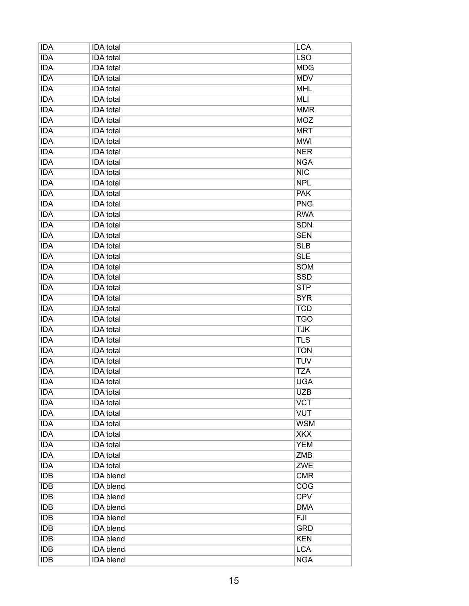| <b>IDA</b> | <b>IDA</b> total | <b>LCA</b> |
|------------|------------------|------------|
| <b>IDA</b> | <b>IDA</b> total | <b>LSO</b> |
| <b>IDA</b> | <b>IDA</b> total | <b>MDG</b> |
| <b>IDA</b> | <b>IDA</b> total | <b>MDV</b> |
| <b>IDA</b> | <b>IDA</b> total | <b>MHL</b> |
| <b>IDA</b> | <b>IDA</b> total | <b>MLI</b> |
| <b>IDA</b> | <b>IDA</b> total | <b>MMR</b> |
| <b>IDA</b> | <b>IDA</b> total | <b>MOZ</b> |
| <b>IDA</b> | <b>IDA</b> total | <b>MRT</b> |
| <b>IDA</b> | <b>IDA</b> total | <b>MWI</b> |
| <b>IDA</b> | <b>IDA</b> total | <b>NER</b> |
| <b>IDA</b> | <b>IDA</b> total | <b>NGA</b> |
| <b>IDA</b> | <b>IDA</b> total | NIC        |
| <b>IDA</b> | <b>IDA</b> total | <b>NPL</b> |
| <b>IDA</b> | <b>IDA</b> total | <b>PAK</b> |
| <b>IDA</b> | <b>IDA</b> total | <b>PNG</b> |
| <b>IDA</b> | <b>IDA</b> total | <b>RWA</b> |
| <b>IDA</b> | <b>IDA</b> total | <b>SDN</b> |
| <b>IDA</b> | <b>IDA</b> total | <b>SEN</b> |
| <b>IDA</b> | <b>IDA</b> total | <b>SLB</b> |
| <b>IDA</b> | <b>IDA</b> total | <b>SLE</b> |
| <b>IDA</b> | <b>IDA</b> total | <b>SOM</b> |
| <b>IDA</b> | <b>IDA</b> total | <b>SSD</b> |
| <b>IDA</b> | <b>IDA</b> total | <b>STP</b> |
| <b>IDA</b> | <b>IDA</b> total | <b>SYR</b> |
| <b>IDA</b> | <b>IDA</b> total | <b>TCD</b> |
| <b>IDA</b> | <b>IDA</b> total | <b>TGO</b> |
| <b>IDA</b> | <b>IDA</b> total | <b>TJK</b> |
| <b>IDA</b> | <b>IDA</b> total | <b>TLS</b> |
| <b>IDA</b> | <b>IDA</b> total | <b>TON</b> |
| <b>IDA</b> | <b>IDA</b> total | <b>TUV</b> |
| <b>IDA</b> | <b>IDA</b> total | <b>TZA</b> |
| <b>IDA</b> | <b>IDA</b> total | <b>UGA</b> |
| <b>IDA</b> | <b>IDA</b> total | <b>UZB</b> |
| <b>IDA</b> | <b>IDA</b> total | <b>VCT</b> |
| <b>IDA</b> | <b>IDA</b> total | <b>VUT</b> |
| <b>IDA</b> | <b>IDA</b> total | <b>WSM</b> |
| <b>IDA</b> | IDA total        | <b>XKX</b> |
| <b>IDA</b> | <b>IDA</b> total | <b>YEM</b> |
| <b>IDA</b> | <b>IDA</b> total | <b>ZMB</b> |
| <b>IDA</b> | <b>IDA</b> total | <b>ZWE</b> |
| <b>IDB</b> | <b>IDA</b> blend | <b>CMR</b> |
| <b>IDB</b> | <b>IDA</b> blend | <b>COG</b> |
| <b>IDB</b> | <b>IDA</b> blend | <b>CPV</b> |
| <b>IDB</b> | <b>IDA</b> blend | <b>DMA</b> |
| <b>IDB</b> | <b>IDA</b> blend | FJI        |
| <b>IDB</b> | <b>IDA</b> blend | <b>GRD</b> |
| <b>IDB</b> | <b>IDA</b> blend | <b>KEN</b> |
| <b>IDB</b> | <b>IDA</b> blend | <b>LCA</b> |
| <b>IDB</b> | <b>IDA</b> blend | <b>NGA</b> |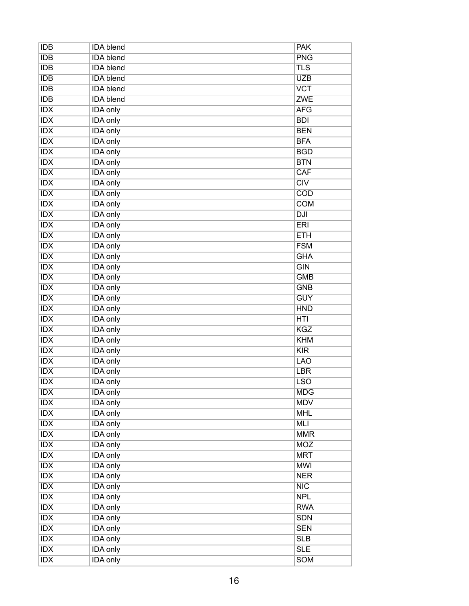| <b>IDB</b>       | <b>IDA</b> blend                   | <b>PAK</b>       |
|------------------|------------------------------------|------------------|
| <b>IDB</b>       | <b>IDA</b> blend                   | <b>PNG</b>       |
| IDB              | <b>IDA</b> blend                   | <b>TLS</b>       |
| <b>IDB</b>       | <b>IDA</b> blend                   | <b>UZB</b>       |
| <b>IDB</b>       | <b>IDA</b> blend                   | <b>VCT</b>       |
| <b>IDB</b>       | <b>IDA</b> blend                   | <b>ZWE</b>       |
| IDX              | <b>IDA</b> only                    | <b>AFG</b>       |
| <b>IDX</b>       | <b>IDA</b> only                    | <b>BDI</b>       |
| <b>IDX</b>       | <b>IDA</b> only                    | <b>BEN</b>       |
| <b>IDX</b>       | <b>IDA</b> only                    | <b>BFA</b>       |
| $\overline{IDX}$ | <b>IDA</b> only                    | <b>BGD</b>       |
| <b>IDX</b>       | <b>IDA</b> only                    | <b>BTN</b>       |
| IDX              | <b>IDA</b> only                    | CAF              |
| IDX              | <b>IDA</b> only                    | $\overline{CIV}$ |
| <b>IDX</b>       | <b>IDA</b> only                    | <b>COD</b>       |
| <b>IDX</b>       | <b>IDA</b> only                    | <b>COM</b>       |
| IDX              | <b>IDA</b> only                    | DJI              |
| <b>IDX</b>       | <b>IDA</b> only                    | <b>ERI</b>       |
| <b>IDX</b>       | <b>IDA</b> only                    | <b>ETH</b>       |
| IDX              | <b>IDA</b> only                    | <b>FSM</b>       |
| <b>IDX</b>       | <b>IDA</b> only                    | <b>GHA</b>       |
| <b>IDX</b>       | <b>IDA</b> only                    | <b>GIN</b>       |
| <b>IDX</b>       | <b>IDA</b> only                    | <b>GMB</b>       |
| $\overline{IDX}$ | <b>IDA</b> only                    | <b>GNB</b>       |
| <b>IDX</b>       | <b>IDA</b> only                    | <b>GUY</b>       |
| <b>IDX</b>       | <b>IDA</b> only                    | <b>HND</b>       |
| <b>IDX</b>       | <b>IDA</b> only                    | HTI              |
| IDX              | <b>IDA</b> only                    | <b>KGZ</b>       |
| IDX              | <b>IDA</b> only                    | <b>KHM</b>       |
| <b>IDX</b>       | <b>IDA</b> only                    | KIR              |
| IDX              | <b>IDA</b> only                    | <b>LAO</b>       |
| IDX              | <b>IDA</b> only                    | <b>LBR</b>       |
| <b>IDX</b>       | <b>IDA</b> only                    | <b>LSO</b>       |
| <b>IDX</b>       | IDA only                           | <b>MDG</b>       |
| <b>IDX</b>       | <b>IDA</b> only                    | <b>MDV</b>       |
| <b>IDX</b>       | <b>IDA</b> only                    | <b>MHL</b>       |
| IDX              | <b>IDA</b> only                    | <b>MLI</b>       |
| <b>IDX</b>       | <b>IDA</b> only                    | <b>MMR</b>       |
| IDX              | <b>IDA</b> only                    | <b>MOZ</b>       |
| IDX              | <b>IDA</b> only                    | <b>MRT</b>       |
| IDX              | <b>IDA</b> only                    | <b>MWI</b>       |
| <b>IDX</b>       | <b>IDA</b> only                    | <b>NER</b>       |
| IDX              |                                    | NIC              |
| <b>IDX</b>       | <b>IDA</b> only<br><b>IDA</b> only | <b>NPL</b>       |
| IDX              |                                    | <b>RWA</b>       |
|                  | <b>IDA</b> only                    |                  |
| <b>IDX</b>       | <b>IDA</b> only                    | <b>SDN</b>       |
| <b>IDX</b>       | <b>IDA</b> only                    | <b>SEN</b>       |
| <b>IDX</b>       | <b>IDA</b> only                    | <b>SLB</b>       |
| IDX              | <b>IDA</b> only                    | <b>SLE</b>       |
| $\overline{IDX}$ | <b>IDA</b> only                    | <b>SOM</b>       |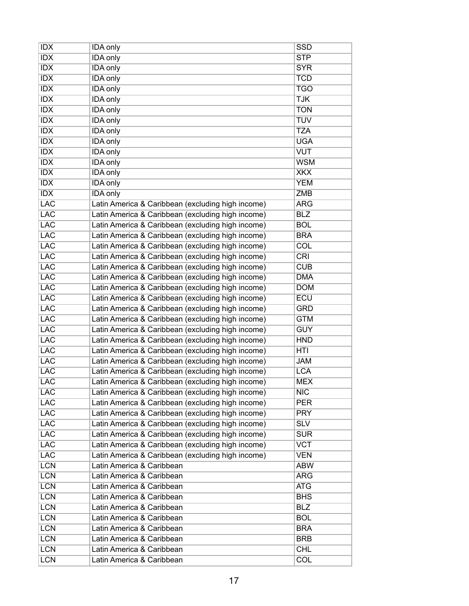| <b>IDX</b> | IDA only                                          | SSD        |
|------------|---------------------------------------------------|------------|
| <b>IDX</b> | IDA only                                          | <b>STP</b> |
| <b>IDX</b> | <b>IDA</b> only                                   | <b>SYR</b> |
| <b>IDX</b> | IDA only                                          | <b>TCD</b> |
| <b>IDX</b> | <b>IDA</b> only                                   | <b>TGO</b> |
| <b>IDX</b> | IDA only                                          | <b>TJK</b> |
| <b>IDX</b> | <b>IDA</b> only                                   | <b>TON</b> |
| <b>IDX</b> | IDA only                                          | <b>TUV</b> |
| <b>IDX</b> | <b>IDA</b> only                                   | <b>TZA</b> |
| <b>IDX</b> | IDA only                                          | <b>UGA</b> |
| <b>IDX</b> | IDA only                                          | <b>VUT</b> |
| <b>IDX</b> | IDA only                                          | <b>WSM</b> |
| IDX        | IDA only                                          | <b>XKX</b> |
| <b>IDX</b> | <b>IDA</b> only                                   | <b>YEM</b> |
| <b>IDX</b> | IDA only                                          | <b>ZMB</b> |
| <b>LAC</b> | Latin America & Caribbean (excluding high income) | <b>ARG</b> |
| <b>LAC</b> | Latin America & Caribbean (excluding high income) | <b>BLZ</b> |
| <b>LAC</b> | Latin America & Caribbean (excluding high income) | <b>BOL</b> |
| <b>LAC</b> | Latin America & Caribbean (excluding high income) | <b>BRA</b> |
| <b>LAC</b> | Latin America & Caribbean (excluding high income) | <b>COL</b> |
| <b>LAC</b> | Latin America & Caribbean (excluding high income) | CRI        |
| <b>LAC</b> | Latin America & Caribbean (excluding high income) | <b>CUB</b> |
| <b>LAC</b> | Latin America & Caribbean (excluding high income) | <b>DMA</b> |
| <b>LAC</b> | Latin America & Caribbean (excluding high income) | <b>DOM</b> |
| <b>LAC</b> | Latin America & Caribbean (excluding high income) | ECU        |
| <b>LAC</b> | Latin America & Caribbean (excluding high income) | <b>GRD</b> |
| <b>LAC</b> | Latin America & Caribbean (excluding high income) | <b>GTM</b> |
| <b>LAC</b> | Latin America & Caribbean (excluding high income) | <b>GUY</b> |
| <b>LAC</b> | Latin America & Caribbean (excluding high income) | <b>HND</b> |
| <b>LAC</b> | Latin America & Caribbean (excluding high income) | HTI        |
| <b>LAC</b> | Latin America & Caribbean (excluding high income) | <b>JAM</b> |
| <b>LAC</b> | Latin America & Caribbean (excluding high income) | <b>LCA</b> |
|            |                                                   |            |
| <b>LAC</b> | Latin America & Caribbean (excluding high income) | <b>MEX</b> |
| <b>LAC</b> | Latin America & Caribbean (excluding high income) | <b>NIC</b> |
| <b>LAC</b> | Latin America & Caribbean (excluding high income) | <b>PER</b> |
| <b>LAC</b> | Latin America & Caribbean (excluding high income) | <b>PRY</b> |
| <b>LAC</b> | Latin America & Caribbean (excluding high income) | <b>SLV</b> |
| <b>LAC</b> | Latin America & Caribbean (excluding high income) | <b>SUR</b> |
| <b>LAC</b> | Latin America & Caribbean (excluding high income) | <b>VCT</b> |
| <b>LAC</b> | Latin America & Caribbean (excluding high income) | <b>VEN</b> |
| <b>LCN</b> | Latin America & Caribbean                         | <b>ABW</b> |
| <b>LCN</b> | Latin America & Caribbean                         | <b>ARG</b> |
| <b>LCN</b> | Latin America & Caribbean                         | <b>ATG</b> |
| <b>LCN</b> | Latin America & Caribbean                         | <b>BHS</b> |
| <b>LCN</b> | Latin America & Caribbean                         | <b>BLZ</b> |
| <b>LCN</b> | Latin America & Caribbean                         | <b>BOL</b> |
| <b>LCN</b> | Latin America & Caribbean                         | <b>BRA</b> |
| <b>LCN</b> | Latin America & Caribbean                         | <b>BRB</b> |
| <b>LCN</b> | Latin America & Caribbean                         | <b>CHL</b> |
| <b>LCN</b> | Latin America & Caribbean                         | <b>COL</b> |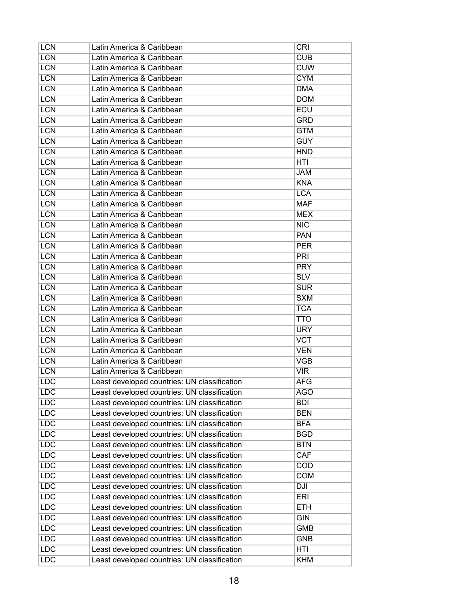| <b>LCN</b>               | Latin America & Caribbean                    | <b>CRI</b> |
|--------------------------|----------------------------------------------|------------|
| <b>LCN</b>               | Latin America & Caribbean                    | <b>CUB</b> |
| <b>LCN</b>               | Latin America & Caribbean                    | <b>CUW</b> |
| <b>LCN</b>               | Latin America & Caribbean                    | <b>CYM</b> |
| <b>LCN</b>               | Latin America & Caribbean                    | <b>DMA</b> |
| <b>LCN</b>               | Latin America & Caribbean                    | <b>DOM</b> |
| <b>LCN</b>               | Latin America & Caribbean                    | ECU        |
| <b>LCN</b>               | Latin America & Caribbean                    | <b>GRD</b> |
| <b>LCN</b>               | Latin America & Caribbean                    | <b>GTM</b> |
| <b>LCN</b>               | Latin America & Caribbean                    | <b>GUY</b> |
| <b>LCN</b>               | Latin America & Caribbean                    | <b>HND</b> |
| <b>LCN</b>               | Latin America & Caribbean                    | HTI        |
| <b>LCN</b>               | Latin America & Caribbean                    | <b>JAM</b> |
| <b>LCN</b>               | Latin America & Caribbean                    | <b>KNA</b> |
| <b>LCN</b>               | Latin America & Caribbean                    | <b>LCA</b> |
| <b>LCN</b>               | Latin America & Caribbean                    | <b>MAF</b> |
| <b>LCN</b>               | Latin America & Caribbean                    | <b>MEX</b> |
| <b>LCN</b>               | Latin America & Caribbean                    | <b>NIC</b> |
| <b>LCN</b>               | Latin America & Caribbean                    | <b>PAN</b> |
| <b>LCN</b>               | Latin America & Caribbean                    | <b>PER</b> |
| <b>LCN</b>               | Latin America & Caribbean                    | <b>PRI</b> |
| <b>LCN</b>               | Latin America & Caribbean                    | <b>PRY</b> |
| <b>LCN</b>               | Latin America & Caribbean                    | <b>SLV</b> |
| <b>LCN</b>               | Latin America & Caribbean                    | <b>SUR</b> |
| <b>LCN</b>               | Latin America & Caribbean                    | <b>SXM</b> |
| <b>LCN</b>               | Latin America & Caribbean                    | <b>TCA</b> |
| <b>LCN</b>               | Latin America & Caribbean                    | TTO        |
| <b>LCN</b>               | Latin America & Caribbean                    | <b>URY</b> |
| <b>LCN</b>               | Latin America & Caribbean                    | <b>VCT</b> |
| <b>LCN</b>               | Latin America & Caribbean                    | <b>VEN</b> |
| <b>LCN</b>               | Latin America & Caribbean                    | <b>VGB</b> |
| <b>LCN</b>               | Latin America & Caribbean                    | <b>VIR</b> |
| <b>LDC</b>               | Least developed countries: UN classification | <b>AFG</b> |
| LDC                      | Least developed countries: UN classification | <b>AGO</b> |
| <b>LDC</b>               | Least developed countries: UN classification | <b>BDI</b> |
| <b>LDC</b>               | Least developed countries: UN classification | <b>BEN</b> |
| <b>LDC</b>               | Least developed countries: UN classification | <b>BFA</b> |
|                          |                                              |            |
| <b>LDC</b><br><b>LDC</b> | Least developed countries: UN classification | <b>BGD</b> |
|                          | Least developed countries: UN classification | <b>BTN</b> |
| <b>LDC</b>               | Least developed countries: UN classification | <b>CAF</b> |
| <b>LDC</b>               | Least developed countries: UN classification | <b>COD</b> |
| <b>LDC</b>               | Least developed countries: UN classification | <b>COM</b> |
| <b>LDC</b>               | Least developed countries: UN classification | DJI        |
| <b>LDC</b>               | Least developed countries: UN classification | <b>ERI</b> |
| <b>LDC</b>               | Least developed countries: UN classification | <b>ETH</b> |
| <b>LDC</b>               | Least developed countries: UN classification | <b>GIN</b> |
| <b>LDC</b>               | Least developed countries: UN classification | <b>GMB</b> |
| <b>LDC</b>               | Least developed countries: UN classification | <b>GNB</b> |
| <b>LDC</b>               | Least developed countries: UN classification | HTI        |
| <b>LDC</b>               | Least developed countries: UN classification | <b>KHM</b> |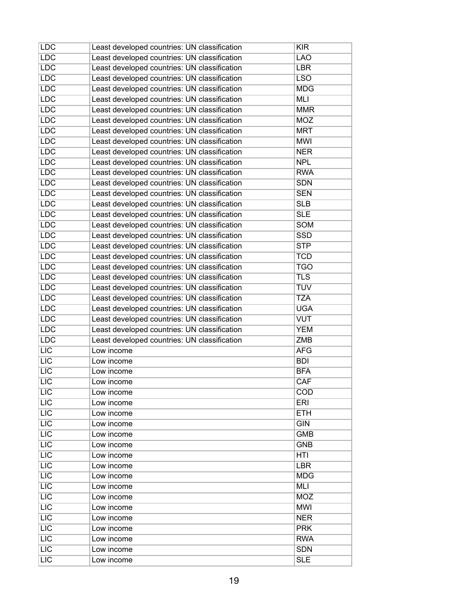| <b>LDC</b>       | Least developed countries: UN classification | <b>KIR</b> |
|------------------|----------------------------------------------|------------|
| <b>LDC</b>       | Least developed countries: UN classification | <b>LAO</b> |
| <b>LDC</b>       | Least developed countries: UN classification | <b>LBR</b> |
| <b>LDC</b>       | Least developed countries: UN classification | <b>LSO</b> |
| <b>LDC</b>       | Least developed countries: UN classification | <b>MDG</b> |
| <b>LDC</b>       | Least developed countries: UN classification | <b>MLI</b> |
| <b>LDC</b>       | Least developed countries: UN classification | <b>MMR</b> |
| <b>LDC</b>       | Least developed countries: UN classification | <b>MOZ</b> |
| <b>LDC</b>       | Least developed countries: UN classification | <b>MRT</b> |
| <b>LDC</b>       | Least developed countries: UN classification | <b>MWI</b> |
| <b>LDC</b>       | Least developed countries: UN classification | <b>NER</b> |
| <b>LDC</b>       | Least developed countries: UN classification | <b>NPL</b> |
| <b>LDC</b>       | Least developed countries: UN classification | <b>RWA</b> |
| <b>LDC</b>       | Least developed countries: UN classification | <b>SDN</b> |
| <b>LDC</b>       | Least developed countries: UN classification | <b>SEN</b> |
| <b>LDC</b>       | Least developed countries: UN classification | <b>SLB</b> |
| <b>LDC</b>       | Least developed countries: UN classification | <b>SLE</b> |
| <b>LDC</b>       | Least developed countries: UN classification | <b>SOM</b> |
| <b>LDC</b>       | Least developed countries: UN classification | <b>SSD</b> |
| <b>LDC</b>       | Least developed countries: UN classification | <b>STP</b> |
| <b>LDC</b>       | Least developed countries: UN classification | <b>TCD</b> |
| <b>LDC</b>       | Least developed countries: UN classification | <b>TGO</b> |
| <b>LDC</b>       | Least developed countries: UN classification | <b>TLS</b> |
| <b>LDC</b>       | Least developed countries: UN classification | <b>TUV</b> |
| <b>LDC</b>       | Least developed countries: UN classification | <b>TZA</b> |
| <b>LDC</b>       | Least developed countries: UN classification | <b>UGA</b> |
| <b>LDC</b>       | Least developed countries: UN classification | <b>VUT</b> |
| <b>LDC</b>       | Least developed countries: UN classification | <b>YEM</b> |
| <b>LDC</b>       | Least developed countries: UN classification | <b>ZMB</b> |
| LIC              | Low income                                   | <b>AFG</b> |
| LIC              | Low income                                   | <b>BDI</b> |
| $\overline{LIC}$ | Low income                                   | <b>BFA</b> |
| LIC              | Low income                                   | CAF        |
| <b>LIC</b>       | Low income                                   | <b>COD</b> |
| LIC              | Low income                                   | <b>ERI</b> |
| <b>LIC</b>       | Low income                                   | <b>ETH</b> |
| LIC              | Low income                                   | <b>GIN</b> |
| LIC              | Low income                                   | <b>GMB</b> |
| $\overline{LIC}$ | Low income                                   | <b>GNB</b> |
| LIC              | Low income                                   | HTI        |
| LIC              | Low income                                   | <b>LBR</b> |
| LIC              | Low income                                   | <b>MDG</b> |
| LIC              | Low income                                   | MLI        |
| LIC              | Low income                                   | <b>MOZ</b> |
| <b>LIC</b>       | Low income                                   | <b>MWI</b> |
| LIC              | Low income                                   | <b>NER</b> |
| <b>LIC</b>       | Low income                                   | <b>PRK</b> |
| LIC              | Low income                                   | <b>RWA</b> |
| <b>LIC</b>       | Low income                                   | <b>SDN</b> |
| LIC              | Low income                                   | <b>SLE</b> |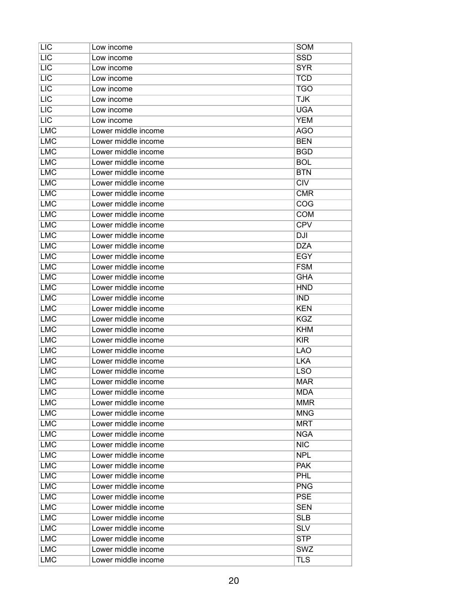| <b>LIC</b> | Low income          | SOM        |
|------------|---------------------|------------|
| LIC        | Low income          | <b>SSD</b> |
| <b>LIC</b> | Low income          | <b>SYR</b> |
| LIC        | Low income          | <b>TCD</b> |
| <b>LIC</b> | Low income          | <b>TGO</b> |
| LIC        | Low income          | <b>TJK</b> |
| LIC        | Low income          | <b>UGA</b> |
| <b>LIC</b> | Low income          | <b>YEM</b> |
| <b>LMC</b> | Lower middle income | <b>AGO</b> |
| <b>LMC</b> | Lower middle income | <b>BEN</b> |
| <b>LMC</b> | Lower middle income | <b>BGD</b> |
| <b>LMC</b> | Lower middle income | <b>BOL</b> |
| <b>LMC</b> | Lower middle income | <b>BTN</b> |
| <b>LMC</b> | Lower middle income | CIV        |
| <b>LMC</b> | Lower middle income | <b>CMR</b> |
| <b>LMC</b> | Lower middle income | COG        |
| <b>LMC</b> | Lower middle income | <b>COM</b> |
| <b>LMC</b> | Lower middle income | <b>CPV</b> |
| <b>LMC</b> | Lower middle income | <b>DJI</b> |
| <b>LMC</b> | Lower middle income | <b>DZA</b> |
| <b>LMC</b> | Lower middle income | <b>EGY</b> |
| <b>LMC</b> | Lower middle income | <b>FSM</b> |
| <b>LMC</b> | Lower middle income | <b>GHA</b> |
| <b>LMC</b> | Lower middle income | <b>HND</b> |
| <b>LMC</b> | Lower middle income | <b>IND</b> |
| <b>LMC</b> | Lower middle income | <b>KEN</b> |
| <b>LMC</b> | Lower middle income | <b>KGZ</b> |
| <b>LMC</b> | Lower middle income | <b>KHM</b> |
| <b>LMC</b> | Lower middle income | <b>KIR</b> |
| <b>LMC</b> | Lower middle income | <b>LAO</b> |
| <b>LMC</b> | Lower middle income | <b>LKA</b> |
| <b>LMC</b> | Lower middle income | <b>LSO</b> |
| <b>LMC</b> | Lower middle income | <b>MAR</b> |
| <b>LMC</b> | Lower middle income | <b>MDA</b> |
| <b>LMC</b> | Lower middle income | <b>MMR</b> |
| <b>LMC</b> | Lower middle income | <b>MNG</b> |
| <b>LMC</b> | Lower middle income | <b>MRT</b> |
| <b>LMC</b> | Lower middle income | <b>NGA</b> |
| <b>LMC</b> | Lower middle income | <b>NIC</b> |
| <b>LMC</b> | Lower middle income | <b>NPL</b> |
| <b>LMC</b> | Lower middle income | <b>PAK</b> |
| <b>LMC</b> | Lower middle income | <b>PHL</b> |
| <b>LMC</b> | Lower middle income | <b>PNG</b> |
| <b>LMC</b> | Lower middle income | <b>PSE</b> |
| <b>LMC</b> | Lower middle income | <b>SEN</b> |
| <b>LMC</b> | Lower middle income | <b>SLB</b> |
| <b>LMC</b> | Lower middle income | <b>SLV</b> |
| <b>LMC</b> | Lower middle income | <b>STP</b> |
| <b>LMC</b> | Lower middle income | SWZ        |
| <b>LMC</b> | Lower middle income | <b>TLS</b> |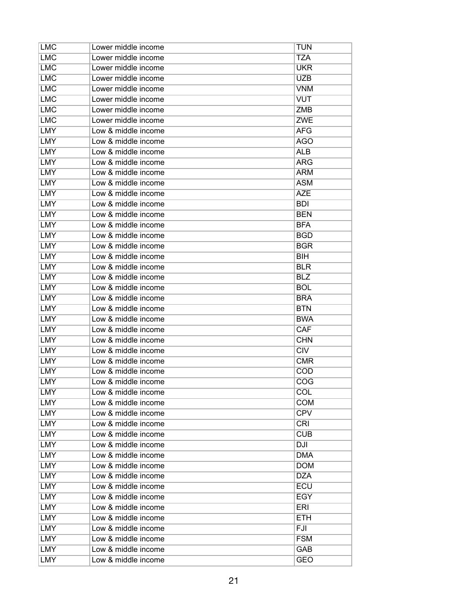| <b>LMC</b> | Lower middle income | <b>TUN</b> |
|------------|---------------------|------------|
| <b>LMC</b> | Lower middle income | <b>TZA</b> |
| <b>LMC</b> | Lower middle income | <b>UKR</b> |
| <b>LMC</b> | Lower middle income | <b>UZB</b> |
| <b>LMC</b> | Lower middle income | <b>VNM</b> |
| <b>LMC</b> | Lower middle income | <b>VUT</b> |
| <b>LMC</b> | Lower middle income | <b>ZMB</b> |
| <b>LMC</b> | Lower middle income | <b>ZWE</b> |
| LMY        | Low & middle income | AFG        |
| <b>LMY</b> | Low & middle income | AGO        |
| LMY        | Low & middle income | <b>ALB</b> |
| LMY        | Low & middle income | ARG        |
| LMY        | Low & middle income | <b>ARM</b> |
| <b>LMY</b> | Low & middle income | <b>ASM</b> |
| LMY        | Low & middle income | <b>AZE</b> |
| <b>LMY</b> | Low & middle income | <b>BDI</b> |
| <b>LMY</b> | Low & middle income | <b>BEN</b> |
| LMY        | Low & middle income | <b>BFA</b> |
| LMY        | Low & middle income | <b>BGD</b> |
| <b>LMY</b> | Low & middle income | <b>BGR</b> |
| <b>LMY</b> | Low & middle income | <b>BIH</b> |
| LMY        | Low & middle income | <b>BLR</b> |
| <b>LMY</b> | Low & middle income | <b>BLZ</b> |
| <b>LMY</b> | Low & middle income | <b>BOL</b> |
| LMY        | Low & middle income | <b>BRA</b> |
| LMY        | Low & middle income | <b>BTN</b> |
| LMY        | Low & middle income | <b>BWA</b> |
| <b>LMY</b> | Low & middle income | <b>CAF</b> |
| LMY        | Low & middle income | <b>CHN</b> |
| <b>LMY</b> | Low & middle income | <b>CIV</b> |
| <b>LMY</b> | Low & middle income | <b>CMR</b> |
| <b>LMY</b> | Low & middle income | <b>COD</b> |
| <b>LMY</b> | Low & middle income | COG        |
| LMY        | Low & middle income | COL        |
| <b>LMY</b> | Low & middle income | <b>COM</b> |
| LMY        | Low & middle income | <b>CPV</b> |
| LMY        | Low & middle income | <b>CRI</b> |
| <b>LMY</b> | Low & middle income | <b>CUB</b> |
| <b>LMY</b> | Low & middle income | <b>DJI</b> |
| LMY        | Low & middle income | <b>DMA</b> |
| LMY        | Low & middle income | <b>DOM</b> |
| <b>LMY</b> | Low & middle income | <b>DZA</b> |
| LMY        | Low & middle income | <b>ECU</b> |
| LMY        | Low & middle income | EGY        |
| <b>LMY</b> | Low & middle income | <b>ERI</b> |
| <b>LMY</b> | Low & middle income | <b>ETH</b> |
| LMY        | Low & middle income | FJI        |
| LMY        | Low & middle income | <b>FSM</b> |
| <b>LMY</b> | Low & middle income | GAB        |
| <b>LMY</b> | Low & middle income | <b>GEO</b> |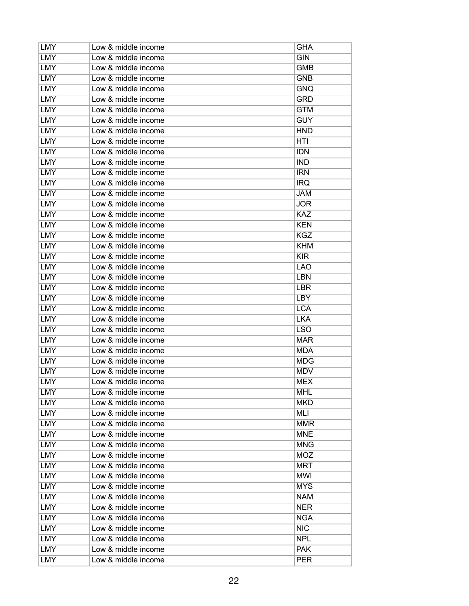| LMY        | Low & middle income | GHA        |
|------------|---------------------|------------|
| LMY        | Low & middle income | <b>GIN</b> |
| <b>LMY</b> | Low & middle income | <b>GMB</b> |
| LMY        | Low & middle income | <b>GNB</b> |
| LMY        | Low & middle income | <b>GNQ</b> |
| <b>LMY</b> | Low & middle income | <b>GRD</b> |
| <b>LMY</b> | Low & middle income | <b>GTM</b> |
| LMY        | Low & middle income | <b>GUY</b> |
| LMY        | Low & middle income | <b>HND</b> |
| <b>LMY</b> | Low & middle income | HTI        |
| LMY        | Low & middle income | <b>IDN</b> |
| LMY        | Low & middle income | <b>IND</b> |
| <b>LMY</b> | Low & middle income | <b>IRN</b> |
| <b>LMY</b> | Low & middle income | <b>IRQ</b> |
| LMY        | Low & middle income | <b>JAM</b> |
| <b>LMY</b> | Low & middle income | <b>JOR</b> |
| <b>LMY</b> | Low & middle income | <b>KAZ</b> |
| <b>LMY</b> | Low & middle income | <b>KEN</b> |
| LMY        | Low & middle income | <b>KGZ</b> |
| LMY        | Low & middle income | <b>KHM</b> |
| <b>LMY</b> | Low & middle income | <b>KIR</b> |
| LMY        | Low & middle income | LAO        |
| <b>LMY</b> | Low & middle income | <b>LBN</b> |
| <b>LMY</b> | Low & middle income | <b>LBR</b> |
| <b>LMY</b> | Low & middle income | <b>LBY</b> |
| LMY        | Low & middle income | <b>LCA</b> |
| LMY        | Low & middle income | <b>LKA</b> |
| <b>LMY</b> | Low & middle income | <b>LSO</b> |
| LMY        | Low & middle income | <b>MAR</b> |
| LMY        | Low & middle income | <b>MDA</b> |
| LMY        | Low & middle income | <b>MDG</b> |
| <b>LMY</b> | Low & middle income | <b>MDV</b> |
| <b>LMY</b> | Low & middle income | <b>MEX</b> |
| LMY        | Low & middle income | <b>MHL</b> |
| <b>LMY</b> | Low & middle income | <b>MKD</b> |
| LMY        | Low & middle income | MLI        |
| LMY        | Low & middle income | <b>MMR</b> |
| <b>LMY</b> | Low & middle income | <b>MNE</b> |
| <b>LMY</b> | Low & middle income | <b>MNG</b> |
| <b>LMY</b> | Low & middle income | <b>MOZ</b> |
| LMY        | Low & middle income | <b>MRT</b> |
| <b>LMY</b> | Low & middle income | <b>MWI</b> |
| <b>LMY</b> | Low & middle income | <b>MYS</b> |
| LMY        | Low & middle income | <b>NAM</b> |
| LMY        | Low & middle income | <b>NER</b> |
| <b>LMY</b> | Low & middle income | <b>NGA</b> |
| LMY        | Low & middle income | <b>NIC</b> |
| LMY        | Low & middle income | <b>NPL</b> |
| LMY        | Low & middle income | <b>PAK</b> |
| <b>LMY</b> | Low & middle income | <b>PER</b> |
|            |                     |            |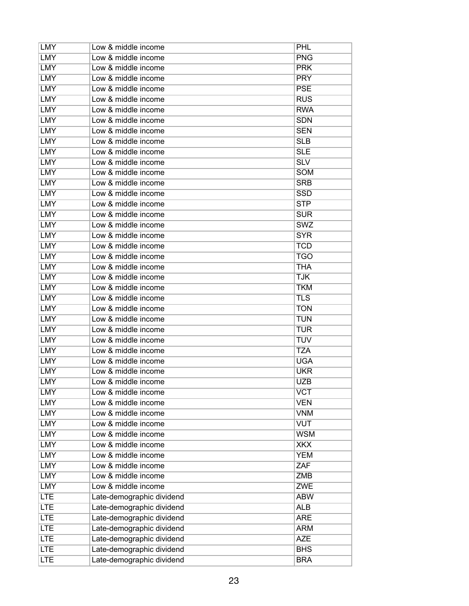| LMY        | Low & middle income       | <b>PHL</b> |
|------------|---------------------------|------------|
| LMY        | Low & middle income       | <b>PNG</b> |
| <b>LMY</b> | Low & middle income       | <b>PRK</b> |
| LMY        | Low & middle income       | <b>PRY</b> |
| LMY        | Low & middle income       | <b>PSE</b> |
| <b>LMY</b> | Low & middle income       | <b>RUS</b> |
| <b>LMY</b> | Low & middle income       | <b>RWA</b> |
| LMY        | Low & middle income       | <b>SDN</b> |
| LMY        | Low & middle income       | <b>SEN</b> |
| <b>LMY</b> | Low & middle income       | <b>SLB</b> |
| LMY        | Low & middle income       | <b>SLE</b> |
| LMY        | Low & middle income       | <b>SLV</b> |
| <b>LMY</b> | Low & middle income       | <b>SOM</b> |
| <b>LMY</b> | Low & middle income       | <b>SRB</b> |
| LMY        | Low & middle income       | <b>SSD</b> |
| <b>LMY</b> | Low & middle income       | <b>STP</b> |
| <b>LMY</b> | Low & middle income       | <b>SUR</b> |
| <b>LMY</b> | Low & middle income       | SWZ        |
| LMY        | Low & middle income       | <b>SYR</b> |
| LMY        | Low & middle income       | <b>TCD</b> |
| <b>LMY</b> | Low & middle income       | <b>TGO</b> |
| LMY        | Low & middle income       | <b>THA</b> |
| <b>LMY</b> | Low & middle income       | <b>TJK</b> |
| <b>LMY</b> | Low & middle income       | <b>TKM</b> |
| <b>LMY</b> | Low & middle income       | <b>TLS</b> |
| LMY        | Low & middle income       | <b>TON</b> |
| LMY        | Low & middle income       | <b>TUN</b> |
| <b>LMY</b> | Low & middle income       | <b>TUR</b> |
| LMY        | Low & middle income       | <b>TUV</b> |
| LMY        | Low & middle income       | <b>TZA</b> |
| LMY        | Low & middle income       | <b>UGA</b> |
| <b>LMY</b> | Low & middle income       | <b>UKR</b> |
| <b>LMY</b> | Low & middle income       | <b>UZB</b> |
| <b>LMY</b> | Low & middle income       | <b>VCT</b> |
| <b>LMY</b> | Low & middle income       | <b>VEN</b> |
| <b>LMY</b> | Low & middle income       | <b>VNM</b> |
| <b>LMY</b> | Low & middle income       | <b>VUT</b> |
| <b>LMY</b> | Low & middle income       | <b>WSM</b> |
| <b>LMY</b> | Low & middle income       | <b>XKX</b> |
| <b>LMY</b> | Low & middle income       | <b>YEM</b> |
| <b>LMY</b> | Low & middle income       | ZAF        |
| <b>LMY</b> | Low & middle income       | ZMB        |
| <b>LMY</b> | Low & middle income       | <b>ZWE</b> |
| <b>LTE</b> | Late-demographic dividend | <b>ABW</b> |
| <b>LTE</b> | Late-demographic dividend | <b>ALB</b> |
| <b>LTE</b> | Late-demographic dividend | <b>ARE</b> |
| <b>LTE</b> | Late-demographic dividend | <b>ARM</b> |
| <b>LTE</b> | Late-demographic dividend | <b>AZE</b> |
| <b>LTE</b> | Late-demographic dividend | <b>BHS</b> |
| <b>LTE</b> | Late-demographic dividend | <b>BRA</b> |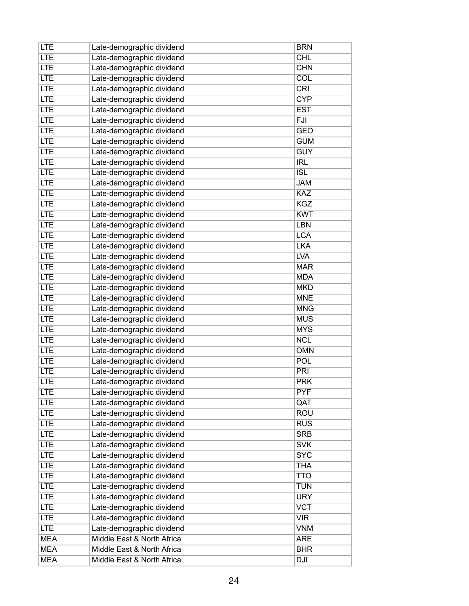| <b>LTE</b> | Late-demographic dividend  | <b>BRN</b>       |
|------------|----------------------------|------------------|
| <b>LTE</b> | Late-demographic dividend  | <b>CHL</b>       |
| <b>LTE</b> | Late-demographic dividend  | <b>CHN</b>       |
| <b>LTE</b> | Late-demographic dividend  | COL              |
| <b>LTE</b> | Late-demographic dividend  | CRI              |
| <b>LTE</b> | Late-demographic dividend  | <b>CYP</b>       |
| <b>LTE</b> | Late-demographic dividend  | <b>EST</b>       |
| <b>LTE</b> | Late-demographic dividend  | $\overline{FJI}$ |
| <b>LTE</b> | Late-demographic dividend  | <b>GEO</b>       |
| <b>LTE</b> | Late-demographic dividend  | <b>GUM</b>       |
| <b>LTE</b> | Late-demographic dividend  | <b>GUY</b>       |
| <b>LTE</b> | Late-demographic dividend  | <b>IRL</b>       |
| <b>LTE</b> | Late-demographic dividend  | ISL              |
| <b>LTE</b> | Late-demographic dividend  | <b>JAM</b>       |
| <b>LTE</b> | Late-demographic dividend  | KAZ              |
| <b>LTE</b> | Late-demographic dividend  | <b>KGZ</b>       |
| <b>LTE</b> | Late-demographic dividend  | <b>KWT</b>       |
| <b>LTE</b> | Late-demographic dividend  | LBN              |
| <b>LTE</b> | Late-demographic dividend  | <b>LCA</b>       |
| <b>LTE</b> | Late-demographic dividend  | <b>LKA</b>       |
| <b>LTE</b> | Late-demographic dividend  | <b>LVA</b>       |
| <b>LTE</b> | Late-demographic dividend  | <b>MAR</b>       |
| <b>LTE</b> | Late-demographic dividend  | <b>MDA</b>       |
| <b>LTE</b> | Late-demographic dividend  | <b>MKD</b>       |
| <b>LTE</b> | Late-demographic dividend  | <b>MNE</b>       |
| <b>LTE</b> | Late-demographic dividend  | <b>MNG</b>       |
| <b>LTE</b> | Late-demographic dividend  | <b>MUS</b>       |
| <b>LTE</b> | Late-demographic dividend  | <b>MYS</b>       |
| <b>LTE</b> | Late-demographic dividend  | <b>NCL</b>       |
| <b>LTE</b> | Late-demographic dividend  | <b>OMN</b>       |
| <b>LTE</b> | Late-demographic dividend  | <b>POL</b>       |
| <b>LTE</b> | Late-demographic dividend  | <b>PRI</b>       |
| <b>LTE</b> | Late-demographic dividend  | <b>PRK</b>       |
| <b>LTE</b> | Late-demographic dividend  | <b>PYF</b>       |
| <b>LTE</b> | Late-demographic dividend  | QAT              |
| <b>LTE</b> | Late-demographic dividend  | <b>ROU</b>       |
| <b>LTE</b> | Late-demographic dividend  | <b>RUS</b>       |
| <b>LTE</b> | Late-demographic dividend  | <b>SRB</b>       |
| <b>LTE</b> | Late-demographic dividend  | <b>SVK</b>       |
| <b>LTE</b> | Late-demographic dividend  | <b>SYC</b>       |
| <b>LTE</b> | Late-demographic dividend  | <b>THA</b>       |
| <b>LTE</b> | Late-demographic dividend  | <b>TTO</b>       |
| <b>LTE</b> | Late-demographic dividend  | <b>TUN</b>       |
| <b>LTE</b> | Late-demographic dividend  | <b>URY</b>       |
| <b>LTE</b> | Late-demographic dividend  | <b>VCT</b>       |
| <b>LTE</b> | Late-demographic dividend  | <b>VIR</b>       |
| <b>LTE</b> | Late-demographic dividend  | <b>VNM</b>       |
| <b>MEA</b> | Middle East & North Africa | <b>ARE</b>       |
| <b>MEA</b> | Middle East & North Africa | <b>BHR</b>       |
| <b>MEA</b> | Middle East & North Africa | DJI              |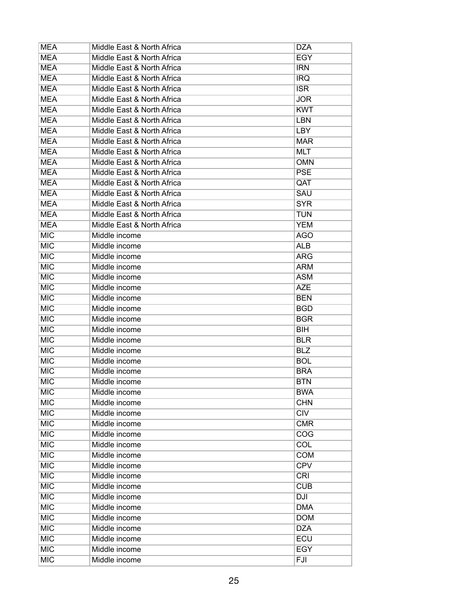| <b>MEA</b> | Middle East & North Africa | <b>DZA</b> |
|------------|----------------------------|------------|
| <b>MEA</b> | Middle East & North Africa | <b>EGY</b> |
| <b>MEA</b> | Middle East & North Africa | <b>IRN</b> |
| <b>MEA</b> | Middle East & North Africa | <b>IRQ</b> |
| <b>MEA</b> | Middle East & North Africa | <b>ISR</b> |
| <b>MEA</b> | Middle East & North Africa | <b>JOR</b> |
| <b>MEA</b> | Middle East & North Africa | <b>KWT</b> |
| <b>MEA</b> | Middle East & North Africa | <b>LBN</b> |
| <b>MEA</b> | Middle East & North Africa | <b>LBY</b> |
| <b>MEA</b> | Middle East & North Africa | <b>MAR</b> |
| <b>MEA</b> | Middle East & North Africa | <b>MLT</b> |
| <b>MEA</b> | Middle East & North Africa | <b>OMN</b> |
| <b>MEA</b> | Middle East & North Africa | <b>PSE</b> |
| <b>MEA</b> | Middle East & North Africa | QAT        |
| <b>MEA</b> | Middle East & North Africa | SAU        |
| <b>MEA</b> | Middle East & North Africa | <b>SYR</b> |
| <b>MEA</b> | Middle East & North Africa | <b>TUN</b> |
| <b>MEA</b> | Middle East & North Africa | <b>YEM</b> |
| <b>MIC</b> | Middle income              | <b>AGO</b> |
| <b>MIC</b> | Middle income              | <b>ALB</b> |
| <b>MIC</b> | Middle income              | <b>ARG</b> |
| <b>MIC</b> | Middle income              | <b>ARM</b> |
| <b>MIC</b> | Middle income              | <b>ASM</b> |
| <b>MIC</b> | Middle income              | <b>AZE</b> |
| <b>MIC</b> | Middle income              | <b>BEN</b> |
| <b>MIC</b> | Middle income              | <b>BGD</b> |
| <b>MIC</b> | Middle income              | <b>BGR</b> |
| <b>MIC</b> | Middle income              | <b>BIH</b> |
| <b>MIC</b> | Middle income              | <b>BLR</b> |
| <b>MIC</b> | Middle income              | <b>BLZ</b> |
| <b>MIC</b> | Middle income              | <b>BOL</b> |
| <b>MIC</b> | Middle income              | <b>BRA</b> |
| <b>MIC</b> | Middle income              | <b>BTN</b> |
| <b>MIC</b> | Middle income              | <b>BWA</b> |
| <b>MIC</b> | Middle income              | <b>CHN</b> |
| <b>MIC</b> | Middle income              | <b>CIV</b> |
| <b>MIC</b> | Middle income              | <b>CMR</b> |
| <b>MIC</b> | Middle income              | COG        |
| <b>MIC</b> | Middle income              | <b>COL</b> |
| <b>MIC</b> | Middle income              | <b>COM</b> |
| <b>MIC</b> | Middle income              | <b>CPV</b> |
| <b>MIC</b> | Middle income              | <b>CRI</b> |
| <b>MIC</b> | Middle income              | <b>CUB</b> |
| <b>MIC</b> | Middle income              | <b>DJI</b> |
| <b>MIC</b> | Middle income              | <b>DMA</b> |
| <b>MIC</b> | Middle income              | <b>DOM</b> |
| <b>MIC</b> | Middle income              | <b>DZA</b> |
| <b>MIC</b> | Middle income              | ECU        |
| <b>MIC</b> | Middle income              | <b>EGY</b> |
| <b>MIC</b> | Middle income              | FJI        |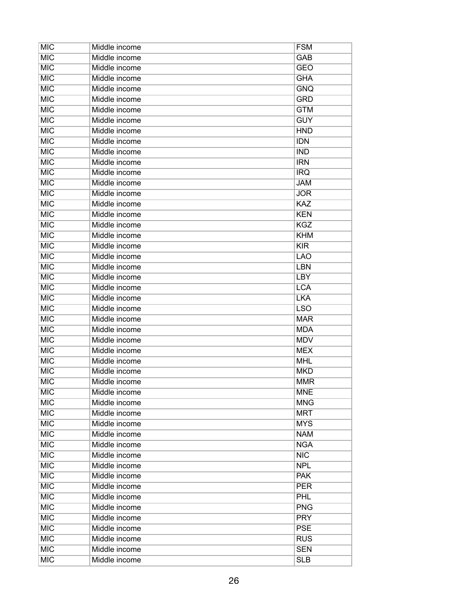| <b>MIC</b> | Middle income | <b>FSM</b> |
|------------|---------------|------------|
| <b>MIC</b> | Middle income | GAB        |
| <b>MIC</b> | Middle income | <b>GEO</b> |
| <b>MIC</b> | Middle income | <b>GHA</b> |
| <b>MIC</b> | Middle income | <b>GNQ</b> |
| <b>MIC</b> | Middle income | <b>GRD</b> |
| <b>MIC</b> | Middle income | <b>GTM</b> |
| <b>MIC</b> | Middle income | <b>GUY</b> |
| <b>MIC</b> | Middle income | <b>HND</b> |
| <b>MIC</b> | Middle income | <b>IDN</b> |
| <b>MIC</b> | Middle income | <b>IND</b> |
| <b>MIC</b> | Middle income | <b>IRN</b> |
| <b>MIC</b> | Middle income | <b>IRQ</b> |
| <b>MIC</b> | Middle income | <b>JAM</b> |
| <b>MIC</b> | Middle income | <b>JOR</b> |
| <b>MIC</b> | Middle income | KAZ        |
| <b>MIC</b> | Middle income | <b>KEN</b> |
| <b>MIC</b> | Middle income | <b>KGZ</b> |
| <b>MIC</b> | Middle income | <b>KHM</b> |
| <b>MIC</b> | Middle income | <b>KIR</b> |
| <b>MIC</b> | Middle income | <b>LAO</b> |
| <b>MIC</b> | Middle income | <b>LBN</b> |
| <b>MIC</b> | Middle income | <b>LBY</b> |
| <b>MIC</b> | Middle income | <b>LCA</b> |
| <b>MIC</b> | Middle income | <b>LKA</b> |
| <b>MIC</b> | Middle income | <b>LSO</b> |
| <b>MIC</b> | Middle income | <b>MAR</b> |
| <b>MIC</b> | Middle income | <b>MDA</b> |
| <b>MIC</b> | Middle income | <b>MDV</b> |
| <b>MIC</b> | Middle income | <b>MEX</b> |
| <b>MIC</b> | Middle income | <b>MHL</b> |
| <b>MIC</b> | Middle income | <b>MKD</b> |
| <b>MIC</b> | Middle income | <b>MMR</b> |
| <b>MIC</b> | Middle income | <b>MNE</b> |
| <b>MIC</b> | Middle income | <b>MNG</b> |
| <b>MIC</b> | Middle income | <b>MRT</b> |
| <b>MIC</b> | Middle income | <b>MYS</b> |
| <b>MIC</b> | Middle income | <b>NAM</b> |
| <b>MIC</b> | Middle income | <b>NGA</b> |
| <b>MIC</b> | Middle income | <b>NIC</b> |
| <b>MIC</b> | Middle income | <b>NPL</b> |
| <b>MIC</b> | Middle income | <b>PAK</b> |
| <b>MIC</b> | Middle income | <b>PER</b> |
| <b>MIC</b> | Middle income | <b>PHL</b> |
| <b>MIC</b> | Middle income | <b>PNG</b> |
| <b>MIC</b> | Middle income | <b>PRY</b> |
| <b>MIC</b> | Middle income | <b>PSE</b> |
| <b>MIC</b> | Middle income | <b>RUS</b> |
| <b>MIC</b> | Middle income | <b>SEN</b> |
| <b>MIC</b> | Middle income | <b>SLB</b> |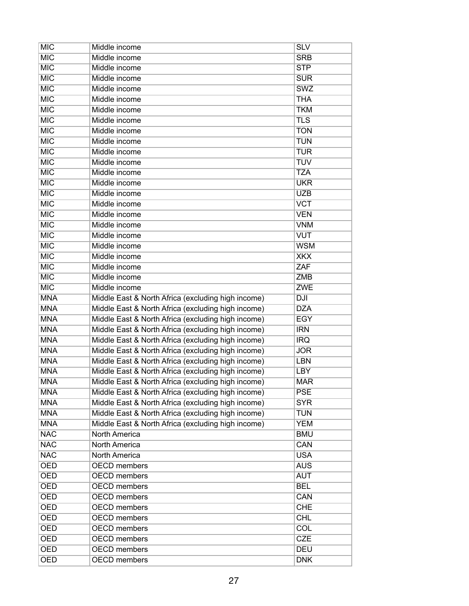| <b>MIC</b> | Middle income                                      | <b>SLV</b> |
|------------|----------------------------------------------------|------------|
| <b>MIC</b> | Middle income                                      | <b>SRB</b> |
| <b>MIC</b> | Middle income                                      | <b>STP</b> |
| <b>MIC</b> | Middle income                                      | <b>SUR</b> |
| <b>MIC</b> | Middle income                                      | <b>SWZ</b> |
| <b>MIC</b> | Middle income                                      | <b>THA</b> |
| <b>MIC</b> | Middle income                                      | <b>TKM</b> |
| <b>MIC</b> | Middle income                                      | <b>TLS</b> |
| <b>MIC</b> | Middle income                                      | <b>TON</b> |
| <b>MIC</b> | Middle income                                      | <b>TUN</b> |
| <b>MIC</b> | Middle income                                      | <b>TUR</b> |
| <b>MIC</b> | Middle income                                      | <b>TUV</b> |
| <b>MIC</b> | Middle income                                      | <b>TZA</b> |
| <b>MIC</b> | Middle income                                      | <b>UKR</b> |
| <b>MIC</b> | Middle income                                      | <b>UZB</b> |
| <b>MIC</b> | Middle income                                      | <b>VCT</b> |
| <b>MIC</b> | Middle income                                      | <b>VEN</b> |
| <b>MIC</b> | Middle income                                      | <b>VNM</b> |
| <b>MIC</b> | Middle income                                      | <b>VUT</b> |
| <b>MIC</b> | Middle income                                      | <b>WSM</b> |
| <b>MIC</b> | Middle income                                      | <b>XKX</b> |
| <b>MIC</b> | Middle income                                      | ZAF        |
| <b>MIC</b> | Middle income                                      | <b>ZMB</b> |
| <b>MIC</b> | Middle income                                      | <b>ZWE</b> |
| <b>MNA</b> | Middle East & North Africa (excluding high income) | <b>DJI</b> |
| <b>MNA</b> | Middle East & North Africa (excluding high income) | <b>DZA</b> |
| <b>MNA</b> | Middle East & North Africa (excluding high income) | <b>EGY</b> |
| <b>MNA</b> | Middle East & North Africa (excluding high income) | <b>IRN</b> |
| <b>MNA</b> | Middle East & North Africa (excluding high income) | <b>IRQ</b> |
| <b>MNA</b> | Middle East & North Africa (excluding high income) | <b>JOR</b> |
| <b>MNA</b> | Middle East & North Africa (excluding high income) | <b>LBN</b> |
| <b>MNA</b> | Middle East & North Africa (excluding high income) | <b>LBY</b> |
| <b>MNA</b> | Middle East & North Africa (excluding high income) | <b>MAR</b> |
| <b>MNA</b> | Middle East & North Africa (excluding high income) | <b>PSE</b> |
| <b>MNA</b> | Middle East & North Africa (excluding high income) | <b>SYR</b> |
| <b>MNA</b> | Middle East & North Africa (excluding high income) | <b>TUN</b> |
| <b>MNA</b> | Middle East & North Africa (excluding high income) | <b>YEM</b> |
| <b>NAC</b> | <b>North America</b>                               | <b>BMU</b> |
| <b>NAC</b> | <b>North America</b>                               | CAN        |
| <b>NAC</b> | North America                                      | <b>USA</b> |
| <b>OED</b> | <b>OECD</b> members                                | <b>AUS</b> |
| <b>OED</b> | <b>OECD</b> members                                | <b>AUT</b> |
| <b>OED</b> | <b>OECD</b> members                                | <b>BEL</b> |
| <b>OED</b> | <b>OECD</b> members                                | CAN        |
| <b>OED</b> | <b>OECD</b> members                                | <b>CHE</b> |
| <b>OED</b> | <b>OECD</b> members                                | <b>CHL</b> |
| <b>OED</b> | <b>OECD</b> members                                | COL        |
| <b>OED</b> | <b>OECD</b> members                                | <b>CZE</b> |
| <b>OED</b> | <b>OECD</b> members                                | <b>DEU</b> |
| OED        | <b>OECD</b> members                                | <b>DNK</b> |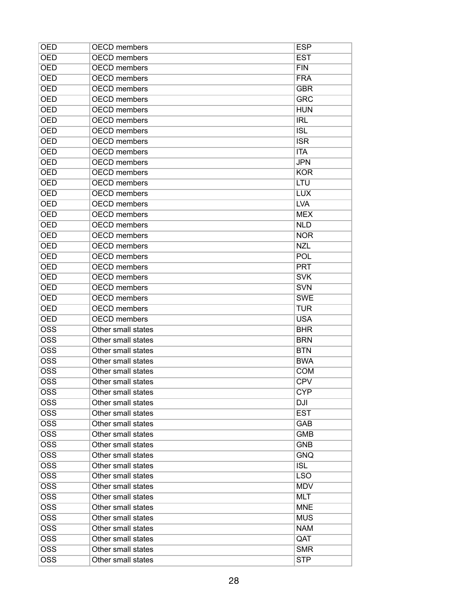| <b>OED</b>                | <b>OECD</b> members | <b>ESP</b> |
|---------------------------|---------------------|------------|
| <b>OED</b>                | <b>OECD</b> members | <b>EST</b> |
| <b>OED</b>                | <b>OECD</b> members | FIN        |
| <b>OED</b>                | <b>OECD</b> members | <b>FRA</b> |
| <b>OED</b>                | <b>OECD</b> members | <b>GBR</b> |
| <b>OED</b>                | <b>OECD</b> members | <b>GRC</b> |
| <b>OED</b>                | <b>OECD</b> members | <b>HUN</b> |
| <b>OED</b>                | <b>OECD</b> members | <b>IRL</b> |
| <b>OED</b>                | <b>OECD</b> members | <b>ISL</b> |
| <b>OED</b>                | <b>OECD</b> members | <b>ISR</b> |
| <b>OED</b>                | <b>OECD</b> members | <b>ITA</b> |
| <b>OED</b>                | <b>OECD</b> members | <b>JPN</b> |
| <b>OED</b>                | <b>OECD</b> members | <b>KOR</b> |
| <b>OED</b>                | <b>OECD</b> members | <b>LTU</b> |
| <b>OED</b>                | <b>OECD</b> members | <b>LUX</b> |
| <b>OED</b>                | <b>OECD</b> members | <b>LVA</b> |
| <b>OED</b>                | <b>OECD</b> members | <b>MEX</b> |
| <b>OED</b>                | <b>OECD</b> members | <b>NLD</b> |
| <b>OED</b>                | <b>OECD</b> members | <b>NOR</b> |
| <b>OED</b>                | <b>OECD</b> members | <b>NZL</b> |
| <b>OED</b>                | <b>OECD</b> members | POL        |
| <b>OED</b>                | <b>OECD</b> members | <b>PRT</b> |
| <b>OED</b>                | <b>OECD</b> members | <b>SVK</b> |
| <b>OED</b>                | <b>OECD</b> members | <b>SVN</b> |
| <b>OED</b>                | <b>OECD</b> members | <b>SWE</b> |
| <b>OED</b>                | <b>OECD</b> members | <b>TUR</b> |
| <b>OED</b>                | <b>OECD</b> members | <b>USA</b> |
| $\overline{\text{OSS}}$   | Other small states  | <b>BHR</b> |
| $\overline{\text{OSS}}$   | Other small states  | <b>BRN</b> |
| $\overline{\text{OSS}}$   | Other small states  | <b>BTN</b> |
| $\overline{\text{OSS}}$   | Other small states  | <b>BWA</b> |
| $\overline{\mathrm{OSS}}$ | Other small states  | <b>COM</b> |
| $\overline{OSS}$          | Other small states  | <b>CPV</b> |
| <b>OSS</b>                | Other small states  | <b>CYP</b> |
| $\overline{\text{OSS}}$   | Other small states  | DJI        |
| <b>OSS</b>                | Other small states  | <b>EST</b> |
| $\overline{\text{OSS}}$   | Other small states  | GAB        |
| <b>OSS</b>                | Other small states  | <b>GMB</b> |
| $\overline{\text{OSS}}$   | Other small states  | <b>GNB</b> |
| $\overline{\text{OSS}}$   | Other small states  | <b>GNQ</b> |
| $\overline{\text{OSS}}$   | Other small states  | <b>ISL</b> |
| $\overline{\text{OSS}}$   | Other small states  | <b>LSO</b> |
| $\overline{\text{OSS}}$   | Other small states  | <b>MDV</b> |
| $\overline{\text{OSS}}$   | Other small states  | <b>MLT</b> |
| <b>OSS</b>                | Other small states  | <b>MNE</b> |
| $\overline{\text{OSS}}$   | Other small states  | <b>MUS</b> |
| <b>OSS</b>                | Other small states  | <b>NAM</b> |
| $\overline{\text{OSS}}$   | Other small states  | QAT        |
| <b>OSS</b>                | Other small states  | <b>SMR</b> |
| $\overline{\text{OSS}}$   | Other small states  | <b>STP</b> |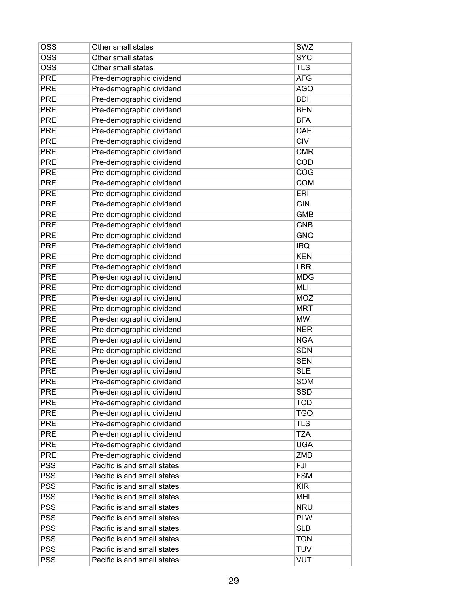| <b>OSS</b>              | Other small states          | <b>SWZ</b>               |
|-------------------------|-----------------------------|--------------------------|
| $\overline{\text{OSS}}$ | Other small states          | <b>SYC</b>               |
| $\overline{\text{OSS}}$ | Other small states          | <b>TLS</b>               |
| <b>PRE</b>              | Pre-demographic dividend    | <b>AFG</b>               |
| <b>PRE</b>              | Pre-demographic dividend    | <b>AGO</b>               |
| <b>PRE</b>              | Pre-demographic dividend    | <b>BDI</b>               |
| <b>PRE</b>              | Pre-demographic dividend    | <b>BEN</b>               |
| <b>PRE</b>              | Pre-demographic dividend    | <b>BFA</b>               |
| <b>PRE</b>              | Pre-demographic dividend    | CAF                      |
| <b>PRE</b>              | Pre-demographic dividend    | CIV                      |
| <b>PRE</b>              | Pre-demographic dividend    | <b>CMR</b>               |
| <b>PRE</b>              | Pre-demographic dividend    | COD                      |
| <b>PRE</b>              | Pre-demographic dividend    | COG                      |
| <b>PRE</b>              | Pre-demographic dividend    | <b>COM</b>               |
| <b>PRE</b>              | Pre-demographic dividend    | <b>ERI</b>               |
| <b>PRE</b>              | Pre-demographic dividend    | <b>GIN</b>               |
| <b>PRE</b>              | Pre-demographic dividend    | <b>GMB</b>               |
| <b>PRE</b>              | Pre-demographic dividend    | <b>GNB</b>               |
| <b>PRE</b>              | Pre-demographic dividend    | <b>GNQ</b>               |
| <b>PRE</b>              | Pre-demographic dividend    | <b>IRQ</b>               |
| <b>PRE</b>              | Pre-demographic dividend    | <b>KEN</b>               |
| <b>PRE</b>              | Pre-demographic dividend    | <b>LBR</b>               |
| <b>PRE</b>              | Pre-demographic dividend    | <b>MDG</b>               |
| <b>PRE</b>              | Pre-demographic dividend    | <b>MLI</b>               |
| <b>PRE</b>              | Pre-demographic dividend    | <b>MOZ</b>               |
| <b>PRE</b>              | Pre-demographic dividend    | <b>MRT</b>               |
| <b>PRE</b>              | Pre-demographic dividend    | <b>MWI</b>               |
| <b>PRE</b>              |                             | <b>NER</b>               |
| <b>PRE</b>              | Pre-demographic dividend    | <b>NGA</b>               |
|                         | Pre-demographic dividend    |                          |
| <b>PRE</b>              | Pre-demographic dividend    | <b>SDN</b><br><b>SEN</b> |
| <b>PRE</b>              | Pre-demographic dividend    |                          |
| <b>PRE</b>              | Pre-demographic dividend    | <b>SLE</b>               |
| <b>PRE</b>              | Pre-demographic dividend    | <b>SOM</b>               |
| <b>PRE</b>              | Pre-demographic dividend    | <b>SSD</b>               |
| <b>PRE</b>              | Pre-demographic dividend    | <b>TCD</b>               |
| <b>PRE</b>              | Pre-demographic dividend    | <b>TGO</b>               |
| <b>PRE</b>              | Pre-demographic dividend    | <b>TLS</b>               |
| <b>PRE</b>              | Pre-demographic dividend    | <b>TZA</b>               |
| <b>PRE</b>              | Pre-demographic dividend    | <b>UGA</b>               |
| <b>PRE</b>              | Pre-demographic dividend    | <b>ZMB</b>               |
| <b>PSS</b>              | Pacific island small states | <b>FJI</b>               |
| <b>PSS</b>              | Pacific island small states | <b>FSM</b>               |
| $\overline{\text{PSS}}$ | Pacific island small states | KIR                      |
| <b>PSS</b>              | Pacific island small states | <b>MHL</b>               |
| <b>PSS</b>              | Pacific island small states | <b>NRU</b>               |
| <b>PSS</b>              | Pacific island small states | <b>PLW</b>               |
| <b>PSS</b>              | Pacific island small states | <b>SLB</b>               |
| <b>PSS</b>              | Pacific island small states | <b>TON</b>               |
| <b>PSS</b>              | Pacific island small states | <b>TUV</b>               |
| $\overline{\text{PSS}}$ | Pacific island small states | <b>VUT</b>               |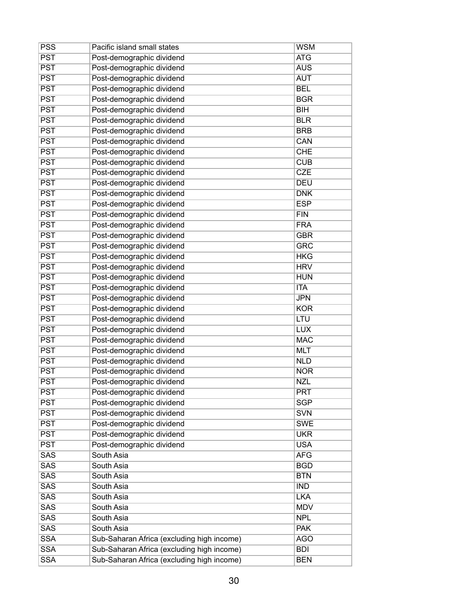| <b>PSS</b>                | Pacific island small states                | <b>WSM</b> |
|---------------------------|--------------------------------------------|------------|
| $\overline{PST}$          | Post-demographic dividend                  | <b>ATG</b> |
| <b>PST</b>                | Post-demographic dividend                  | <b>AUS</b> |
| <b>PST</b>                | Post-demographic dividend                  | <b>AUT</b> |
| <b>PST</b>                | Post-demographic dividend                  | <b>BEL</b> |
| <b>PST</b>                | Post-demographic dividend                  | <b>BGR</b> |
| $\overline{PST}$          | Post-demographic dividend                  | <b>BIH</b> |
| <b>PST</b>                | Post-demographic dividend                  | <b>BLR</b> |
| <b>PST</b>                | Post-demographic dividend                  | <b>BRB</b> |
| $\overline{PST}$          | Post-demographic dividend                  | CAN        |
| <b>PST</b>                | Post-demographic dividend                  | <b>CHE</b> |
| <b>PST</b>                | Post-demographic dividend                  | <b>CUB</b> |
| <b>PST</b>                | Post-demographic dividend                  | <b>CZE</b> |
| <b>PST</b>                | Post-demographic dividend                  | <b>DEU</b> |
| <b>PST</b>                | Post-demographic dividend                  | <b>DNK</b> |
| <b>PST</b>                | Post-demographic dividend                  | <b>ESP</b> |
| <b>PST</b>                | Post-demographic dividend                  | <b>FIN</b> |
| <b>PST</b>                | Post-demographic dividend                  | <b>FRA</b> |
| <b>PST</b>                | Post-demographic dividend                  | <b>GBR</b> |
| <b>PST</b>                | Post-demographic dividend                  | <b>GRC</b> |
| $\overline{PST}$          | Post-demographic dividend                  | <b>HKG</b> |
| <b>PST</b>                | Post-demographic dividend                  | <b>HRV</b> |
| <b>PST</b>                | Post-demographic dividend                  | <b>HUN</b> |
| <b>PST</b>                | Post-demographic dividend                  | <b>ITA</b> |
| <b>PST</b>                | Post-demographic dividend                  | <b>JPN</b> |
| <b>PST</b>                | Post-demographic dividend                  | <b>KOR</b> |
| <b>PST</b>                | Post-demographic dividend                  | LTU        |
| $\overline{\mathsf{PST}}$ | Post-demographic dividend                  | <b>LUX</b> |
| <b>PST</b>                | Post-demographic dividend                  | <b>MAC</b> |
| <b>PST</b>                | Post-demographic dividend                  | <b>MLT</b> |
| <b>PST</b>                | Post-demographic dividend                  | <b>NLD</b> |
| <b>PST</b>                | Post-demographic dividend                  | <b>NOR</b> |
| <b>PST</b>                | Post-demographic dividend                  | <b>NZL</b> |
| <b>PST</b>                | Post-demographic dividend                  | <b>PRT</b> |
| <b>PST</b>                | Post-demographic dividend                  | <b>SGP</b> |
| <b>PST</b>                | Post-demographic dividend                  | <b>SVN</b> |
| <b>PST</b>                | Post-demographic dividend                  | <b>SWE</b> |
| <b>PST</b>                | Post-demographic dividend                  | <b>UKR</b> |
| <b>PST</b>                | Post-demographic dividend                  | <b>USA</b> |
| <b>SAS</b>                | South Asia                                 | <b>AFG</b> |
| SAS                       | South Asia                                 | <b>BGD</b> |
| <b>SAS</b>                | South Asia                                 | <b>BTN</b> |
| SAS                       | South Asia                                 | <b>IND</b> |
| <b>SAS</b>                | South Asia                                 | <b>LKA</b> |
| <b>SAS</b>                | South Asia                                 | <b>MDV</b> |
| <b>SAS</b>                | South Asia                                 | <b>NPL</b> |
| <b>SAS</b>                | South Asia                                 | <b>PAK</b> |
| <b>SSA</b>                | Sub-Saharan Africa (excluding high income) | <b>AGO</b> |
| <b>SSA</b>                | Sub-Saharan Africa (excluding high income) | <b>BDI</b> |
| <b>SSA</b>                | Sub-Saharan Africa (excluding high income) | <b>BEN</b> |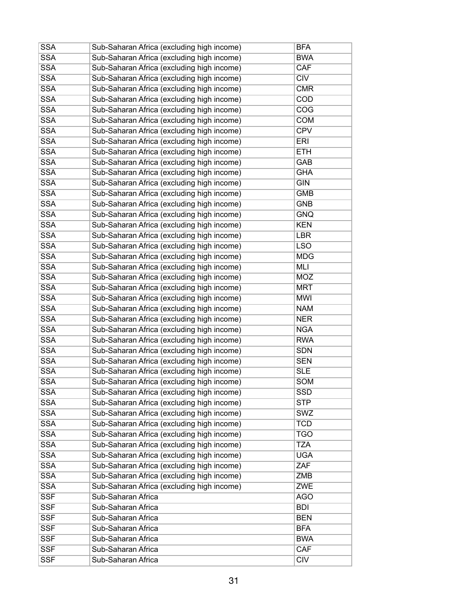| SSA                      | Sub-Saharan Africa (excluding high income) | <b>BFA</b>              |
|--------------------------|--------------------------------------------|-------------------------|
| <b>SSA</b>               | Sub-Saharan Africa (excluding high income) | <b>BWA</b>              |
| <b>SSA</b>               | Sub-Saharan Africa (excluding high income) | <b>CAF</b>              |
| <b>SSA</b>               | Sub-Saharan Africa (excluding high income) | $\overline{\text{CIV}}$ |
| <b>SSA</b>               | Sub-Saharan Africa (excluding high income) | <b>CMR</b>              |
| <b>SSA</b>               | Sub-Saharan Africa (excluding high income) | <b>COD</b>              |
| <b>SSA</b>               | Sub-Saharan Africa (excluding high income) | COG                     |
| <b>SSA</b>               | Sub-Saharan Africa (excluding high income) | <b>COM</b>              |
| <b>SSA</b>               | Sub-Saharan Africa (excluding high income) | <b>CPV</b>              |
| <b>SSA</b>               | Sub-Saharan Africa (excluding high income) | ERI                     |
| <b>SSA</b>               | Sub-Saharan Africa (excluding high income) | <b>ETH</b>              |
| <b>SSA</b>               | Sub-Saharan Africa (excluding high income) | GAB                     |
| <b>SSA</b>               | Sub-Saharan Africa (excluding high income) | <b>GHA</b>              |
| <b>SSA</b>               | Sub-Saharan Africa (excluding high income) | <b>GIN</b>              |
| <b>SSA</b>               | Sub-Saharan Africa (excluding high income) | <b>GMB</b>              |
| <b>SSA</b>               | Sub-Saharan Africa (excluding high income) | <b>GNB</b>              |
| <b>SSA</b>               | Sub-Saharan Africa (excluding high income) | <b>GNQ</b>              |
| <b>SSA</b>               | Sub-Saharan Africa (excluding high income) | <b>KEN</b>              |
| <b>SSA</b>               | Sub-Saharan Africa (excluding high income) | <b>LBR</b>              |
| <b>SSA</b>               | Sub-Saharan Africa (excluding high income) | <b>LSO</b>              |
| <b>SSA</b>               | Sub-Saharan Africa (excluding high income) | <b>MDG</b>              |
| <b>SSA</b>               | Sub-Saharan Africa (excluding high income) | MLI                     |
| <b>SSA</b>               | Sub-Saharan Africa (excluding high income) | <b>MOZ</b>              |
| <b>SSA</b>               | Sub-Saharan Africa (excluding high income) | <b>MRT</b>              |
| <b>SSA</b>               | Sub-Saharan Africa (excluding high income) | <b>MWI</b>              |
| <b>SSA</b>               | Sub-Saharan Africa (excluding high income) | <b>NAM</b>              |
| <b>SSA</b>               | Sub-Saharan Africa (excluding high income) | <b>NER</b>              |
| <b>SSA</b>               | Sub-Saharan Africa (excluding high income) | <b>NGA</b>              |
| <b>SSA</b>               | Sub-Saharan Africa (excluding high income) | <b>RWA</b>              |
| <b>SSA</b>               | Sub-Saharan Africa (excluding high income) | <b>SDN</b>              |
| <b>SSA</b>               | Sub-Saharan Africa (excluding high income) | <b>SEN</b>              |
| <b>SSA</b>               | Sub-Saharan Africa (excluding high income) | <b>SLE</b>              |
| <b>SSA</b>               | Sub-Saharan Africa (excluding high income) | <b>SOM</b>              |
| <b>SSA</b>               | Sub-Saharan Africa (excluding high income) | <b>SSD</b>              |
| <b>SSA</b>               | Sub-Saharan Africa (excluding high income) | <b>STP</b>              |
| <b>SSA</b>               | Sub-Saharan Africa (excluding high income) | <b>SWZ</b>              |
| <b>SSA</b>               | Sub-Saharan Africa (excluding high income) | <b>TCD</b>              |
| <b>SSA</b>               | Sub-Saharan Africa (excluding high income) | <b>TGO</b>              |
| SSA                      | Sub-Saharan Africa (excluding high income) | <b>TZA</b>              |
| <b>SSA</b>               | Sub-Saharan Africa (excluding high income) | <b>UGA</b>              |
| <b>SSA</b>               | Sub-Saharan Africa (excluding high income) | ZAF                     |
| <b>SSA</b>               | Sub-Saharan Africa (excluding high income) | <b>ZMB</b>              |
|                          |                                            |                         |
| <b>SSA</b><br><b>SSF</b> | Sub-Saharan Africa (excluding high income) | <b>ZWE</b>              |
|                          | Sub-Saharan Africa                         | <b>AGO</b>              |
| <b>SSF</b>               | Sub-Saharan Africa                         | <b>BDI</b>              |
| <b>SSF</b>               | Sub-Saharan Africa                         | <b>BEN</b>              |
| <b>SSF</b>               | Sub-Saharan Africa                         | <b>BFA</b>              |
| <b>SSF</b>               | Sub-Saharan Africa                         | <b>BWA</b>              |
| <b>SSF</b>               | Sub-Saharan Africa                         | CAF                     |
| <b>SSF</b>               | Sub-Saharan Africa                         | CIV                     |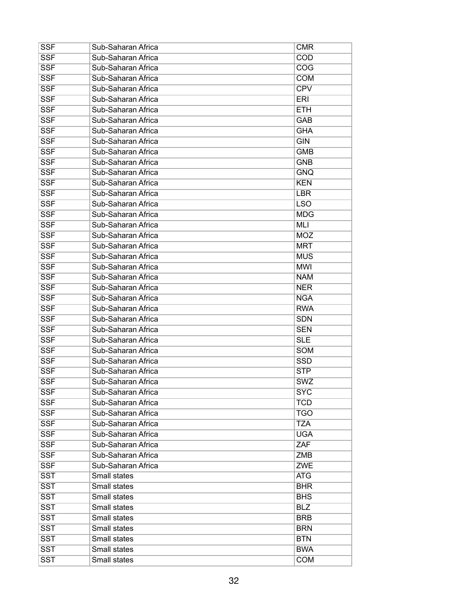| <b>SSF</b> | Sub-Saharan Africa | <b>CMR</b> |
|------------|--------------------|------------|
| <b>SSF</b> | Sub-Saharan Africa | COD        |
| <b>SSF</b> | Sub-Saharan Africa | COG        |
| <b>SSF</b> | Sub-Saharan Africa | <b>COM</b> |
| <b>SSF</b> | Sub-Saharan Africa | <b>CPV</b> |
| <b>SSF</b> | Sub-Saharan Africa | ERI        |
| <b>SSF</b> | Sub-Saharan Africa | <b>ETH</b> |
| <b>SSF</b> | Sub-Saharan Africa | GAB        |
| <b>SSF</b> | Sub-Saharan Africa | <b>GHA</b> |
| <b>SSF</b> | Sub-Saharan Africa | <b>GIN</b> |
| <b>SSF</b> | Sub-Saharan Africa | <b>GMB</b> |
| <b>SSF</b> | Sub-Saharan Africa | <b>GNB</b> |
| <b>SSF</b> | Sub-Saharan Africa | <b>GNQ</b> |
| <b>SSF</b> | Sub-Saharan Africa | <b>KEN</b> |
| <b>SSF</b> | Sub-Saharan Africa | <b>LBR</b> |
| <b>SSF</b> | Sub-Saharan Africa | <b>LSO</b> |
| <b>SSF</b> | Sub-Saharan Africa | <b>MDG</b> |
| <b>SSF</b> | Sub-Saharan Africa | <b>MLI</b> |
| <b>SSF</b> | Sub-Saharan Africa | <b>MOZ</b> |
| <b>SSF</b> | Sub-Saharan Africa | <b>MRT</b> |
| <b>SSF</b> | Sub-Saharan Africa | <b>MUS</b> |
| <b>SSF</b> | Sub-Saharan Africa | <b>MWI</b> |
| <b>SSF</b> | Sub-Saharan Africa | <b>NAM</b> |
| <b>SSF</b> | Sub-Saharan Africa | <b>NER</b> |
| <b>SSF</b> | Sub-Saharan Africa | <b>NGA</b> |
| <b>SSF</b> | Sub-Saharan Africa | <b>RWA</b> |
| <b>SSF</b> | Sub-Saharan Africa | <b>SDN</b> |
| <b>SSF</b> | Sub-Saharan Africa | <b>SEN</b> |
| <b>SSF</b> | Sub-Saharan Africa | <b>SLE</b> |
| <b>SSF</b> | Sub-Saharan Africa | SOM        |
| <b>SSF</b> | Sub-Saharan Africa | <b>SSD</b> |
| <b>SSF</b> | Sub-Saharan Africa | <b>STP</b> |
| <b>SSF</b> | Sub-Saharan Africa | <b>SWZ</b> |
| <b>SSF</b> | Sub-Saharan Africa | <b>SYC</b> |
| <b>SSF</b> | Sub-Saharan Africa | <b>TCD</b> |
| <b>SSF</b> | Sub-Saharan Africa | TGO        |
| <b>SSF</b> | Sub-Saharan Africa | <b>TZA</b> |
| <b>SSF</b> | Sub-Saharan Africa | <b>UGA</b> |
| <b>SSF</b> | Sub-Saharan Africa | ZAF        |
| <b>SSF</b> | Sub-Saharan Africa | ZMB        |
| <b>SSF</b> | Sub-Saharan Africa | <b>ZWE</b> |
| <b>SST</b> | Small states       | ATG        |
| <b>SST</b> | Small states       | <b>BHR</b> |
| <b>SST</b> | Small states       | <b>BHS</b> |
| <b>SST</b> | Small states       | <b>BLZ</b> |
| <b>SST</b> | Small states       | <b>BRB</b> |
| <b>SST</b> | Small states       | <b>BRN</b> |
| <b>SST</b> | Small states       | <b>BTN</b> |
| <b>SST</b> | Small states       | <b>BWA</b> |
| <b>SST</b> | Small states       | <b>COM</b> |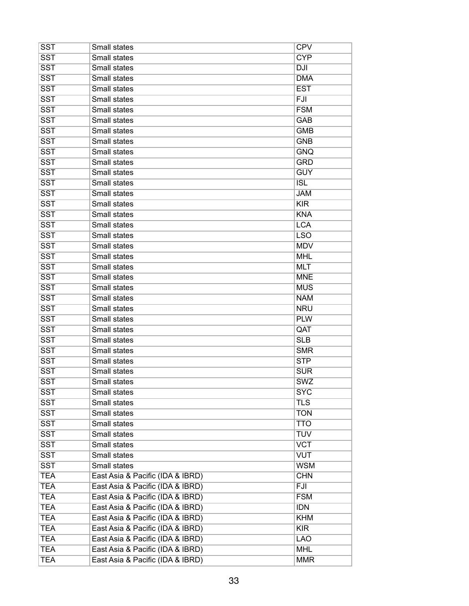| <b>SST</b>              | Small states                     | <b>CPV</b> |
|-------------------------|----------------------------------|------------|
| <b>SST</b>              | Small states                     | <b>CYP</b> |
| <b>SST</b>              | Small states                     | <b>DJI</b> |
| <b>SST</b>              | Small states                     | <b>DMA</b> |
| <b>SST</b>              | Small states                     | <b>EST</b> |
| <b>SST</b>              | Small states                     | FJI        |
| <b>SST</b>              | Small states                     | <b>FSM</b> |
| <b>SST</b>              | Small states                     | <b>GAB</b> |
| <b>SST</b>              | Small states                     | <b>GMB</b> |
| <b>SST</b>              | Small states                     | <b>GNB</b> |
| <b>SST</b>              | Small states                     | <b>GNQ</b> |
| <b>SST</b>              | Small states                     | <b>GRD</b> |
| $\overline{\text{SST}}$ | Small states                     | <b>GUY</b> |
| <b>SST</b>              | Small states                     | <b>ISL</b> |
| <b>SST</b>              | Small states                     | <b>JAM</b> |
| <b>SST</b>              | Small states                     | <b>KIR</b> |
| <b>SST</b>              | Small states                     | <b>KNA</b> |
| <b>SST</b>              | Small states                     | <b>LCA</b> |
| <b>SST</b>              | Small states                     | <b>LSO</b> |
| <b>SST</b>              | Small states                     | <b>MDV</b> |
| <b>SST</b>              | <b>Small states</b>              | <b>MHL</b> |
| <b>SST</b>              | Small states                     | <b>MLT</b> |
| <b>SST</b>              | Small states                     | <b>MNE</b> |
| <b>SST</b>              | Small states                     | <b>MUS</b> |
| <b>SST</b>              | Small states                     | <b>NAM</b> |
| <b>SST</b>              | Small states                     | <b>NRU</b> |
| <b>SST</b>              | Small states                     | <b>PLW</b> |
| <b>SST</b>              | Small states                     | QAT        |
| <b>SST</b>              | Small states                     | <b>SLB</b> |
| <b>SST</b>              | Small states                     | <b>SMR</b> |
| <b>SST</b>              | Small states                     | <b>STP</b> |
| <b>SST</b>              | <b>Small states</b>              | <b>SUR</b> |
| <b>SST</b>              | Small states                     | <b>SWZ</b> |
| <b>SST</b>              | Small states                     | <b>SYC</b> |
| $\overline{\text{SST}}$ | Small states                     | <b>TLS</b> |
| <b>SST</b>              | Small states                     | <b>TON</b> |
| <b>SST</b>              | Small states                     | <b>TTO</b> |
| <b>SST</b>              | Small states                     | <b>TUV</b> |
| $\overline{\text{SST}}$ | Small states                     | <b>VCT</b> |
| <b>SST</b>              | Small states                     | <b>VUT</b> |
| <b>SST</b>              | Small states                     | <b>WSM</b> |
| <b>TEA</b>              | East Asia & Pacific (IDA & IBRD) | <b>CHN</b> |
| <b>TEA</b>              | East Asia & Pacific (IDA & IBRD) | FJI        |
| <b>TEA</b>              | East Asia & Pacific (IDA & IBRD) | <b>FSM</b> |
| <b>TEA</b>              | East Asia & Pacific (IDA & IBRD) | <b>IDN</b> |
| <b>TEA</b>              | East Asia & Pacific (IDA & IBRD) | <b>KHM</b> |
| <b>TEA</b>              | East Asia & Pacific (IDA & IBRD) | <b>KIR</b> |
| <b>TEA</b>              | East Asia & Pacific (IDA & IBRD) | <b>LAO</b> |
| <b>TEA</b>              | East Asia & Pacific (IDA & IBRD) | <b>MHL</b> |
| <b>TEA</b>              | East Asia & Pacific (IDA & IBRD) | <b>MMR</b> |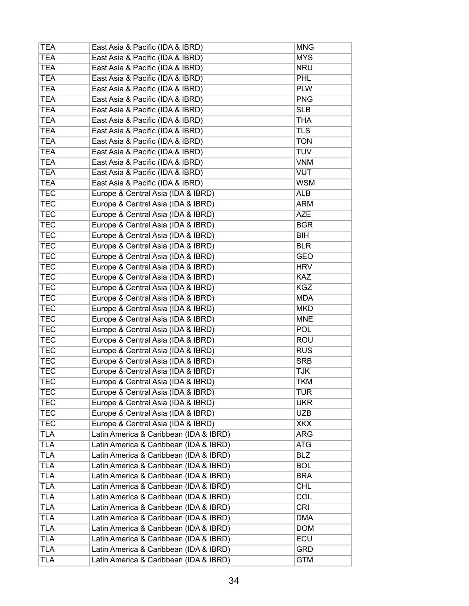| <b>TEA</b> | East Asia & Pacific (IDA & IBRD)       | <b>MNG</b> |
|------------|----------------------------------------|------------|
| <b>TEA</b> | East Asia & Pacific (IDA & IBRD)       | <b>MYS</b> |
| <b>TEA</b> | East Asia & Pacific (IDA & IBRD)       | <b>NRU</b> |
| <b>TEA</b> | East Asia & Pacific (IDA & IBRD)       | <b>PHL</b> |
| <b>TEA</b> | East Asia & Pacific (IDA & IBRD)       | <b>PLW</b> |
| <b>TEA</b> | East Asia & Pacific (IDA & IBRD)       | <b>PNG</b> |
| <b>TEA</b> | East Asia & Pacific (IDA & IBRD)       | <b>SLB</b> |
| <b>TEA</b> | East Asia & Pacific (IDA & IBRD)       | <b>THA</b> |
| <b>TEA</b> | East Asia & Pacific (IDA & IBRD)       | <b>TLS</b> |
| <b>TEA</b> | East Asia & Pacific (IDA & IBRD)       | <b>TON</b> |
| <b>TEA</b> | East Asia & Pacific (IDA & IBRD)       | <b>TUV</b> |
| <b>TEA</b> | East Asia & Pacific (IDA & IBRD)       | <b>VNM</b> |
| <b>TEA</b> | East Asia & Pacific (IDA & IBRD)       | <b>VUT</b> |
| <b>TEA</b> | East Asia & Pacific (IDA & IBRD)       | <b>WSM</b> |
| <b>TEC</b> | Europe & Central Asia (IDA & IBRD)     | <b>ALB</b> |
| <b>TEC</b> | Europe & Central Asia (IDA & IBRD)     | <b>ARM</b> |
| <b>TEC</b> | Europe & Central Asia (IDA & IBRD)     | <b>AZE</b> |
| <b>TEC</b> | Europe & Central Asia (IDA & IBRD)     | <b>BGR</b> |
| <b>TEC</b> | Europe & Central Asia (IDA & IBRD)     | BIH        |
| <b>TEC</b> | Europe & Central Asia (IDA & IBRD)     | <b>BLR</b> |
| <b>TEC</b> | Europe & Central Asia (IDA & IBRD)     | <b>GEO</b> |
| <b>TEC</b> | Europe & Central Asia (IDA & IBRD)     | <b>HRV</b> |
| <b>TEC</b> | Europe & Central Asia (IDA & IBRD)     | <b>KAZ</b> |
| <b>TEC</b> | Europe & Central Asia (IDA & IBRD)     | <b>KGZ</b> |
|            |                                        |            |
| <b>TEC</b> | Europe & Central Asia (IDA & IBRD)     | <b>MDA</b> |
| <b>TEC</b> | Europe & Central Asia (IDA & IBRD)     | <b>MKD</b> |
| <b>TEC</b> | Europe & Central Asia (IDA & IBRD)     | <b>MNE</b> |
| <b>TEC</b> | Europe & Central Asia (IDA & IBRD)     | <b>POL</b> |
| <b>TEC</b> | Europe & Central Asia (IDA & IBRD)     | <b>ROU</b> |
| <b>TEC</b> | Europe & Central Asia (IDA & IBRD)     | <b>RUS</b> |
| <b>TEC</b> | Europe & Central Asia (IDA & IBRD)     | <b>SRB</b> |
| <b>TEC</b> | Europe & Central Asia (IDA & IBRD)     | <b>TJK</b> |
| <b>TEC</b> | Europe & Central Asia (IDA & IBRD)     | <b>TKM</b> |
| <b>TEC</b> | Europe & Central Asia (IDA & IBRD)     | <b>TUR</b> |
| <b>TEC</b> | Europe & Central Asia (IDA & IBRD)     | <b>UKR</b> |
| <b>TEC</b> | Europe & Central Asia (IDA & IBRD)     | <b>UZB</b> |
| <b>TEC</b> | Europe & Central Asia (IDA & IBRD)     | <b>XKX</b> |
| <b>TLA</b> | Latin America & Caribbean (IDA & IBRD) | <b>ARG</b> |
| <b>TLA</b> | Latin America & Caribbean (IDA & IBRD) | <b>ATG</b> |
| <b>TLA</b> | Latin America & Caribbean (IDA & IBRD) | <b>BLZ</b> |
| <b>TLA</b> | Latin America & Caribbean (IDA & IBRD) | <b>BOL</b> |
| <b>TLA</b> | Latin America & Caribbean (IDA & IBRD) | <b>BRA</b> |
| <b>TLA</b> | Latin America & Caribbean (IDA & IBRD) | <b>CHL</b> |
| <b>TLA</b> | Latin America & Caribbean (IDA & IBRD) | COL        |
| <b>TLA</b> | Latin America & Caribbean (IDA & IBRD) | <b>CRI</b> |
| <b>TLA</b> | Latin America & Caribbean (IDA & IBRD) | <b>DMA</b> |
| <b>TLA</b> | Latin America & Caribbean (IDA & IBRD) | <b>DOM</b> |
| <b>TLA</b> | Latin America & Caribbean (IDA & IBRD) | ECU        |
| <b>TLA</b> | Latin America & Caribbean (IDA & IBRD) | <b>GRD</b> |
| <b>TLA</b> | Latin America & Caribbean (IDA & IBRD) | <b>GTM</b> |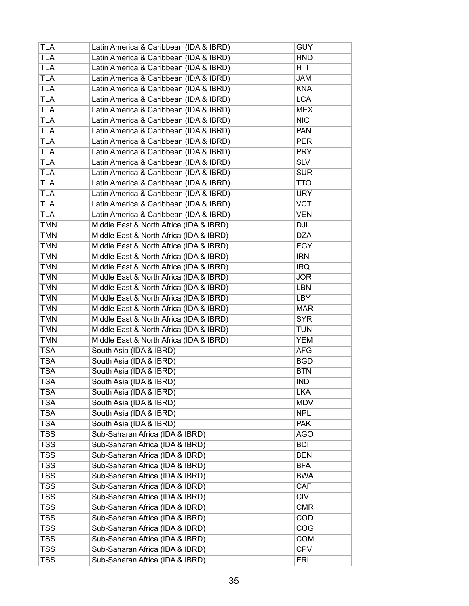| TLA                     | Latin America & Caribbean (IDA & IBRD)  | <b>GUY</b> |
|-------------------------|-----------------------------------------|------------|
| <b>TLA</b>              | Latin America & Caribbean (IDA & IBRD)  | <b>HND</b> |
| <b>TLA</b>              | Latin America & Caribbean (IDA & IBRD)  | <b>HTI</b> |
| <b>TLA</b>              | Latin America & Caribbean (IDA & IBRD)  | <b>JAM</b> |
| <b>TLA</b>              | Latin America & Caribbean (IDA & IBRD)  | <b>KNA</b> |
| <b>TLA</b>              | Latin America & Caribbean (IDA & IBRD)  | <b>LCA</b> |
| <b>TLA</b>              | Latin America & Caribbean (IDA & IBRD)  | <b>MEX</b> |
| <b>TLA</b>              | Latin America & Caribbean (IDA & IBRD)  | <b>NIC</b> |
| <b>TLA</b>              | Latin America & Caribbean (IDA & IBRD)  | <b>PAN</b> |
| <b>TLA</b>              | Latin America & Caribbean (IDA & IBRD)  | <b>PER</b> |
| <b>TLA</b>              | Latin America & Caribbean (IDA & IBRD)  | <b>PRY</b> |
| <b>TLA</b>              | Latin America & Caribbean (IDA & IBRD)  | <b>SLV</b> |
| <b>TLA</b>              | Latin America & Caribbean (IDA & IBRD)  | <b>SUR</b> |
| <b>TLA</b>              | Latin America & Caribbean (IDA & IBRD)  | <b>TTO</b> |
| <b>TLA</b>              | Latin America & Caribbean (IDA & IBRD)  | <b>URY</b> |
| <b>TLA</b>              | Latin America & Caribbean (IDA & IBRD)  | <b>VCT</b> |
| <b>TLA</b>              | Latin America & Caribbean (IDA & IBRD)  | <b>VEN</b> |
| <b>TMN</b>              | Middle East & North Africa (IDA & IBRD) | <b>DJI</b> |
| <b>TMN</b>              | Middle East & North Africa (IDA & IBRD) | <b>DZA</b> |
| <b>TMN</b>              | Middle East & North Africa (IDA & IBRD) | EGY        |
| <b>TMN</b>              | Middle East & North Africa (IDA & IBRD) | <b>IRN</b> |
| <b>TMN</b>              | Middle East & North Africa (IDA & IBRD) | <b>IRQ</b> |
| <b>TMN</b>              | Middle East & North Africa (IDA & IBRD) | <b>JOR</b> |
| <b>TMN</b>              | Middle East & North Africa (IDA & IBRD) | LBN        |
| <b>TMN</b>              | Middle East & North Africa (IDA & IBRD) | LBY        |
| <b>TMN</b>              | Middle East & North Africa (IDA & IBRD) | <b>MAR</b> |
| <b>TMN</b>              | Middle East & North Africa (IDA & IBRD) | <b>SYR</b> |
| <b>TMN</b>              | Middle East & North Africa (IDA & IBRD) | <b>TUN</b> |
| <b>TMN</b>              | Middle East & North Africa (IDA & IBRD) | <b>YEM</b> |
| <b>TSA</b>              | South Asia (IDA & IBRD)                 | <b>AFG</b> |
| <b>TSA</b>              | South Asia (IDA & IBRD)                 | <b>BGD</b> |
| <b>TSA</b>              | South Asia (IDA & IBRD)                 | <b>BTN</b> |
| <b>TSA</b>              | South Asia (IDA & IBRD)                 | <b>IND</b> |
| <b>TSA</b>              | South Asia (IDA & IBRD)                 | <b>LKA</b> |
| <b>TSA</b>              | South Asia (IDA & IBRD)                 | <b>MDV</b> |
| <b>TSA</b>              | South Asia (IDA & IBRD)                 | <b>NPL</b> |
| <b>TSA</b>              | South Asia (IDA & IBRD)                 | <b>PAK</b> |
| <b>TSS</b>              | Sub-Saharan Africa (IDA & IBRD)         | <b>AGO</b> |
| $\overline{\text{TSS}}$ | Sub-Saharan Africa (IDA & IBRD)         | <b>BDI</b> |
| $\overline{\text{TSS}}$ | Sub-Saharan Africa (IDA & IBRD)         | <b>BEN</b> |
| $\overline{\text{TSS}}$ | Sub-Saharan Africa (IDA & IBRD)         | <b>BFA</b> |
| $\overline{\text{TSS}}$ | Sub-Saharan Africa (IDA & IBRD)         | <b>BWA</b> |
|                         |                                         |            |
| $\overline{\text{TSS}}$ | Sub-Saharan Africa (IDA & IBRD)         | CAF        |
| $\overline{\text{TSS}}$ | Sub-Saharan Africa (IDA & IBRD)         | <b>CIV</b> |
| <b>TSS</b>              | Sub-Saharan Africa (IDA & IBRD)         | <b>CMR</b> |
| <b>TSS</b>              | Sub-Saharan Africa (IDA & IBRD)         | <b>COD</b> |
| <b>TSS</b>              | Sub-Saharan Africa (IDA & IBRD)         | COG        |
| <b>TSS</b>              | Sub-Saharan Africa (IDA & IBRD)         | <b>COM</b> |
| <b>TSS</b>              | Sub-Saharan Africa (IDA & IBRD)         | <b>CPV</b> |
| $\overline{\text{TSS}}$ | Sub-Saharan Africa (IDA & IBRD)         | <b>ERI</b> |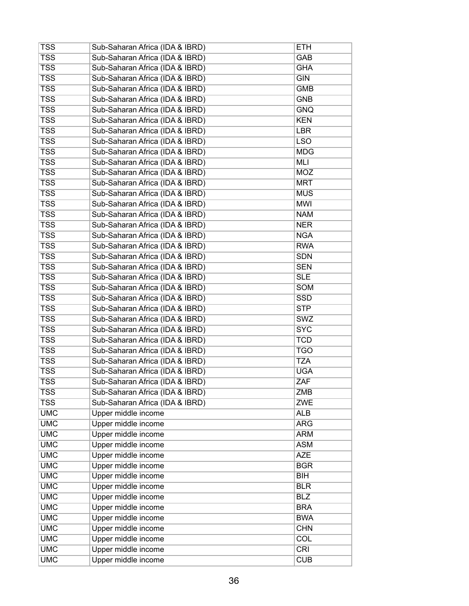| $\overline{\text{TSS}}$<br>Sub-Saharan Africa (IDA & IBRD)<br>GAB        |  |
|--------------------------------------------------------------------------|--|
| $\overline{\text{TSS}}$<br>Sub-Saharan Africa (IDA & IBRD)<br><b>GHA</b> |  |
| <b>TSS</b><br>Sub-Saharan Africa (IDA & IBRD)<br><b>GIN</b>              |  |
| $\overline{\text{TSS}}$<br>Sub-Saharan Africa (IDA & IBRD)<br><b>GMB</b> |  |
| <b>TSS</b><br>Sub-Saharan Africa (IDA & IBRD)<br><b>GNB</b>              |  |
| $\overline{\text{TSS}}$<br>Sub-Saharan Africa (IDA & IBRD)<br><b>GNQ</b> |  |
| <b>TSS</b><br>Sub-Saharan Africa (IDA & IBRD)<br><b>KEN</b>              |  |
| <b>TSS</b><br>Sub-Saharan Africa (IDA & IBRD)<br><b>LBR</b>              |  |
| <b>TSS</b><br>Sub-Saharan Africa (IDA & IBRD)<br><b>LSO</b>              |  |
| $\overline{\text{TSS}}$<br>Sub-Saharan Africa (IDA & IBRD)<br><b>MDG</b> |  |
| <b>TSS</b><br>Sub-Saharan Africa (IDA & IBRD)<br>MLI                     |  |
| $\overline{\text{TSS}}$<br>Sub-Saharan Africa (IDA & IBRD)<br><b>MOZ</b> |  |
| <b>TSS</b><br>Sub-Saharan Africa (IDA & IBRD)<br><b>MRT</b>              |  |
| <b>TSS</b><br>Sub-Saharan Africa (IDA & IBRD)<br><b>MUS</b>              |  |
| $\overline{\text{TSS}}$<br>Sub-Saharan Africa (IDA & IBRD)<br><b>MWI</b> |  |
| <b>TSS</b><br>Sub-Saharan Africa (IDA & IBRD)<br><b>NAM</b>              |  |
| <b>TSS</b><br>Sub-Saharan Africa (IDA & IBRD)<br><b>NER</b>              |  |
| <b>TSS</b><br>Sub-Saharan Africa (IDA & IBRD)<br><b>NGA</b>              |  |
| <b>TSS</b><br>Sub-Saharan Africa (IDA & IBRD)<br><b>RWA</b>              |  |
| $\overline{\text{TSS}}$<br>Sub-Saharan Africa (IDA & IBRD)<br><b>SDN</b> |  |
| <b>TSS</b><br>Sub-Saharan Africa (IDA & IBRD)<br><b>SEN</b>              |  |
| <b>TSS</b><br>Sub-Saharan Africa (IDA & IBRD)<br><b>SLE</b>              |  |
| <b>TSS</b><br>Sub-Saharan Africa (IDA & IBRD)<br>SOM                     |  |
| $\overline{\text{TSS}}$<br>Sub-Saharan Africa (IDA & IBRD)<br><b>SSD</b> |  |
| $\overline{\text{TSS}}$<br>Sub-Saharan Africa (IDA & IBRD)<br><b>STP</b> |  |
| $\overline{\text{TSS}}$<br>Sub-Saharan Africa (IDA & IBRD)<br>SWZ        |  |
| <b>TSS</b><br>Sub-Saharan Africa (IDA & IBRD)<br><b>SYC</b>              |  |
| <b>TSS</b><br>Sub-Saharan Africa (IDA & IBRD)<br><b>TCD</b>              |  |
| <b>TSS</b><br>Sub-Saharan Africa (IDA & IBRD)<br><b>TGO</b>              |  |
| $\overline{\text{TSS}}$<br>Sub-Saharan Africa (IDA & IBRD)<br><b>TZA</b> |  |
| $\overline{\text{TSS}}$<br>Sub-Saharan Africa (IDA & IBRD)<br><b>UGA</b> |  |
| <b>TSS</b><br>Sub-Saharan Africa (IDA & IBRD)<br>ZAF                     |  |
| <b>TSS</b><br>Sub-Saharan Africa (IDA & IBRD)<br><b>ZMB</b>              |  |
| $\overline{\text{TSS}}$<br>Sub-Saharan Africa (IDA & IBRD)<br><b>ZWE</b> |  |
| <b>UMC</b><br>Upper middle income<br><b>ALB</b>                          |  |
| <b>UMC</b><br>Upper middle income<br><b>ARG</b>                          |  |
| <b>UMC</b><br>Upper middle income<br><b>ARM</b>                          |  |
| <b>UMC</b><br>Upper middle income<br><b>ASM</b>                          |  |
| <b>UMC</b><br>Upper middle income<br><b>AZE</b>                          |  |
| <b>UMC</b><br>Upper middle income<br><b>BGR</b>                          |  |
| <b>UMC</b><br>Upper middle income<br>BH                                  |  |
| <b>UMC</b><br>Upper middle income<br><b>BLR</b>                          |  |
| <b>UMC</b><br>Upper middle income<br><b>BLZ</b>                          |  |
| <b>UMC</b><br>Upper middle income<br><b>BRA</b>                          |  |
| <b>UMC</b><br>Upper middle income<br><b>BWA</b>                          |  |
| <b>UMC</b><br>Upper middle income<br><b>CHN</b>                          |  |
| <b>UMC</b><br>Upper middle income<br>COL                                 |  |
| <b>UMC</b><br>Upper middle income<br><b>CRI</b>                          |  |
| <b>UMC</b><br>Upper middle income<br><b>CUB</b>                          |  |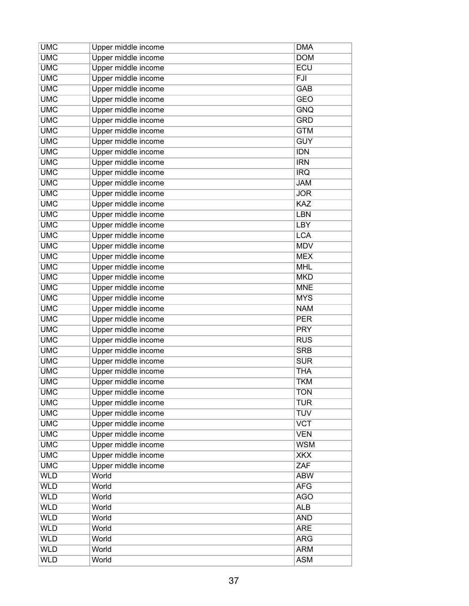| <b>UMC</b> | Upper middle income | <b>DMA</b> |
|------------|---------------------|------------|
| <b>UMC</b> | Upper middle income | <b>DOM</b> |
| <b>UMC</b> | Upper middle income | <b>ECU</b> |
| <b>UMC</b> | Upper middle income | FJI        |
| <b>UMC</b> | Upper middle income | <b>GAB</b> |
| <b>UMC</b> | Upper middle income | <b>GEO</b> |
| <b>UMC</b> | Upper middle income | <b>GNQ</b> |
| <b>UMC</b> | Upper middle income | <b>GRD</b> |
| <b>UMC</b> | Upper middle income | <b>GTM</b> |
| <b>UMC</b> | Upper middle income | <b>GUY</b> |
| <b>UMC</b> | Upper middle income | <b>IDN</b> |
| <b>UMC</b> | Upper middle income | <b>IRN</b> |
| <b>UMC</b> | Upper middle income | <b>IRQ</b> |
| <b>UMC</b> | Upper middle income | <b>JAM</b> |
| <b>UMC</b> | Upper middle income | <b>JOR</b> |
| <b>UMC</b> | Upper middle income | KAZ        |
| <b>UMC</b> | Upper middle income | <b>LBN</b> |
| <b>UMC</b> | Upper middle income | LBY        |
| <b>UMC</b> | Upper middle income | <b>LCA</b> |
| <b>UMC</b> | Upper middle income | <b>MDV</b> |
| <b>UMC</b> | Upper middle income | <b>MEX</b> |
| <b>UMC</b> | Upper middle income | <b>MHL</b> |
| <b>UMC</b> | Upper middle income | <b>MKD</b> |
| <b>UMC</b> | Upper middle income | <b>MNE</b> |
| <b>UMC</b> | Upper middle income | <b>MYS</b> |
| <b>UMC</b> | Upper middle income | <b>NAM</b> |
| <b>UMC</b> | Upper middle income | <b>PER</b> |
| <b>UMC</b> |                     | <b>PRY</b> |
| <b>UMC</b> | Upper middle income | <b>RUS</b> |
|            | Upper middle income |            |
| <b>UMC</b> | Upper middle income | <b>SRB</b> |
| <b>UMC</b> | Upper middle income | <b>SUR</b> |
| <b>UMC</b> | Upper middle income | <b>THA</b> |
| <b>UMC</b> | Upper middle income | <b>TKM</b> |
| <b>UMC</b> | Upper middle income | <b>TON</b> |
| <b>UMC</b> | Upper middle income | <b>TUR</b> |
| <b>UMC</b> | Upper middle income | <b>TUV</b> |
| <b>UMC</b> | Upper middle income | <b>VCT</b> |
| <b>UMC</b> | Upper middle income | <b>VEN</b> |
| <b>UMC</b> | Upper middle income | <b>WSM</b> |
| <b>UMC</b> | Upper middle income | <b>XKX</b> |
| <b>UMC</b> | Upper middle income | ZAF        |
| <b>WLD</b> | World               | <b>ABW</b> |
| <b>WLD</b> | World               | <b>AFG</b> |
| <b>WLD</b> | World               | <b>AGO</b> |
| <b>WLD</b> | World               | <b>ALB</b> |
| <b>WLD</b> | World               | <b>AND</b> |
| <b>WLD</b> | World               | <b>ARE</b> |
| <b>WLD</b> | World               | <b>ARG</b> |
| <b>WLD</b> | World               | <b>ARM</b> |
| <b>WLD</b> | World               | <b>ASM</b> |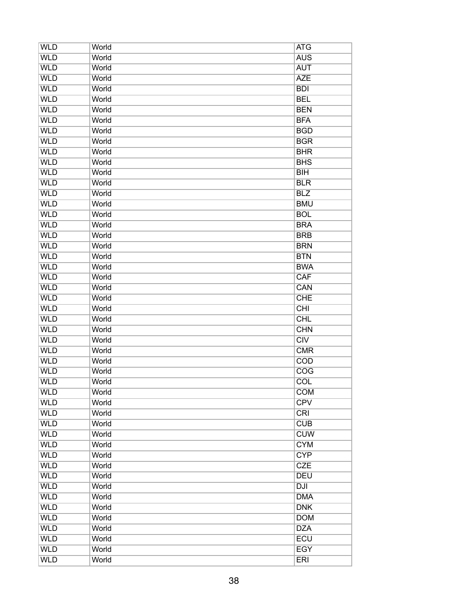| <b>WLD</b> | World | <b>ATG</b>       |
|------------|-------|------------------|
| <b>WLD</b> | World | <b>AUS</b>       |
| <b>WLD</b> | World | <b>AUT</b>       |
| <b>WLD</b> | World | <b>AZE</b>       |
| <b>WLD</b> | World | <b>BDI</b>       |
| <b>WLD</b> | World | <b>BEL</b>       |
| <b>WLD</b> | World | <b>BEN</b>       |
| <b>WLD</b> | World | <b>BFA</b>       |
| <b>WLD</b> | World | <b>BGD</b>       |
| <b>WLD</b> | World | <b>BGR</b>       |
| <b>WLD</b> | World | <b>BHR</b>       |
| <b>WLD</b> | World | <b>BHS</b>       |
| <b>WLD</b> | World | BH               |
| <b>WLD</b> | World | <b>BLR</b>       |
| <b>WLD</b> | World | <b>BLZ</b>       |
| <b>WLD</b> | World | <b>BMU</b>       |
| <b>WLD</b> | World | <b>BOL</b>       |
| <b>WLD</b> | World | <b>BRA</b>       |
| <b>WLD</b> | World | <b>BRB</b>       |
| <b>WLD</b> | World | <b>BRN</b>       |
| <b>WLD</b> | World | <b>BTN</b>       |
| <b>WLD</b> | World | <b>BWA</b>       |
| <b>WLD</b> | World | CAF              |
| <b>WLD</b> | World | CAN              |
| <b>WLD</b> | World | <b>CHE</b>       |
| <b>WLD</b> | World | CHI              |
| <b>WLD</b> | World | <b>CHL</b>       |
| <b>WLD</b> |       |                  |
| <b>WLD</b> | World | <b>CHN</b>       |
|            | World | CIV              |
| <b>WLD</b> | World | <b>CMR</b>       |
| <b>WLD</b> | World | <b>COD</b>       |
| <b>WLD</b> | World | $\overline{COG}$ |
| <b>WLD</b> | World | <b>COL</b>       |
| <b>WLD</b> | World | <b>COM</b>       |
| <b>WLD</b> | World | <b>CPV</b>       |
| <b>WLD</b> | World | <b>CRI</b>       |
| <b>WLD</b> | World | <b>CUB</b>       |
| <b>WLD</b> | World | <b>CUW</b>       |
| <b>WLD</b> | World | <b>CYM</b>       |
| <b>WLD</b> | World | <b>CYP</b>       |
| <b>WLD</b> | World | <b>CZE</b>       |
| <b>WLD</b> | World | <b>DEU</b>       |
| <b>WLD</b> | World | <b>DJI</b>       |
| <b>WLD</b> | World | <b>DMA</b>       |
| <b>WLD</b> | World | <b>DNK</b>       |
| <b>WLD</b> | World | <b>DOM</b>       |
| <b>WLD</b> | World | <b>DZA</b>       |
| <b>WLD</b> | World | <b>ECU</b>       |
| <b>WLD</b> | World | <b>EGY</b>       |
| <b>WLD</b> | World | <b>ERI</b>       |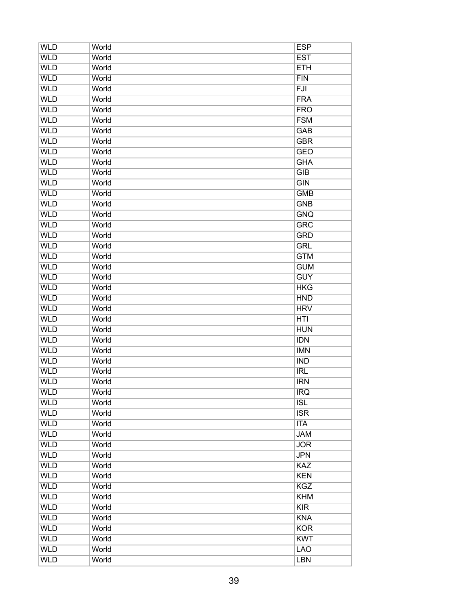| <b>WLD</b> | World | <b>ESP</b>       |
|------------|-------|------------------|
| <b>WLD</b> | World | <b>EST</b>       |
| <b>WLD</b> | World | <b>ETH</b>       |
| <b>WLD</b> | World | <b>FIN</b>       |
| <b>WLD</b> | World | FJI              |
| <b>WLD</b> | World | <b>FRA</b>       |
| <b>WLD</b> | World | <b>FRO</b>       |
| <b>WLD</b> | World | <b>FSM</b>       |
| <b>WLD</b> | World | <b>GAB</b>       |
| <b>WLD</b> | World | <b>GBR</b>       |
| <b>WLD</b> | World | <b>GEO</b>       |
| <b>WLD</b> | World | <b>GHA</b>       |
| <b>WLD</b> | World | GIB              |
| <b>WLD</b> | World | $\overline{GIN}$ |
| <b>WLD</b> | World | <b>GMB</b>       |
| <b>WLD</b> | World | <b>GNB</b>       |
| <b>WLD</b> | World | <b>GNQ</b>       |
| <b>WLD</b> | World | <b>GRC</b>       |
| <b>WLD</b> | World | <b>GRD</b>       |
| <b>WLD</b> | World | <b>GRL</b>       |
| <b>WLD</b> | World | <b>GTM</b>       |
| <b>WLD</b> | World | <b>GUM</b>       |
| <b>WLD</b> | World | <b>GUY</b>       |
| <b>WLD</b> | World | <b>HKG</b>       |
| <b>WLD</b> | World | <b>HND</b>       |
| <b>WLD</b> | World | <b>HRV</b>       |
| <b>WLD</b> | World | HTI              |
| <b>WLD</b> |       |                  |
|            | World | <b>HUN</b>       |
| <b>WLD</b> | World | <b>IDN</b>       |
| <b>WLD</b> | World | <b>IMN</b>       |
| <b>WLD</b> | World | <b>IND</b>       |
| <b>WLD</b> | World | <b>IRL</b>       |
| <b>WLD</b> | World | <b>IRN</b>       |
| <b>WLD</b> | World | <b>IRQ</b>       |
| <b>WLD</b> | World | <b>ISL</b>       |
| <b>WLD</b> | World | <b>ISR</b>       |
| <b>WLD</b> | World | <b>ITA</b>       |
| <b>WLD</b> | World | <b>JAM</b>       |
| <b>WLD</b> | World | <b>JOR</b>       |
| <b>WLD</b> | World | <b>JPN</b>       |
| <b>WLD</b> | World | KAZ              |
| <b>WLD</b> | World | <b>KEN</b>       |
| <b>WLD</b> | World | <b>KGZ</b>       |
| <b>WLD</b> | World | <b>KHM</b>       |
| <b>WLD</b> | World | KIR              |
| <b>WLD</b> | World | <b>KNA</b>       |
| <b>WLD</b> | World | <b>KOR</b>       |
| <b>WLD</b> | World | <b>KWT</b>       |
| <b>WLD</b> | World | <b>LAO</b>       |
| <b>WLD</b> | World | <b>LBN</b>       |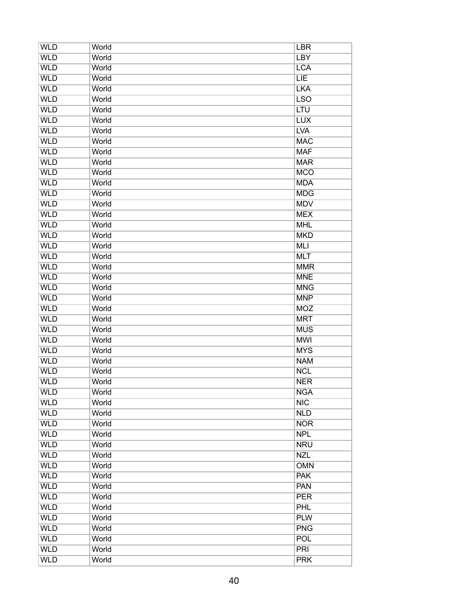| <b>WLD</b> | World | <b>LBR</b>               |
|------------|-------|--------------------------|
| <b>WLD</b> | World | <b>LBY</b>               |
| <b>WLD</b> | World | <b>LCA</b>               |
| <b>WLD</b> | World | LIE                      |
| <b>WLD</b> | World | <b>LKA</b>               |
| <b>WLD</b> | World | <b>LSO</b>               |
| <b>WLD</b> | World | LTU                      |
| <b>WLD</b> | World | <b>LUX</b>               |
| <b>WLD</b> | World | <b>LVA</b>               |
| <b>WLD</b> | World | <b>MAC</b>               |
| <b>WLD</b> | World | <b>MAF</b>               |
| <b>WLD</b> | World | <b>MAR</b>               |
| <b>WLD</b> | World | <b>MCO</b>               |
| <b>WLD</b> | World | <b>MDA</b>               |
| <b>WLD</b> | World | <b>MDG</b>               |
| <b>WLD</b> | World | <b>MDV</b>               |
| <b>WLD</b> | World | <b>MEX</b>               |
| <b>WLD</b> | World | <b>MHL</b>               |
| <b>WLD</b> | World | <b>MKD</b>               |
| <b>WLD</b> | World | <b>MLI</b>               |
| <b>WLD</b> | World | <b>MLT</b>               |
| <b>WLD</b> | World | <b>MMR</b>               |
| <b>WLD</b> | World | <b>MNE</b>               |
| <b>WLD</b> | World | <b>MNG</b>               |
| <b>WLD</b> | World | <b>MNP</b>               |
| <b>WLD</b> | World | <b>MOZ</b>               |
| <b>WLD</b> | World | <b>MRT</b>               |
| <b>WLD</b> | World |                          |
|            |       | <b>MUS</b><br><b>MWI</b> |
| <b>WLD</b> | World |                          |
| <b>WLD</b> | World | <b>MYS</b>               |
| <b>WLD</b> | World | <b>NAM</b>               |
| <b>WLD</b> | World | <b>NCL</b>               |
| <b>WLD</b> | World | <b>NER</b>               |
| <b>WLD</b> | World | <b>NGA</b>               |
| <b>WLD</b> | World | NIC                      |
| <b>WLD</b> | World | <b>NLD</b>               |
| <b>WLD</b> | World | <b>NOR</b>               |
| <b>WLD</b> | World | <b>NPL</b>               |
| <b>WLD</b> | World | <b>NRU</b>               |
| <b>WLD</b> | World | <b>NZL</b>               |
| <b>WLD</b> | World | <b>OMN</b>               |
| <b>WLD</b> | World | <b>PAK</b>               |
| <b>WLD</b> | World | <b>PAN</b>               |
| <b>WLD</b> | World | <b>PER</b>               |
| <b>WLD</b> | World | <b>PHL</b>               |
| <b>WLD</b> | World | <b>PLW</b>               |
| <b>WLD</b> | World | <b>PNG</b>               |
| <b>WLD</b> | World | POL                      |
| <b>WLD</b> | World | <b>PRI</b>               |
| <b>WLD</b> | World | <b>PRK</b>               |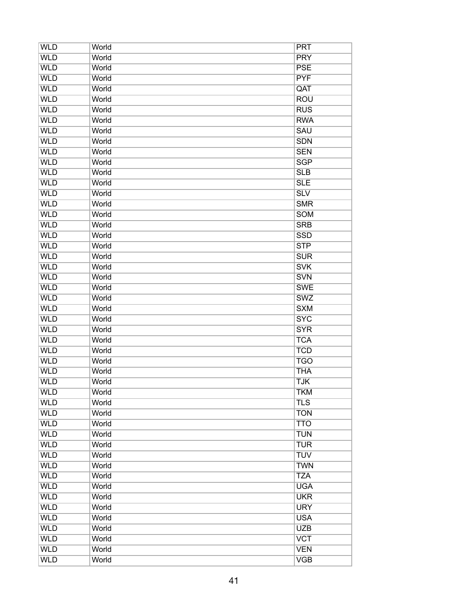| <b>WLD</b> | World | <b>PRT</b>              |
|------------|-------|-------------------------|
| <b>WLD</b> | World | <b>PRY</b>              |
| <b>WLD</b> | World | <b>PSE</b>              |
| <b>WLD</b> | World | <b>PYF</b>              |
| <b>WLD</b> | World | QAT                     |
| <b>WLD</b> | World | <b>ROU</b>              |
| <b>WLD</b> | World | <b>RUS</b>              |
| <b>WLD</b> | World | <b>RWA</b>              |
| <b>WLD</b> | World | <b>SAU</b>              |
| <b>WLD</b> | World | <b>SDN</b>              |
| <b>WLD</b> | World | <b>SEN</b>              |
| <b>WLD</b> | World | <b>SGP</b>              |
| <b>WLD</b> | World | SLB                     |
| <b>WLD</b> | World | <b>SLE</b>              |
| <b>WLD</b> | World | $\overline{\text{SLV}}$ |
| <b>WLD</b> | World | <b>SMR</b>              |
| <b>WLD</b> | World | <b>SOM</b>              |
| <b>WLD</b> | World | <b>SRB</b>              |
| <b>WLD</b> | World | <b>SSD</b>              |
| <b>WLD</b> | World | <b>STP</b>              |
| <b>WLD</b> | World | <b>SUR</b>              |
| <b>WLD</b> | World | <b>SVK</b>              |
| <b>WLD</b> | World | <b>SVN</b>              |
| <b>WLD</b> | World | <b>SWE</b>              |
| <b>WLD</b> | World | <b>SWZ</b>              |
| <b>WLD</b> | World | <b>SXM</b>              |
| <b>WLD</b> | World | <b>SYC</b>              |
| <b>WLD</b> |       | <b>SYR</b>              |
| <b>WLD</b> | World |                         |
|            | World | <b>TCA</b>              |
| <b>WLD</b> | World | <b>TCD</b>              |
| <b>WLD</b> | World | <b>TGO</b>              |
| <b>WLD</b> | World | <b>THA</b>              |
| <b>WLD</b> | World | <b>TJK</b>              |
| <b>WLD</b> | World | <b>TKM</b>              |
| <b>WLD</b> | World | <b>TLS</b>              |
| <b>WLD</b> | World | <b>TON</b>              |
| <b>WLD</b> | World | <b>TTO</b>              |
| <b>WLD</b> | World | <b>TUN</b>              |
| <b>WLD</b> | World | <b>TUR</b>              |
| <b>WLD</b> | World | <b>TUV</b>              |
| <b>WLD</b> | World | <b>TWN</b>              |
| <b>WLD</b> | World | <b>TZA</b>              |
| <b>WLD</b> | World | <b>UGA</b>              |
| <b>WLD</b> | World | <b>UKR</b>              |
| <b>WLD</b> | World | <b>URY</b>              |
| <b>WLD</b> | World | <b>USA</b>              |
| <b>WLD</b> | World | <b>UZB</b>              |
| <b>WLD</b> | World | <b>VCT</b>              |
| <b>WLD</b> | World | <b>VEN</b>              |
| <b>WLD</b> | World | <b>VGB</b>              |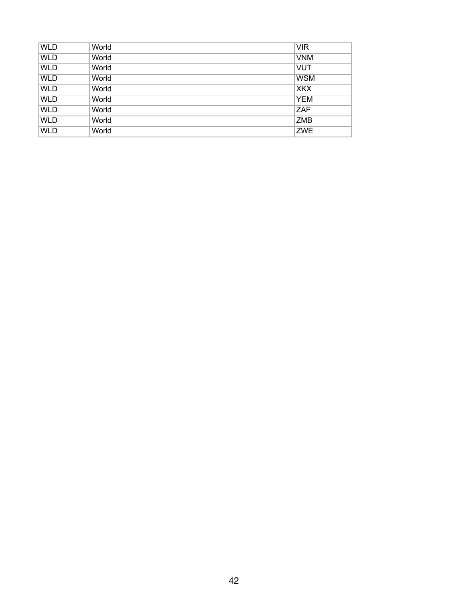| <b>WLD</b> | World | <b>VIR</b> |
|------------|-------|------------|
| <b>WLD</b> | World | <b>VNM</b> |
| <b>WLD</b> | World | <b>VUT</b> |
| <b>WLD</b> | World | <b>WSM</b> |
| <b>WLD</b> | World | <b>XKX</b> |
| <b>WLD</b> | World | <b>YEM</b> |
| <b>WLD</b> | World | ZAF        |
| <b>WLD</b> | World | <b>ZMB</b> |
| <b>WLD</b> | World | <b>ZWE</b> |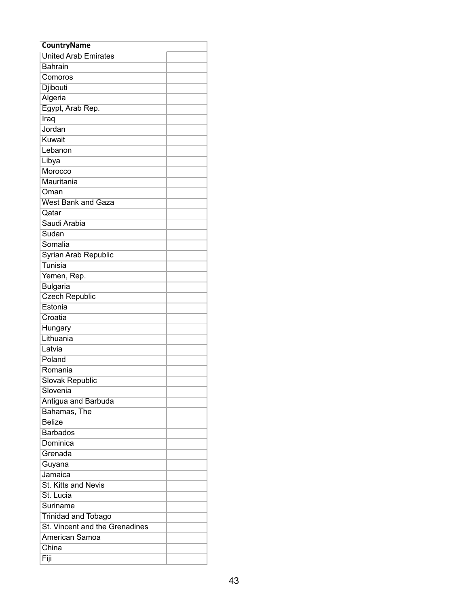| <b>CountryName</b>             |  |
|--------------------------------|--|
| <b>United Arab Emirates</b>    |  |
| <b>Bahrain</b>                 |  |
| Comoros                        |  |
| Djibouti                       |  |
| Algeria                        |  |
| Egypt, Arab Rep.               |  |
| Iraq                           |  |
| Jordan                         |  |
| Kuwait                         |  |
| Lebanon                        |  |
| Libya                          |  |
| Morocco                        |  |
| Mauritania                     |  |
| Oman                           |  |
| <b>West Bank and Gaza</b>      |  |
| Qatar                          |  |
| Saudi Arabia                   |  |
| Sudan                          |  |
| Somalia                        |  |
| Syrian Arab Republic           |  |
| Tunisia                        |  |
| Yemen, Rep.                    |  |
| <b>Bulgaria</b>                |  |
| <b>Czech Republic</b>          |  |
| Estonia                        |  |
| Croatia                        |  |
| Hungary                        |  |
| Lithuania                      |  |
| Latvia                         |  |
| Poland                         |  |
| Romania                        |  |
| Slovak Republic                |  |
| Slovenia                       |  |
| Antigua and Barbuda            |  |
| Bahamas, The                   |  |
| <b>Belize</b>                  |  |
| <b>Barbados</b>                |  |
| Dominica                       |  |
| Grenada                        |  |
| Guyana                         |  |
| Jamaica                        |  |
| St. Kitts and Nevis            |  |
| St. Lucia                      |  |
| Suriname                       |  |
| <b>Trinidad and Tobago</b>     |  |
| St. Vincent and the Grenadines |  |
| American Samoa                 |  |
| China                          |  |
| Fiji                           |  |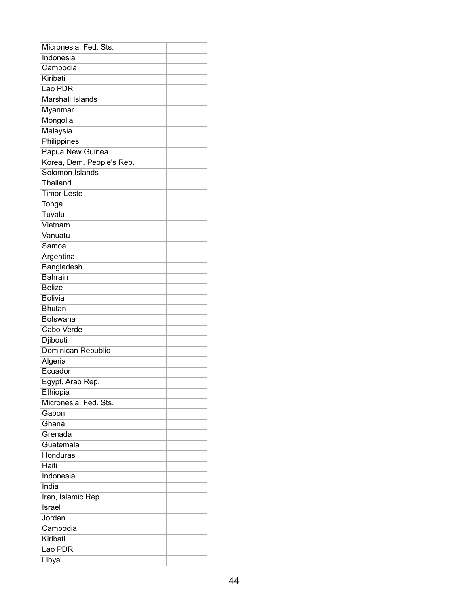| Micronesia, Fed. Sts.     |  |
|---------------------------|--|
| Indonesia                 |  |
| Cambodia                  |  |
| Kiribati                  |  |
| Lao PDR                   |  |
| <b>Marshall Islands</b>   |  |
| Myanmar                   |  |
| Mongolia                  |  |
| Malaysia                  |  |
| Philippines               |  |
| Papua New Guinea          |  |
| Korea, Dem. People's Rep. |  |
| Solomon Islands           |  |
| Thailand                  |  |
| Timor-Leste               |  |
| Tonga                     |  |
| Tuvalu                    |  |
| Vietnam                   |  |
| Vanuatu                   |  |
| Samoa                     |  |
| Argentina                 |  |
| Bangladesh                |  |
| <b>Bahrain</b>            |  |
| <b>Belize</b>             |  |
| <b>Bolivia</b>            |  |
| <b>Bhutan</b>             |  |
| Botswana                  |  |
| Cabo Verde                |  |
| Djibouti                  |  |
| Dominican Republic        |  |
| Algeria                   |  |
| Ecuador                   |  |
| Egypt, Arab Rep.          |  |
| Ethiopia                  |  |
| Micronesia, Fed. Sts.     |  |
| Gabon                     |  |
| Ghana                     |  |
| Grenada                   |  |
| Guatemala                 |  |
| Honduras                  |  |
| Haiti                     |  |
| Indonesia                 |  |
| India                     |  |
| Iran, Islamic Rep.        |  |
| <b>Israel</b>             |  |
| Jordan                    |  |
| Cambodia                  |  |
| Kiribati                  |  |
| Lao PDR                   |  |
| Libya                     |  |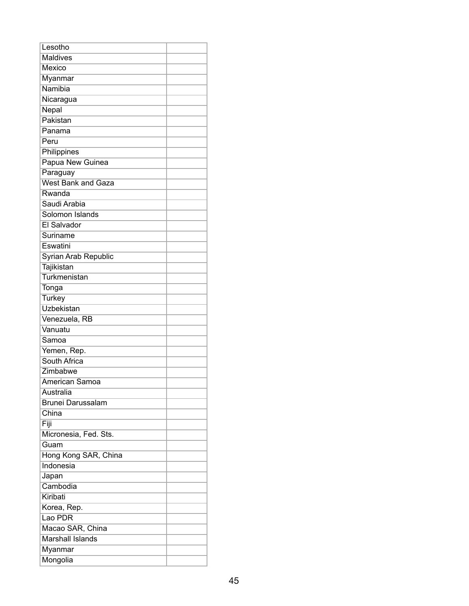| Lesotho                   |  |
|---------------------------|--|
| <b>Maldives</b>           |  |
| <b>Mexico</b>             |  |
| Myanmar                   |  |
| Namibia                   |  |
| Nicaragua                 |  |
| Nepal                     |  |
| Pakistan                  |  |
| Panama                    |  |
| Peru                      |  |
| Philippines               |  |
| Papua New Guinea          |  |
| Paraguay                  |  |
| <b>West Bank and Gaza</b> |  |
| Rwanda                    |  |
| Saudi Arabia              |  |
| Solomon Islands           |  |
| <b>El Salvador</b>        |  |
| Suriname                  |  |
| Eswatini                  |  |
| Syrian Arab Republic      |  |
| Tajikistan                |  |
| Turkmenistan              |  |
| Tonga                     |  |
| <b>Turkey</b>             |  |
| <b>Uzbekistan</b>         |  |
| Venezuela, RB             |  |
| Vanuatu                   |  |
| Samoa                     |  |
|                           |  |
| Yemen, Rep.               |  |
| South Africa              |  |
| Zimbabwe                  |  |
| American Samoa            |  |
| Australia                 |  |
| <b>Brunei Darussalam</b>  |  |
| China                     |  |
| Fiji                      |  |
| Micronesia, Fed. Sts.     |  |
| Guam                      |  |
| Hong Kong SAR, China      |  |
| Indonesia                 |  |
| Japan                     |  |
| Cambodia                  |  |
| Kiribati                  |  |
| Korea, Rep.               |  |
| Lao PDR                   |  |
| Macao SAR, China          |  |
| <b>Marshall Islands</b>   |  |
| Myanmar                   |  |
| Mongolia                  |  |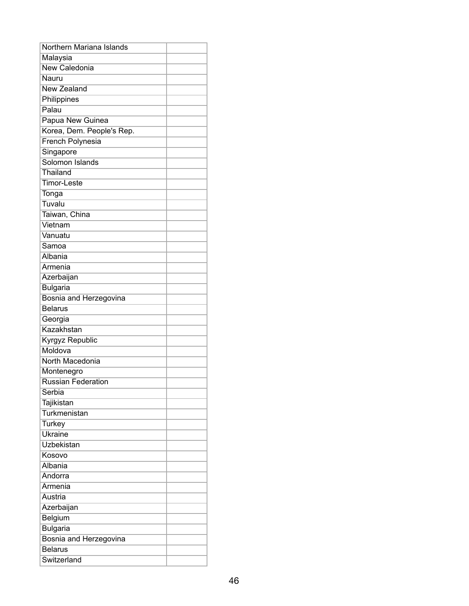| Northern Mariana Islands  |  |
|---------------------------|--|
| Malaysia                  |  |
| <b>New Caledonia</b>      |  |
| Nauru                     |  |
| <b>New Zealand</b>        |  |
| Philippines               |  |
| Palau                     |  |
| Papua New Guinea          |  |
| Korea, Dem. People's Rep. |  |
| <b>French Polynesia</b>   |  |
| Singapore                 |  |
| Solomon Islands           |  |
| Thailand                  |  |
| <b>Timor-Leste</b>        |  |
| Tonga                     |  |
| Tuvalu                    |  |
| Taiwan, China             |  |
| Vietnam                   |  |
| Vanuatu                   |  |
| Samoa                     |  |
| Albania                   |  |
| Armenia                   |  |
| Azerbaijan                |  |
| <b>Bulgaria</b>           |  |
| Bosnia and Herzegovina    |  |
| <b>Belarus</b>            |  |
| Georgia                   |  |
| Kazakhstan                |  |
| <b>Kyrgyz Republic</b>    |  |
| Moldova                   |  |
| North Macedonia           |  |
| Montenegro                |  |
| <b>Russian Federation</b> |  |
| Serbia                    |  |
| Tajikistan                |  |
| Turkmenistan              |  |
| <b>Turkey</b>             |  |
| Ukraine                   |  |
| <b>Uzbekistan</b>         |  |
| Kosovo                    |  |
| Albania                   |  |
| Andorra                   |  |
| Armenia                   |  |
| Austria                   |  |
| Azerbaijan                |  |
| Belgium                   |  |
| <b>Bulgaria</b>           |  |
| Bosnia and Herzegovina    |  |
| <b>Belarus</b>            |  |
| Switzerland               |  |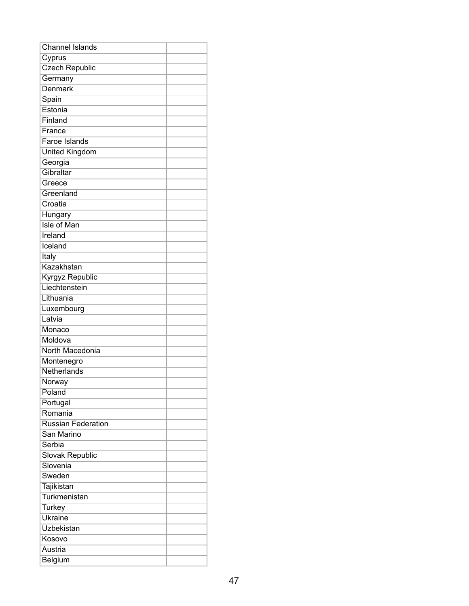| <b>Channel Islands</b>    |  |
|---------------------------|--|
| Cyprus                    |  |
| <b>Czech Republic</b>     |  |
| Germany                   |  |
| Denmark                   |  |
| Spain                     |  |
| Estonia                   |  |
| Finland                   |  |
| France                    |  |
| <b>Faroe Islands</b>      |  |
| <b>United Kingdom</b>     |  |
| Georgia                   |  |
| Gibraltar                 |  |
| Greece                    |  |
| Greenland                 |  |
| Croatia                   |  |
| Hungary                   |  |
| <b>Isle of Man</b>        |  |
| Ireland                   |  |
| Iceland                   |  |
| Italy                     |  |
| Kazakhstan                |  |
| Kyrgyz Republic           |  |
| Liechtenstein             |  |
| Lithuania                 |  |
| Luxembourg                |  |
| Latvia                    |  |
| Monaco                    |  |
| Moldova                   |  |
| North Macedonia           |  |
| Montenegro                |  |
| Netherlands               |  |
| Norway                    |  |
| Poland                    |  |
| Portugal                  |  |
| Romania                   |  |
| <b>Russian Federation</b> |  |
| San Marino                |  |
| Serbia                    |  |
| <b>Slovak Republic</b>    |  |
| Slovenia                  |  |
| Sweden                    |  |
| Tajikistan                |  |
| Turkmenistan              |  |
| <b>Turkey</b>             |  |
| <b>Ukraine</b>            |  |
| Uzbekistan                |  |
| Kosovo                    |  |
| Austria                   |  |
| Belgium                   |  |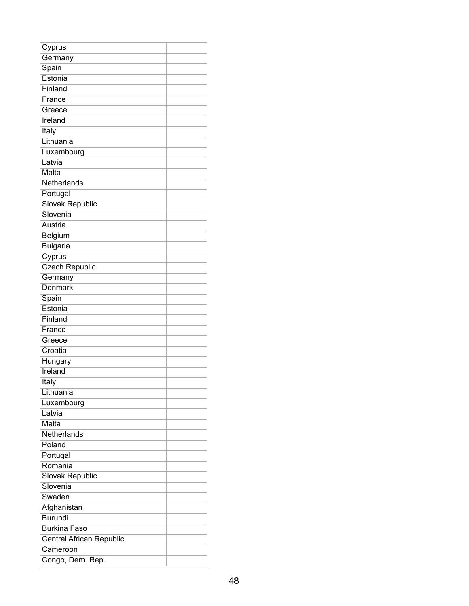| Cyprus                   |  |
|--------------------------|--|
| Germany                  |  |
| Spain                    |  |
| Estonia                  |  |
| Finland                  |  |
| France                   |  |
| Greece                   |  |
| Ireland                  |  |
| Italy                    |  |
| Lithuania                |  |
| Luxembourg               |  |
| Latvia                   |  |
| Malta                    |  |
| Netherlands              |  |
| Portugal                 |  |
| Slovak Republic          |  |
| Slovenia                 |  |
| Austria                  |  |
| Belgium                  |  |
| <b>Bulgaria</b>          |  |
| Cyprus                   |  |
| <b>Czech Republic</b>    |  |
| Germany                  |  |
| <b>Denmark</b>           |  |
| Spain                    |  |
| Estonia                  |  |
| Finland                  |  |
| France                   |  |
| Greece                   |  |
| Croatia                  |  |
| Hungary                  |  |
| Ireland                  |  |
| <b>Italy</b>             |  |
| Lithuania                |  |
| Luxembourg               |  |
| Latvia                   |  |
| Malta                    |  |
| Netherlands              |  |
| Poland                   |  |
| Portugal                 |  |
| Romania                  |  |
| Slovak Republic          |  |
| Slovenia                 |  |
| Sweden                   |  |
| Afghanistan              |  |
| <b>Burundi</b>           |  |
| <b>Burkina Faso</b>      |  |
| Central African Republic |  |
| Cameroon                 |  |
| Congo, Dem. Rep.         |  |
|                          |  |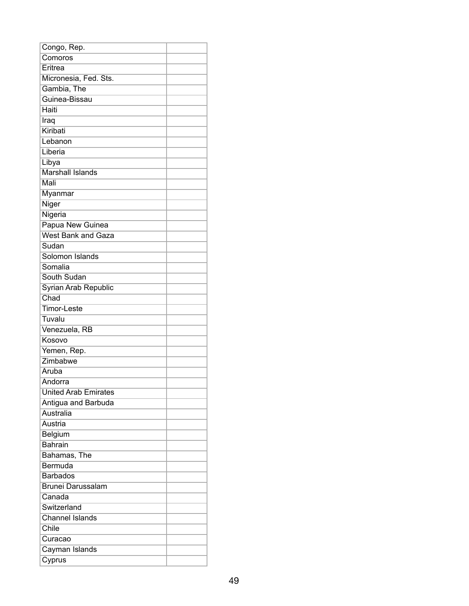| Congo, Rep.                 |  |
|-----------------------------|--|
| Comoros                     |  |
| Eritrea                     |  |
| Micronesia, Fed. Sts.       |  |
| Gambia, The                 |  |
| Guinea-Bissau               |  |
| Haiti                       |  |
| Iraq                        |  |
| Kiribati                    |  |
| Lebanon                     |  |
| Liberia                     |  |
| Libya                       |  |
| <b>Marshall Islands</b>     |  |
| Mali                        |  |
| Myanmar                     |  |
| Niger                       |  |
| Nigeria                     |  |
| Papua New Guinea            |  |
| <b>West Bank and Gaza</b>   |  |
| Sudan                       |  |
| Solomon Islands             |  |
| Somalia                     |  |
| South Sudan                 |  |
| Syrian Arab Republic        |  |
| Chad                        |  |
| Timor-Leste                 |  |
| Tuvalu                      |  |
| Venezuela, RB               |  |
| Kosovo                      |  |
| Yemen, Rep.                 |  |
| Zimbabwe                    |  |
| Aruba                       |  |
| Andorra                     |  |
| <b>United Arab Emirates</b> |  |
| Antigua and Barbuda         |  |
| Australia                   |  |
| Austria                     |  |
| Belgium                     |  |
| <b>Bahrain</b>              |  |
| Bahamas, The                |  |
| Bermuda                     |  |
| <b>Barbados</b>             |  |
| <b>Brunei Darussalam</b>    |  |
| Canada                      |  |
| Switzerland                 |  |
| <b>Channel Islands</b>      |  |
| Chile                       |  |
|                             |  |
| Curacao                     |  |
| Cayman Islands              |  |
| Cyprus                      |  |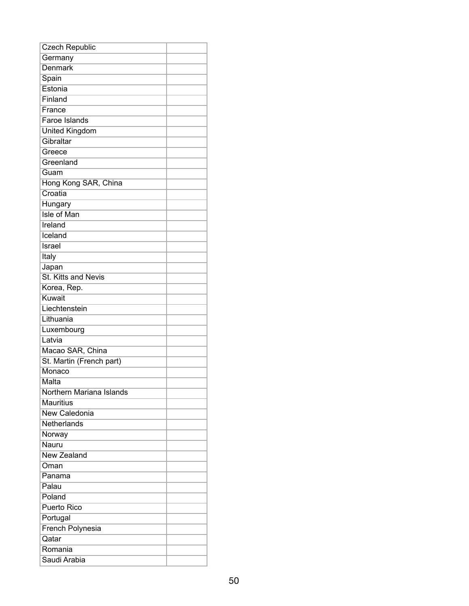| <b>Czech Republic</b>    |  |
|--------------------------|--|
| Germany                  |  |
| Denmark                  |  |
| Spain                    |  |
| Estonia                  |  |
| Finland                  |  |
| France                   |  |
| <b>Faroe Islands</b>     |  |
| <b>United Kingdom</b>    |  |
| Gibraltar                |  |
| Greece                   |  |
| Greenland                |  |
| Guam                     |  |
| Hong Kong SAR, China     |  |
| Croatia                  |  |
| Hungary                  |  |
| <b>Isle of Man</b>       |  |
| Ireland                  |  |
| Iceland                  |  |
| Israel                   |  |
| Italy                    |  |
| Japan                    |  |
| St. Kitts and Nevis      |  |
| Korea, Rep.              |  |
| Kuwait                   |  |
| Liechtenstein            |  |
| Lithuania                |  |
| Luxembourg               |  |
| Latvia                   |  |
| Macao SAR, China         |  |
| St. Martin (French part) |  |
| Monaco                   |  |
| Malta                    |  |
| Northern Mariana Islands |  |
| <b>Mauritius</b>         |  |
| New Caledonia            |  |
| Netherlands              |  |
| Norway                   |  |
| Nauru                    |  |
| <b>New Zealand</b>       |  |
| Oman                     |  |
| Panama                   |  |
| Palau                    |  |
| Poland                   |  |
| <b>Puerto Rico</b>       |  |
| Portugal                 |  |
| French Polynesia         |  |
| Qatar                    |  |
| Romania                  |  |
| Saudi Arabia             |  |
|                          |  |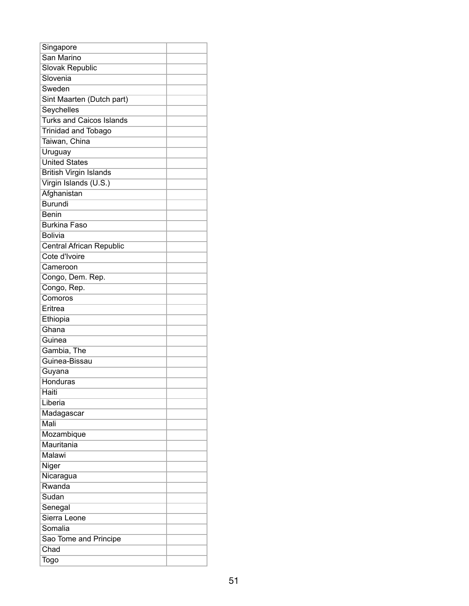| Singapore                       |  |
|---------------------------------|--|
| San Marino                      |  |
| <b>Slovak Republic</b>          |  |
| Slovenia                        |  |
| Sweden                          |  |
| Sint Maarten (Dutch part)       |  |
| Seychelles                      |  |
| <b>Turks and Caicos Islands</b> |  |
| <b>Trinidad and Tobago</b>      |  |
| Taiwan, China                   |  |
| Uruguay                         |  |
| <b>United States</b>            |  |
| <b>British Virgin Islands</b>   |  |
| Virgin Islands (U.S.)           |  |
| Afghanistan                     |  |
| <b>Burundi</b>                  |  |
| <b>Benin</b>                    |  |
| <b>Burkina Faso</b>             |  |
| <b>Bolivia</b>                  |  |
| Central African Republic        |  |
| Cote d'Ivoire                   |  |
| Cameroon                        |  |
| Congo, Dem. Rep.                |  |
| Congo, Rep.                     |  |
| Comoros                         |  |
| Eritrea                         |  |
| Ethiopia                        |  |
| Ghana                           |  |
| Guinea                          |  |
| Gambia, The                     |  |
| Guinea-Bissau                   |  |
| Guyana                          |  |
| <b>Honduras</b>                 |  |
| Haiti                           |  |
| Liberia                         |  |
| Madagascar                      |  |
| Mali                            |  |
| Mozambique                      |  |
| Mauritania                      |  |
| Malawi                          |  |
| Niger                           |  |
| Nicaragua                       |  |
| Rwanda                          |  |
| Sudan                           |  |
| Senegal                         |  |
| Sierra Leone                    |  |
| Somalia                         |  |
| Sao Tome and Principe           |  |
| Chad                            |  |
| Togo                            |  |
|                                 |  |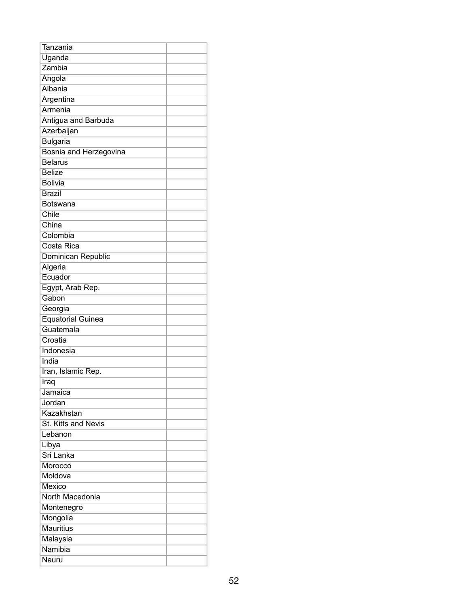| Tanzania                      |  |
|-------------------------------|--|
| Uganda                        |  |
| Zambia                        |  |
| Angola                        |  |
| Albania                       |  |
| Argentina                     |  |
| Armenia                       |  |
| Antigua and Barbuda           |  |
| Azerbaijan                    |  |
| <b>Bulgaria</b>               |  |
| <b>Bosnia and Herzegovina</b> |  |
| <b>Belarus</b>                |  |
| <b>Belize</b>                 |  |
| <b>Bolivia</b>                |  |
| <b>Brazil</b>                 |  |
| Botswana                      |  |
| Chile                         |  |
| China                         |  |
| Colombia                      |  |
| Costa Rica                    |  |
| Dominican Republic            |  |
| Algeria                       |  |
| Ecuador                       |  |
| Egypt, Arab Rep.              |  |
| Gabon                         |  |
| Georgia                       |  |
| <b>Equatorial Guinea</b>      |  |
| Guatemala                     |  |
| Croatia                       |  |
| Indonesia                     |  |
| India                         |  |
| Iran, Islamic Rep.            |  |
| Iraq                          |  |
| Jamaica                       |  |
| Jordan                        |  |
| Kazakhstan                    |  |
| St. Kitts and Nevis           |  |
| Lebanon                       |  |
| Libya                         |  |
| Sri Lanka                     |  |
| Morocco                       |  |
| Moldova                       |  |
| Mexico                        |  |
| North Macedonia               |  |
| Montenegro                    |  |
| Mongolia                      |  |
| <b>Mauritius</b>              |  |
| Malaysia                      |  |
| Namibia                       |  |
| Nauru                         |  |
|                               |  |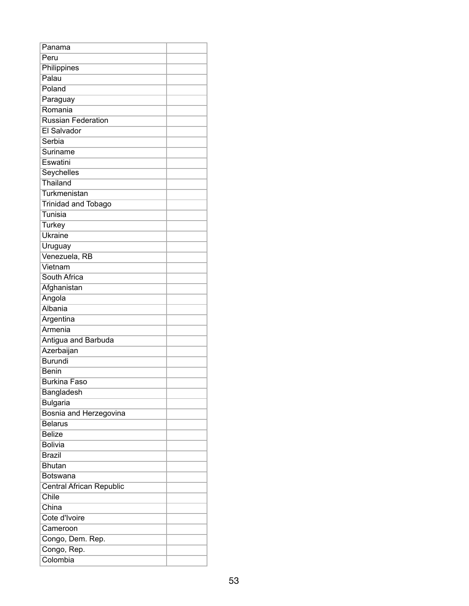| Panama                     |  |
|----------------------------|--|
| Peru                       |  |
| Philippines                |  |
| Palau                      |  |
| Poland                     |  |
| Paraguay                   |  |
| Romania                    |  |
| <b>Russian Federation</b>  |  |
| El Salvador                |  |
| Serbia                     |  |
| Suriname                   |  |
| Eswatini                   |  |
| Seychelles                 |  |
| Thailand                   |  |
| Turkmenistan               |  |
| <b>Trinidad and Tobago</b> |  |
| Tunisia                    |  |
| <b>Turkey</b>              |  |
| Ukraine                    |  |
| Uruguay                    |  |
| Venezuela, RB              |  |
| Vietnam                    |  |
| South Africa               |  |
| Afghanistan                |  |
| Angola                     |  |
| Albania                    |  |
| Argentina                  |  |
| Armenia                    |  |
| Antigua and Barbuda        |  |
| Azerbaijan                 |  |
| <b>Burundi</b>             |  |
| <b>Benin</b>               |  |
| <b>Burkina Faso</b>        |  |
| Bangladesh                 |  |
| <b>Bulgaria</b>            |  |
| Bosnia and Herzegovina     |  |
| <b>Belarus</b>             |  |
| <b>Belize</b>              |  |
| <b>Bolivia</b>             |  |
| <b>Brazil</b>              |  |
| <b>Bhutan</b>              |  |
| <b>Botswana</b>            |  |
| Central African Republic   |  |
| Chile                      |  |
| China                      |  |
| Cote d'Ivoire              |  |
| Cameroon                   |  |
| Congo, Dem. Rep.           |  |
| Congo, Rep.                |  |
| Colombia                   |  |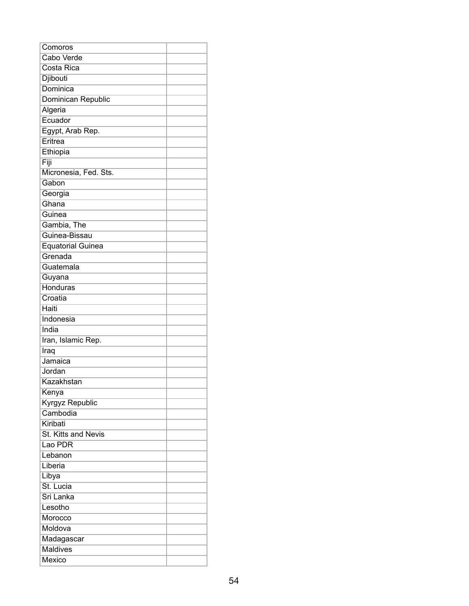| Comoros                  |  |
|--------------------------|--|
| <b>Cabo Verde</b>        |  |
| Costa Rica               |  |
| Djibouti                 |  |
| Dominica                 |  |
| Dominican Republic       |  |
| Algeria                  |  |
| Ecuador                  |  |
| Egypt, Arab Rep.         |  |
| Eritrea                  |  |
| Ethiopia                 |  |
| Fiji                     |  |
| Micronesia, Fed. Sts.    |  |
| Gabon                    |  |
| Georgia                  |  |
| Ghana                    |  |
| Guinea                   |  |
| Gambia, The              |  |
| Guinea-Bissau            |  |
| <b>Equatorial Guinea</b> |  |
| Grenada                  |  |
| Guatemala                |  |
| Guyana                   |  |
| Honduras                 |  |
| Croatia                  |  |
| Haiti                    |  |
| Indonesia                |  |
| India                    |  |
| Iran, Islamic Rep.       |  |
| Iraq                     |  |
| Jamaica                  |  |
| Jordan                   |  |
| Kazakhstan               |  |
| Kenya                    |  |
| <b>Kyrgyz Republic</b>   |  |
| Cambodia                 |  |
| Kiribati                 |  |
| St. Kitts and Nevis      |  |
| Lao PDR                  |  |
| Lebanon                  |  |
| Liberia                  |  |
| Libya                    |  |
| St. Lucia                |  |
| Sri Lanka                |  |
| Lesotho                  |  |
| Morocco                  |  |
| Moldova                  |  |
| Madagascar               |  |
| <b>Maldives</b>          |  |
| Mexico                   |  |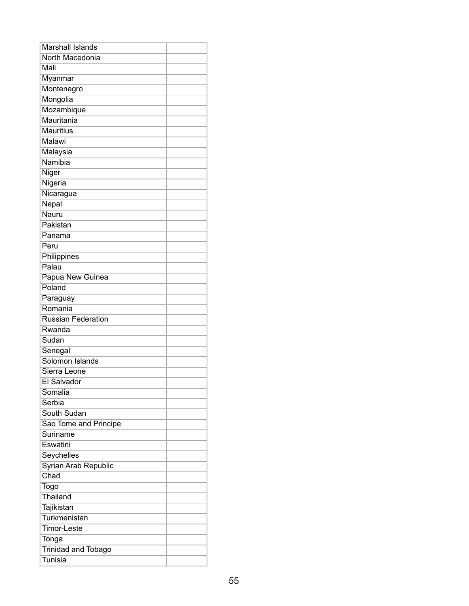| <b>Marshall Islands</b>    |  |
|----------------------------|--|
| North Macedonia            |  |
| Mali                       |  |
| Myanmar                    |  |
| Montenegro                 |  |
| Mongolia                   |  |
| Mozambique                 |  |
| Mauritania                 |  |
| <b>Mauritius</b>           |  |
| Malawi                     |  |
| Malaysia                   |  |
| Namibia                    |  |
| Niger                      |  |
| Nigeria                    |  |
| Nicaragua                  |  |
| Nepal                      |  |
| Nauru                      |  |
| Pakistan                   |  |
| Panama                     |  |
| Peru                       |  |
| Philippines                |  |
| Palau                      |  |
| Papua New Guinea           |  |
| Poland                     |  |
| Paraguay                   |  |
| Romania                    |  |
| <b>Russian Federation</b>  |  |
| Rwanda                     |  |
| Sudan                      |  |
| Senegal                    |  |
| Solomon Islands            |  |
| Sierra Leone               |  |
| El Salvador                |  |
| Somalia                    |  |
| Serbia                     |  |
| South Sudan                |  |
| Sao Tome and Principe      |  |
| Suriname                   |  |
| Eswatini                   |  |
| Seychelles                 |  |
| Syrian Arab Republic       |  |
| Chad                       |  |
| <b>Togo</b>                |  |
| Thailand                   |  |
| Tajikistan                 |  |
| Turkmenistan               |  |
| <b>Timor-Leste</b>         |  |
| Tonga                      |  |
| <b>Trinidad and Tobago</b> |  |
| <b>Tunisia</b>             |  |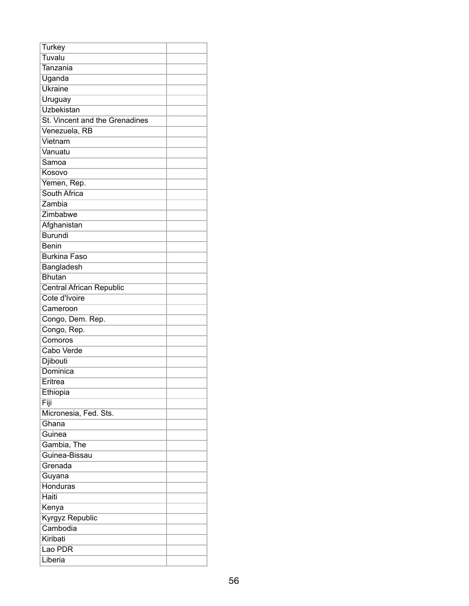| <b>Turkey</b>                   |  |
|---------------------------------|--|
| Tuvalu                          |  |
| Tanzania                        |  |
| Uganda                          |  |
| <b>Ukraine</b>                  |  |
| Uruguay                         |  |
| <b>Uzbekistan</b>               |  |
| St. Vincent and the Grenadines  |  |
| Venezuela, RB                   |  |
| Vietnam                         |  |
| Vanuatu                         |  |
| Samoa                           |  |
| Kosovo                          |  |
| Yemen, Rep.                     |  |
| South Africa                    |  |
| Zambia                          |  |
| Zimbabwe                        |  |
| Afghanistan                     |  |
| <b>Burundi</b>                  |  |
| <b>Benin</b>                    |  |
| <b>Burkina Faso</b>             |  |
| Bangladesh                      |  |
| <b>Bhutan</b>                   |  |
| <b>Central African Republic</b> |  |
| Cote d'Ivoire                   |  |
| Cameroon                        |  |
| Congo, Dem. Rep.                |  |
| Congo, Rep.                     |  |
| Comoros                         |  |
| Cabo Verde                      |  |
| Djibouti                        |  |
| Dominica                        |  |
| Eritrea                         |  |
| Ethiopia                        |  |
| Fiji                            |  |
| Micronesia, Fed. Sts.           |  |
| Ghana                           |  |
| Guinea                          |  |
| Gambia, The                     |  |
| Guinea-Bissau                   |  |
| Grenada                         |  |
| Guyana                          |  |
| <b>Honduras</b>                 |  |
| <b>Haiti</b>                    |  |
| Kenya                           |  |
| <b>Kyrgyz Republic</b>          |  |
| Cambodia                        |  |
| Kiribati                        |  |
| Lao PDR                         |  |
| Liberia                         |  |
|                                 |  |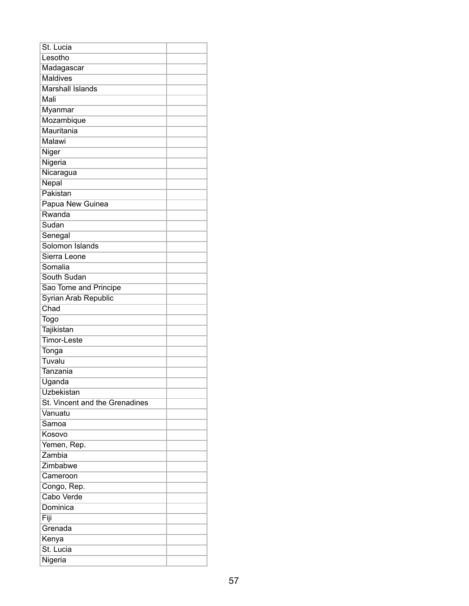| St. Lucia                      |  |
|--------------------------------|--|
| Lesotho                        |  |
| Madagascar                     |  |
| <b>Maldives</b>                |  |
| <b>Marshall Islands</b>        |  |
| Mali                           |  |
| Myanmar                        |  |
| Mozambique                     |  |
| Mauritania                     |  |
| Malawi                         |  |
| Niger                          |  |
| Nigeria                        |  |
| Nicaragua                      |  |
| Nepal                          |  |
| Pakistan                       |  |
| Papua New Guinea               |  |
| Rwanda                         |  |
| Sudan                          |  |
| Senegal                        |  |
| Solomon Islands                |  |
| Sierra Leone                   |  |
| Somalia                        |  |
| South Sudan                    |  |
| Sao Tome and Principe          |  |
| Syrian Arab Republic           |  |
| Chad                           |  |
| Togo                           |  |
| Tajikistan                     |  |
| <b>Timor-Leste</b>             |  |
| Tonga                          |  |
| Tuvalu                         |  |
| Tanzania                       |  |
| Uganda                         |  |
| Uzbekistan                     |  |
| St. Vincent and the Grenadines |  |
| Vanuatu                        |  |
| Samoa                          |  |
| Kosovo                         |  |
| Yemen, Rep.                    |  |
| Zambia                         |  |
| Zimbabwe                       |  |
| Cameroon                       |  |
| Congo, Rep.                    |  |
| <b>Cabo Verde</b>              |  |
| Dominica                       |  |
| Fiji                           |  |
| Grenada                        |  |
| Kenya                          |  |
| St. Lucia                      |  |
| Nigeria                        |  |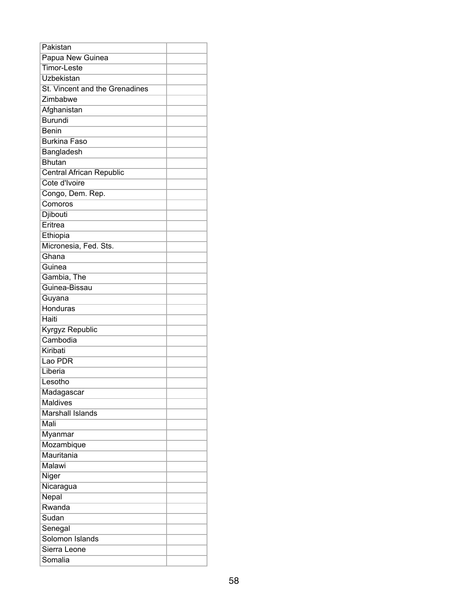| Pakistan                       |  |
|--------------------------------|--|
| Papua New Guinea               |  |
| <b>Timor-Leste</b>             |  |
| Uzbekistan                     |  |
| St. Vincent and the Grenadines |  |
| Zimbabwe                       |  |
| Afghanistan                    |  |
| <b>Burundi</b>                 |  |
| <b>Benin</b>                   |  |
| <b>Burkina Faso</b>            |  |
| Bangladesh                     |  |
| <b>Bhutan</b>                  |  |
| Central African Republic       |  |
| Cote d'Ivoire                  |  |
| Congo, Dem. Rep.               |  |
| Comoros                        |  |
| Djibouti                       |  |
| Eritrea                        |  |
| Ethiopia                       |  |
| Micronesia, Fed. Sts.          |  |
| Ghana                          |  |
| Guinea                         |  |
| Gambia, The                    |  |
| Guinea-Bissau                  |  |
| Guyana                         |  |
| <b>Honduras</b>                |  |
| Haiti                          |  |
| Kyrgyz Republic                |  |
| Cambodia                       |  |
| Kiribati                       |  |
| Lao PDR                        |  |
| Liberia                        |  |
| Lesotho                        |  |
| Madagascar                     |  |
| <b>Maldives</b>                |  |
| <b>Marshall Islands</b>        |  |
| Mali                           |  |
| Myanmar                        |  |
| Mozambique                     |  |
| Mauritania                     |  |
| Malawi                         |  |
| Niger                          |  |
| Nicaragua                      |  |
| Nepal                          |  |
| Rwanda                         |  |
| Sudan                          |  |
| Senegal                        |  |
| Solomon Islands                |  |
| Sierra Leone                   |  |
| Somalia                        |  |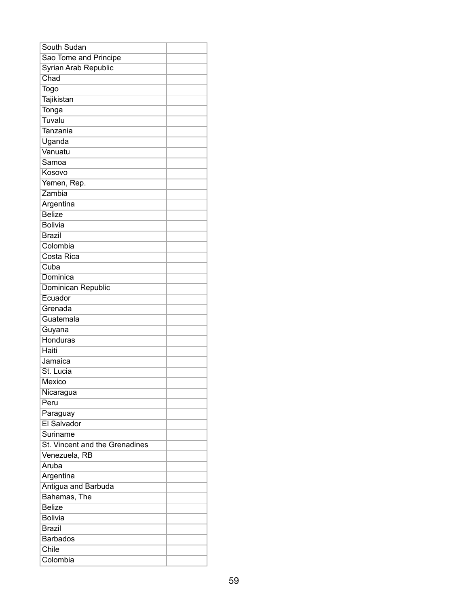| South Sudan                    |  |
|--------------------------------|--|
| Sao Tome and Principe          |  |
| Syrian Arab Republic           |  |
| Chad                           |  |
| Togo                           |  |
| Tajikistan                     |  |
| Tonga                          |  |
| Tuvalu                         |  |
| Tanzania                       |  |
| Uganda                         |  |
| Vanuatu                        |  |
| Samoa                          |  |
| Kosovo                         |  |
| Yemen, Rep.                    |  |
| Zambia                         |  |
| Argentina                      |  |
| <b>Belize</b>                  |  |
| <b>Bolivia</b>                 |  |
| <b>Brazil</b>                  |  |
| Colombia                       |  |
| Costa Rica                     |  |
| Cuba                           |  |
| Dominica                       |  |
| Dominican Republic             |  |
| Ecuador                        |  |
| Grenada                        |  |
| Guatemala                      |  |
| Guyana                         |  |
| <b>Honduras</b>                |  |
| Haiti                          |  |
| Jamaica                        |  |
| St. Lucia                      |  |
| Mexico                         |  |
| Nicaragua                      |  |
| Peru                           |  |
| Paraguay                       |  |
| El Salvador                    |  |
| Suriname                       |  |
| St. Vincent and the Grenadines |  |
| Venezuela, RB                  |  |
| Aruba                          |  |
| Argentina                      |  |
| Antigua and Barbuda            |  |
| Bahamas, The                   |  |
| <b>Belize</b>                  |  |
| <b>Bolivia</b>                 |  |
| <b>Brazil</b>                  |  |
| <b>Barbados</b>                |  |
| Chile                          |  |
| Colombia                       |  |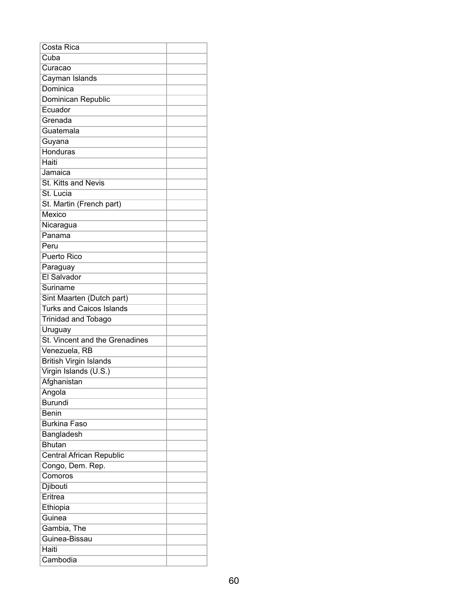| Costa Rica                      |  |
|---------------------------------|--|
| Cuba                            |  |
| Curacao                         |  |
| Cayman Islands                  |  |
| Dominica                        |  |
| Dominican Republic              |  |
| Ecuador                         |  |
| Grenada                         |  |
| Guatemala                       |  |
| Guyana                          |  |
| <b>Honduras</b>                 |  |
| Haiti                           |  |
| Jamaica                         |  |
| St. Kitts and Nevis             |  |
| St. Lucia                       |  |
| St. Martin (French part)        |  |
| Mexico                          |  |
| Nicaragua                       |  |
| Panama                          |  |
| Peru                            |  |
| <b>Puerto Rico</b>              |  |
| Paraguay                        |  |
| El Salvador                     |  |
| Suriname                        |  |
| Sint Maarten (Dutch part)       |  |
| <b>Turks and Caicos Islands</b> |  |
| <b>Trinidad and Tobago</b>      |  |
| Uruguay                         |  |
| St. Vincent and the Grenadines  |  |
| Venezuela, RB                   |  |
| <b>British Virgin Islands</b>   |  |
| Virgin Islands (U.S.)           |  |
| Afghanistan                     |  |
| Angola                          |  |
| <b>Burundi</b>                  |  |
| <b>Benin</b>                    |  |
| <b>Burkina Faso</b>             |  |
| Bangladesh                      |  |
| <b>Bhutan</b>                   |  |
| <b>Central African Republic</b> |  |
| Congo, Dem. Rep.                |  |
| Comoros                         |  |
| Djibouti                        |  |
| Eritrea                         |  |
| Ethiopia                        |  |
| Guinea                          |  |
| Gambia, The                     |  |
| Guinea-Bissau                   |  |
| Haiti                           |  |
| Cambodia                        |  |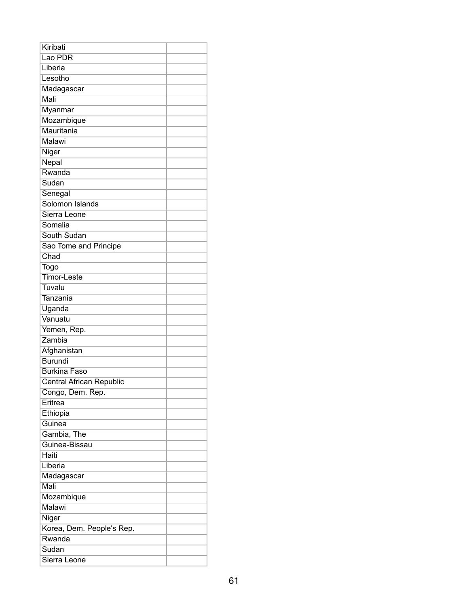| Kiribati                  |  |
|---------------------------|--|
| Lao PDR                   |  |
| Liberia                   |  |
| Lesotho                   |  |
| Madagascar                |  |
| Mali                      |  |
| <b>Myanmar</b>            |  |
| Mozambique                |  |
| Mauritania                |  |
| Malawi                    |  |
| Niger                     |  |
| Nepal                     |  |
| Rwanda                    |  |
| Sudan                     |  |
| Senegal                   |  |
| Solomon Islands           |  |
| Sierra Leone              |  |
| Somalia                   |  |
| South Sudan               |  |
| Sao Tome and Principe     |  |
| Chad                      |  |
| Togo                      |  |
| <b>Timor-Leste</b>        |  |
| Tuvalu                    |  |
| Tanzania                  |  |
| Uganda                    |  |
| Vanuatu                   |  |
| Yemen, Rep.               |  |
| Zambia                    |  |
| Afghanistan               |  |
| <b>Burundi</b>            |  |
| <b>Burkina Faso</b>       |  |
| Central African Republic  |  |
| Congo, Dem. Rep.          |  |
| Eritrea                   |  |
| Ethiopia                  |  |
| Guinea                    |  |
| Gambia, The               |  |
| Guinea-Bissau             |  |
| Haiti                     |  |
| Liberia                   |  |
| Madagascar                |  |
| Mali                      |  |
| Mozambique                |  |
| Malawi                    |  |
| Niger                     |  |
| Korea, Dem. People's Rep. |  |
| Rwanda                    |  |
| Sudan                     |  |
| Sierra Leone              |  |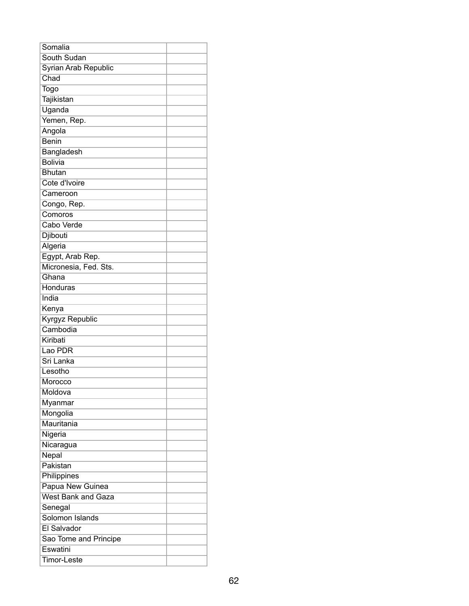| Somalia                   |  |
|---------------------------|--|
| South Sudan               |  |
| Syrian Arab Republic      |  |
| Chad                      |  |
| Togo                      |  |
| Tajikistan                |  |
| Uganda                    |  |
| Yemen, Rep.               |  |
| Angola                    |  |
| <b>Benin</b>              |  |
| Bangladesh                |  |
| <b>Bolivia</b>            |  |
| <b>Bhutan</b>             |  |
| Cote d'Ivoire             |  |
| Cameroon                  |  |
| Congo, Rep.               |  |
| Comoros                   |  |
| Cabo Verde                |  |
| Djibouti                  |  |
| Algeria                   |  |
| Egypt, Arab Rep.          |  |
| Micronesia, Fed. Sts.     |  |
| Ghana                     |  |
| Honduras                  |  |
| India                     |  |
| Kenya                     |  |
| Kyrgyz Republic           |  |
| Cambodia                  |  |
| Kiribati                  |  |
| Lao PDR                   |  |
| Sri Lanka                 |  |
| Lesotho                   |  |
| Morocco                   |  |
| Moldova                   |  |
| Myanmar                   |  |
| Mongolia                  |  |
| Mauritania                |  |
| Nigeria                   |  |
| Nicaragua                 |  |
| Nepal                     |  |
| Pakistan                  |  |
| Philippines               |  |
| Papua New Guinea          |  |
| <b>West Bank and Gaza</b> |  |
| Senegal                   |  |
| Solomon Islands           |  |
| El Salvador               |  |
| Sao Tome and Principe     |  |
| Eswatini                  |  |
| Timor-Leste               |  |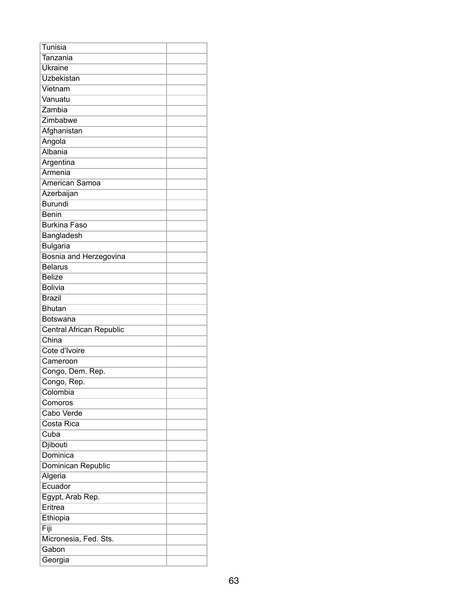| Tunisia                         |  |
|---------------------------------|--|
| Tanzania                        |  |
| <b>Ukraine</b>                  |  |
| Uzbekistan                      |  |
| Vietnam                         |  |
| Vanuatu                         |  |
| Zambia                          |  |
| Zimbabwe                        |  |
| Afghanistan                     |  |
| Angola                          |  |
| Albania                         |  |
| Argentina                       |  |
| Armenia                         |  |
| American Samoa                  |  |
| Azerbaijan                      |  |
| <b>Burundi</b>                  |  |
| <b>Benin</b>                    |  |
| <b>Burkina Faso</b>             |  |
| Bangladesh                      |  |
| <b>Bulgaria</b>                 |  |
| Bosnia and Herzegovina          |  |
| <b>Belarus</b>                  |  |
| <b>Belize</b>                   |  |
| <b>Bolivia</b>                  |  |
| <b>Brazil</b>                   |  |
| <b>Bhutan</b>                   |  |
| Botswana                        |  |
| <b>Central African Republic</b> |  |
| China                           |  |
| Cote d'Ivoire                   |  |
| Cameroon                        |  |
| Congo, Dem. Rep.                |  |
| Congo, Rep.                     |  |
| Colombia                        |  |
| Comoros                         |  |
| Cabo Verde                      |  |
| Costa Rica                      |  |
| Cuba                            |  |
| Djibouti                        |  |
| Dominica                        |  |
| Dominican Republic              |  |
| Algeria                         |  |
| Ecuador                         |  |
| Egypt, Arab Rep.                |  |
| Eritrea                         |  |
| Ethiopia                        |  |
| Fiji                            |  |
| Micronesia, Fed. Sts.           |  |
| Gabon                           |  |
| Georgia                         |  |
|                                 |  |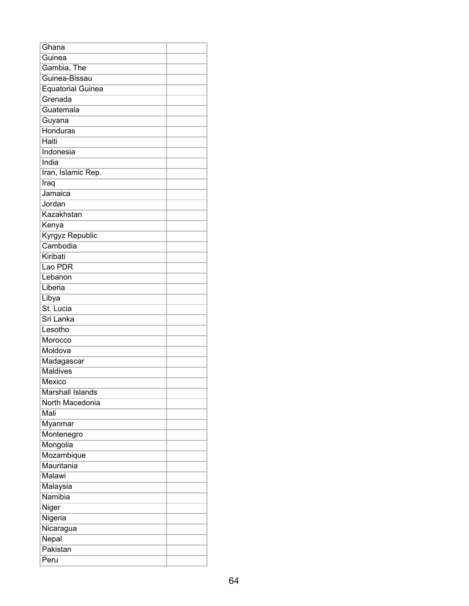| Ghana                    |  |
|--------------------------|--|
| Guinea                   |  |
| Gambia, The              |  |
| Guinea-Bissau            |  |
| <b>Equatorial Guinea</b> |  |
| Grenada                  |  |
| Guatemala                |  |
| Guyana                   |  |
| Honduras                 |  |
| Haiti                    |  |
| Indonesia                |  |
| India                    |  |
| Iran, Islamic Rep.       |  |
| Iraq                     |  |
| Jamaica                  |  |
| Jordan                   |  |
| Kazakhstan               |  |
| Kenya                    |  |
| Kyrgyz Republic          |  |
| Cambodia                 |  |
| Kiribati                 |  |
| Lao PDR                  |  |
| Lebanon                  |  |
| Liberia                  |  |
| Libya                    |  |
| St. Lucia                |  |
| Sri Lanka                |  |
| Lesotho                  |  |
| Morocco                  |  |
| Moldova                  |  |
| Madagascar               |  |
| <b>Maldives</b>          |  |
| <b>Mexico</b>            |  |
| <b>Marshall Islands</b>  |  |
| North Macedonia          |  |
| Mali                     |  |
| Myanmar                  |  |
| Montenegro               |  |
| Mongolia                 |  |
| Mozambique               |  |
| Mauritania               |  |
| Malawi                   |  |
| Malaysia                 |  |
| Namibia                  |  |
| Niger                    |  |
| Nigeria                  |  |
| Nicaragua                |  |
| Nepal                    |  |
| Pakistan                 |  |
| Peru                     |  |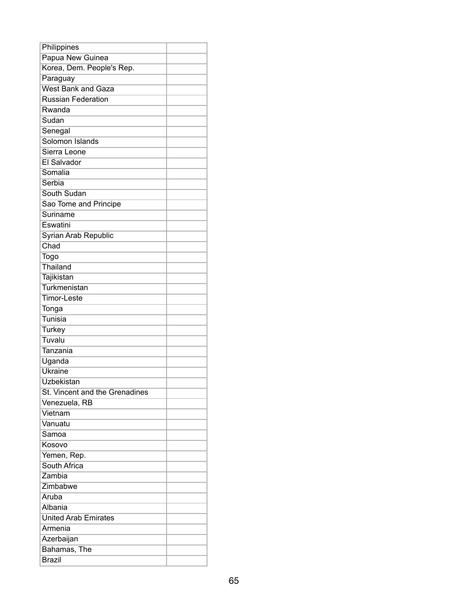| Philippines                    |  |
|--------------------------------|--|
| Papua New Guinea               |  |
| Korea, Dem. People's Rep.      |  |
| Paraguay                       |  |
| <b>West Bank and Gaza</b>      |  |
| <b>Russian Federation</b>      |  |
| Rwanda                         |  |
| Sudan                          |  |
| Senegal                        |  |
| Solomon Islands                |  |
| Sierra Leone                   |  |
| El Salvador                    |  |
| Somalia                        |  |
| Serbia                         |  |
| South Sudan                    |  |
| Sao Tome and Principe          |  |
| Suriname                       |  |
| Eswatini                       |  |
| Syrian Arab Republic           |  |
| Chad                           |  |
| Togo                           |  |
| Thailand                       |  |
| Tajikistan                     |  |
| Turkmenistan                   |  |
| Timor-Leste                    |  |
| Tonga                          |  |
| Tunisia                        |  |
| <b>Turkey</b>                  |  |
| Tuvalu                         |  |
| Tanzania                       |  |
| Uganda                         |  |
| <b>Ukraine</b>                 |  |
| Uzbekistan                     |  |
| St. Vincent and the Grenadines |  |
| Venezuela, RB                  |  |
| Vietnam                        |  |
| Vanuatu                        |  |
| Samoa                          |  |
| Kosovo                         |  |
| Yemen, Rep.                    |  |
| South Africa                   |  |
| Zambia                         |  |
| Zimbabwe                       |  |
| Aruba                          |  |
| Albania                        |  |
| <b>United Arab Emirates</b>    |  |
| Armenia                        |  |
| Azerbaijan                     |  |
| Bahamas, The                   |  |
| <b>Brazil</b>                  |  |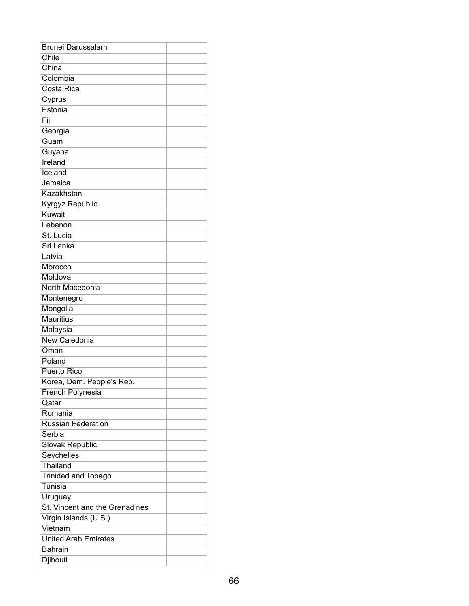| <b>Brunei Darussalam</b>       |  |
|--------------------------------|--|
| Chile                          |  |
| China                          |  |
| Colombia                       |  |
| Costa Rica                     |  |
| Cyprus                         |  |
| Estonia                        |  |
| Fiji                           |  |
| Georgia                        |  |
| Guam                           |  |
| Guyana                         |  |
| Ireland                        |  |
| Iceland                        |  |
| Jamaica                        |  |
| Kazakhstan                     |  |
| Kyrgyz Republic                |  |
| Kuwait                         |  |
| Lebanon                        |  |
| St. Lucia                      |  |
| Sri Lanka                      |  |
| Latvia                         |  |
| Morocco                        |  |
| Moldova                        |  |
| North Macedonia                |  |
| Montenegro                     |  |
| Mongolia                       |  |
| <b>Mauritius</b>               |  |
| Malaysia                       |  |
| <b>New Caledonia</b>           |  |
| Oman                           |  |
| Poland                         |  |
| <b>Puerto Rico</b>             |  |
| Korea, Dem. People's Rep.      |  |
| French Polynesia               |  |
| Qatar                          |  |
| Romania                        |  |
| <b>Russian Federation</b>      |  |
| Serbia                         |  |
| Slovak Republic                |  |
| Seychelles                     |  |
| Thailand                       |  |
| <b>Trinidad and Tobago</b>     |  |
| Tunisia                        |  |
| Uruguay                        |  |
| St. Vincent and the Grenadines |  |
| Virgin Islands (U.S.)          |  |
| Vietnam                        |  |
| <b>United Arab Emirates</b>    |  |
| <b>Bahrain</b>                 |  |
| Djibouti                       |  |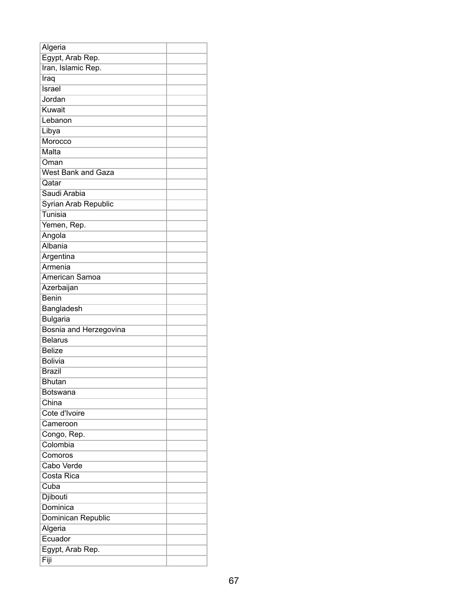| Algeria                   |  |
|---------------------------|--|
| Egypt, Arab Rep.          |  |
| Iran, Islamic Rep.        |  |
| Iraq                      |  |
| <b>Israel</b>             |  |
| Jordan                    |  |
| Kuwait                    |  |
| Lebanon                   |  |
| Libya                     |  |
| Morocco                   |  |
| Malta                     |  |
| Oman                      |  |
| <b>West Bank and Gaza</b> |  |
| Qatar                     |  |
| Saudi Arabia              |  |
| Syrian Arab Republic      |  |
| Tunisia                   |  |
| Yemen, Rep.               |  |
| Angola                    |  |
| Albania                   |  |
| Argentina                 |  |
| Armenia                   |  |
| American Samoa            |  |
| Azerbaijan                |  |
| <b>Benin</b>              |  |
| Bangladesh                |  |
| <b>Bulgaria</b>           |  |
| Bosnia and Herzegovina    |  |
| <b>Belarus</b>            |  |
| <b>Belize</b>             |  |
| <b>Bolivia</b>            |  |
| <b>Brazil</b>             |  |
| <b>Bhutan</b>             |  |
| <b>Botswana</b>           |  |
| China                     |  |
| Cote d'Ivoire             |  |
| Cameroon                  |  |
| Congo, Rep.               |  |
| Colombia                  |  |
| Comoros                   |  |
| Cabo Verde                |  |
| <b>Costa Rica</b>         |  |
| Cuba                      |  |
| Djibouti                  |  |
| Dominica                  |  |
| Dominican Republic        |  |
| Algeria                   |  |
| Ecuador                   |  |
| Egypt, Arab Rep.          |  |
| Fiji                      |  |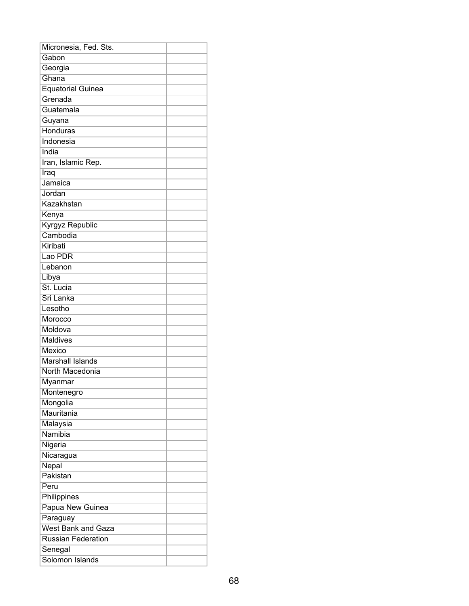| Micronesia, Fed. Sts.     |  |
|---------------------------|--|
| Gabon                     |  |
| Georgia                   |  |
| Ghana                     |  |
| <b>Equatorial Guinea</b>  |  |
| Grenada                   |  |
| Guatemala                 |  |
| Guyana                    |  |
| <b>Honduras</b>           |  |
| Indonesia                 |  |
| India                     |  |
| Iran, Islamic Rep.        |  |
| Iraq                      |  |
| Jamaica                   |  |
| Jordan                    |  |
| Kazakhstan                |  |
| Kenya                     |  |
| <b>Kyrgyz Republic</b>    |  |
| Cambodia                  |  |
| Kiribati                  |  |
| Lao PDR                   |  |
| Lebanon                   |  |
| Libya                     |  |
| St. Lucia                 |  |
| Sri Lanka                 |  |
| Lesotho                   |  |
| Morocco                   |  |
| Moldova                   |  |
| <b>Maldives</b>           |  |
| Mexico                    |  |
| <b>Marshall Islands</b>   |  |
| North Macedonia           |  |
| Myanmar                   |  |
| Montenegro                |  |
| Mongolia                  |  |
| Mauritania                |  |
| Malaysia                  |  |
| Namibia                   |  |
| Nigeria                   |  |
| Nicaragua                 |  |
| Nepal                     |  |
| Pakistan                  |  |
| Peru                      |  |
| Philippines               |  |
| Papua New Guinea          |  |
| Paraguay                  |  |
| <b>West Bank and Gaza</b> |  |
| <b>Russian Federation</b> |  |
| Senegal                   |  |
| Solomon Islands           |  |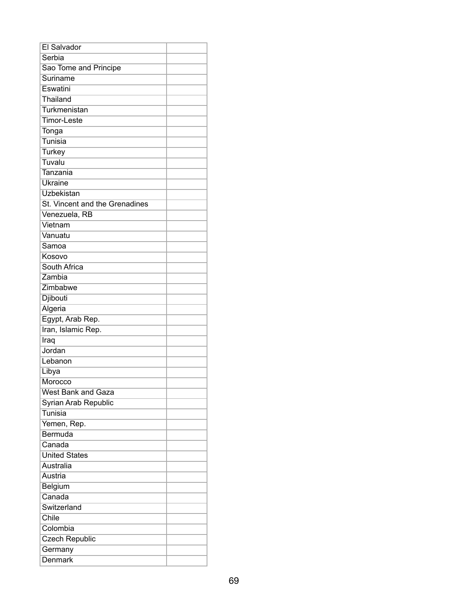| <b>El Salvador</b>             |  |
|--------------------------------|--|
| Serbia                         |  |
| Sao Tome and Principe          |  |
| Suriname                       |  |
| Eswatini                       |  |
| Thailand                       |  |
| Turkmenistan                   |  |
| <b>Timor-Leste</b>             |  |
| Tonga                          |  |
| Tunisia                        |  |
| <b>Turkey</b>                  |  |
| Tuvalu                         |  |
| Tanzania                       |  |
| <b>Ukraine</b>                 |  |
| Uzbekistan                     |  |
| St. Vincent and the Grenadines |  |
| Venezuela, RB                  |  |
| Vietnam                        |  |
| Vanuatu                        |  |
| Samoa                          |  |
| Kosovo                         |  |
| South Africa                   |  |
| Zambia                         |  |
| Zimbabwe                       |  |
| Djibouti                       |  |
| Algeria                        |  |
| Egypt, Arab Rep.               |  |
| Iran, Islamic Rep.             |  |
| Iraq                           |  |
| Jordan                         |  |
| Lebanon                        |  |
| Libya                          |  |
| Morocco                        |  |
| <b>West Bank and Gaza</b>      |  |
| Syrian Arab Republic           |  |
| Tunisia                        |  |
| Yemen, Rep.                    |  |
| Bermuda                        |  |
| Canada                         |  |
| <b>United States</b>           |  |
| Australia                      |  |
| Austria                        |  |
| Belgium                        |  |
| Canada                         |  |
| Switzerland                    |  |
| Chile                          |  |
| Colombia                       |  |
| <b>Czech Republic</b>          |  |
| Germany                        |  |
| <b>Denmark</b>                 |  |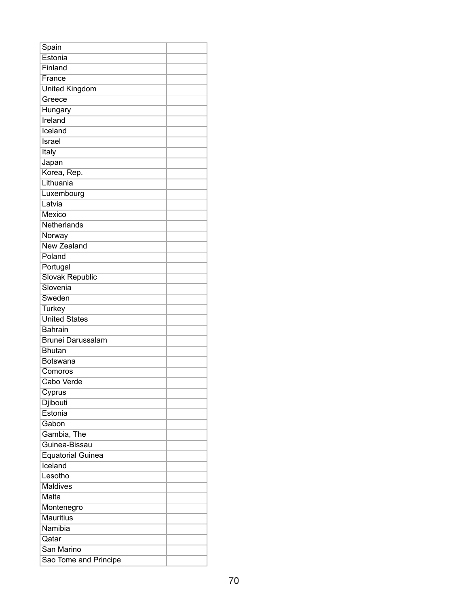| Spain                    |  |
|--------------------------|--|
| Estonia                  |  |
| Finland                  |  |
| France                   |  |
| <b>United Kingdom</b>    |  |
| Greece                   |  |
| Hungary                  |  |
| Ireland                  |  |
| Iceland                  |  |
| Israel                   |  |
| Italy                    |  |
| Japan                    |  |
| Korea, Rep.              |  |
| Lithuania                |  |
| Luxembourg               |  |
| Latvia                   |  |
| Mexico                   |  |
| Netherlands              |  |
| Norway                   |  |
| <b>New Zealand</b>       |  |
| Poland                   |  |
| Portugal                 |  |
| <b>Slovak Republic</b>   |  |
| Slovenia                 |  |
| Sweden                   |  |
| <b>Turkey</b>            |  |
| <b>United States</b>     |  |
| <b>Bahrain</b>           |  |
| <b>Brunei Darussalam</b> |  |
| <b>Bhutan</b>            |  |
| Botswana                 |  |
| Comoros                  |  |
| Cabo Verde               |  |
| Cyprus                   |  |
| Djibouti                 |  |
| Estonia                  |  |
| Gabon                    |  |
| Gambia, The              |  |
| Guinea-Bissau            |  |
| <b>Equatorial Guinea</b> |  |
| Iceland                  |  |
| Lesotho                  |  |
| <b>Maldives</b>          |  |
| Malta                    |  |
| Montenegro               |  |
| <b>Mauritius</b>         |  |
| Namibia                  |  |
| Qatar                    |  |
| San Marino               |  |
| Sao Tome and Principe    |  |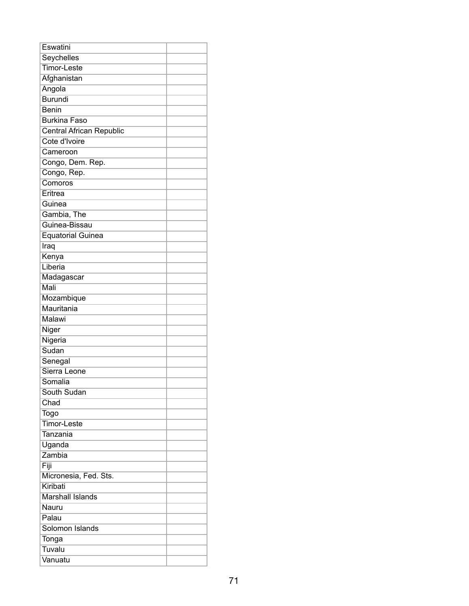| Eswatini                        |  |
|---------------------------------|--|
| Seychelles                      |  |
| <b>Timor-Leste</b>              |  |
| Afghanistan                     |  |
| Angola                          |  |
| <b>Burundi</b>                  |  |
| <b>Benin</b>                    |  |
| <b>Burkina Faso</b>             |  |
| <b>Central African Republic</b> |  |
| Cote d'Ivoire                   |  |
| Cameroon                        |  |
| Congo, Dem. Rep.                |  |
| Congo, Rep.                     |  |
| Comoros                         |  |
| Eritrea                         |  |
| Guinea                          |  |
| Gambia, The                     |  |
| Guinea-Bissau                   |  |
| Equatorial Guinea               |  |
| Iraq                            |  |
| Kenya                           |  |
| Liberia                         |  |
| Madagascar                      |  |
| Mali                            |  |
| Mozambique                      |  |
| Mauritania                      |  |
| <b>Malawi</b>                   |  |
| Niger                           |  |
| Nigeria                         |  |
| Sudan                           |  |
| Senegal                         |  |
| Sierra Leone                    |  |
| Somalia                         |  |
| South Sudan                     |  |
| Chad                            |  |
| <b>Togo</b>                     |  |
| <b>Timor-Leste</b>              |  |
| Tanzania                        |  |
| Uganda                          |  |
| Zambia                          |  |
| Fiji                            |  |
| Micronesia, Fed. Sts.           |  |
| Kiribati                        |  |
| <b>Marshall Islands</b>         |  |
| Nauru                           |  |
| Palau                           |  |
| Solomon Islands                 |  |
| Tonga                           |  |
| Tuvalu                          |  |
| Vanuatu                         |  |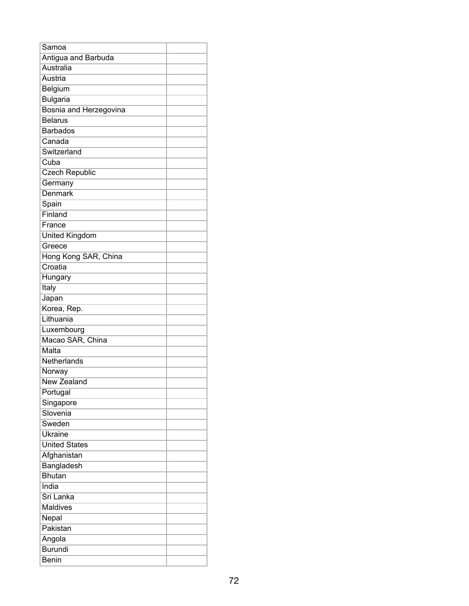| Samoa                  |  |
|------------------------|--|
| Antigua and Barbuda    |  |
| <b>Australia</b>       |  |
| Austria                |  |
| Belgium                |  |
| <b>Bulgaria</b>        |  |
| Bosnia and Herzegovina |  |
| <b>Belarus</b>         |  |
| <b>Barbados</b>        |  |
| Canada                 |  |
| Switzerland            |  |
| Cuba                   |  |
| <b>Czech Republic</b>  |  |
| Germany                |  |
| Denmark                |  |
| Spain                  |  |
| Finland                |  |
| France                 |  |
| United Kingdom         |  |
| Greece                 |  |
| Hong Kong SAR, China   |  |
| Croatia                |  |
| Hungary                |  |
| Italy                  |  |
| Japan                  |  |
| Korea, Rep.            |  |
| Lithuania              |  |
| Luxembourg             |  |
| Macao SAR, China       |  |
| Malta                  |  |
| Netherlands            |  |
| Norway                 |  |
| New Zealand            |  |
| Portugal               |  |
| Singapore              |  |
| Slovenia               |  |
| Sweden                 |  |
| <b>Ukraine</b>         |  |
| <b>United States</b>   |  |
| Afghanistan            |  |
| Bangladesh             |  |
| <b>Bhutan</b>          |  |
| India                  |  |
| Sri Lanka              |  |
| <b>Maldives</b>        |  |
| Nepal                  |  |
| Pakistan               |  |
| Angola                 |  |
| <b>Burundi</b>         |  |
| <b>Benin</b>           |  |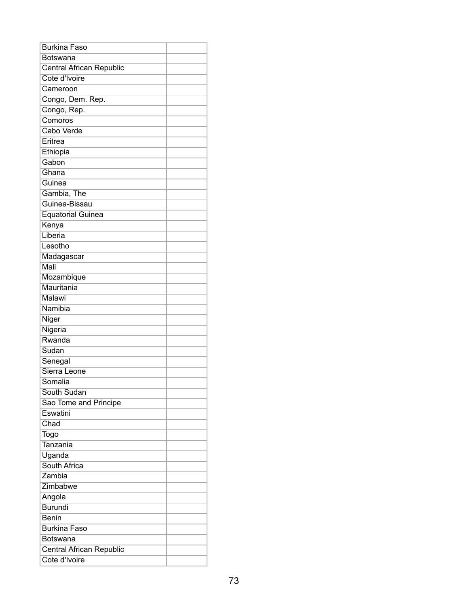| <b>Burkina Faso</b>             |  |
|---------------------------------|--|
| Botswana                        |  |
| <b>Central African Republic</b> |  |
| Cote d'Ivoire                   |  |
| Cameroon                        |  |
| Congo, Dem. Rep.                |  |
| Congo, Rep.                     |  |
| Comoros                         |  |
| Cabo Verde                      |  |
| Eritrea                         |  |
| Ethiopia                        |  |
| Gabon                           |  |
| Ghana                           |  |
| Guinea                          |  |
| Gambia, The                     |  |
| Guinea-Bissau                   |  |
| <b>Equatorial Guinea</b>        |  |
| Kenya                           |  |
| Liberia                         |  |
| Lesotho                         |  |
| Madagascar                      |  |
| Mali                            |  |
| Mozambique                      |  |
| Mauritania                      |  |
| Malawi                          |  |
| Namibia                         |  |
| Niger                           |  |
| Nigeria                         |  |
| Rwanda                          |  |
| Sudan                           |  |
| Senegal                         |  |
| Sierra Leone                    |  |
| Somalia                         |  |
| South Sudan                     |  |
| Sao Tome and Principe           |  |
| Eswatini                        |  |
| Chad                            |  |
| Togo                            |  |
| Tanzania                        |  |
| Uganda                          |  |
| South Africa                    |  |
| Zambia                          |  |
| Zimbabwe                        |  |
| Angola                          |  |
| <b>Burundi</b>                  |  |
| <b>Benin</b>                    |  |
| <b>Burkina Faso</b>             |  |
| <b>Botswana</b>                 |  |
| Central African Republic        |  |
| Cote d'Ivoire                   |  |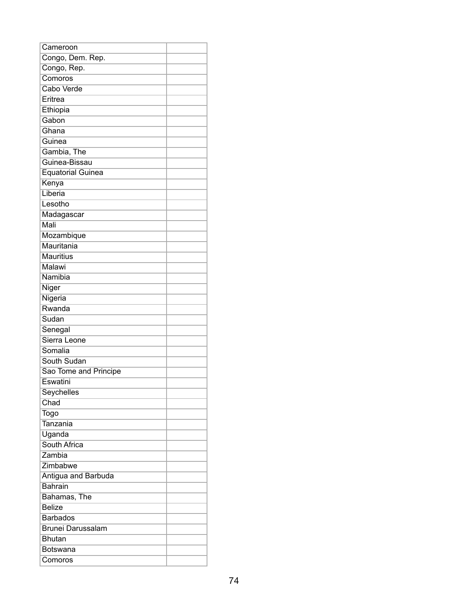| Cameroon                 |  |
|--------------------------|--|
| Congo, Dem. Rep.         |  |
| Congo, Rep.              |  |
| Comoros                  |  |
| Cabo Verde               |  |
| Eritrea                  |  |
| Ethiopia                 |  |
| Gabon                    |  |
| Ghana                    |  |
| Guinea                   |  |
| Gambia, The              |  |
| Guinea-Bissau            |  |
| <b>Equatorial Guinea</b> |  |
| Kenya                    |  |
| Liberia                  |  |
| Lesotho                  |  |
| Madagascar               |  |
| Mali                     |  |
| Mozambique               |  |
| Mauritania               |  |
| <b>Mauritius</b>         |  |
| Malawi                   |  |
| Namibia                  |  |
| Niger                    |  |
| Nigeria                  |  |
| Rwanda                   |  |
| Sudan                    |  |
| Senegal                  |  |
| Sierra Leone             |  |
| Somalia                  |  |
| South Sudan              |  |
| Sao Tome and Principe    |  |
| Eswatini                 |  |
| Seychelles               |  |
| Chad                     |  |
| <b>Togo</b>              |  |
| Tanzania                 |  |
| Uganda                   |  |
| South Africa             |  |
| Zambia                   |  |
| Zimbabwe                 |  |
| Antigua and Barbuda      |  |
| <b>Bahrain</b>           |  |
| Bahamas, The             |  |
| <b>Belize</b>            |  |
| <b>Barbados</b>          |  |
| <b>Brunei Darussalam</b> |  |
| <b>Bhutan</b>            |  |
| Botswana                 |  |
| Comoros                  |  |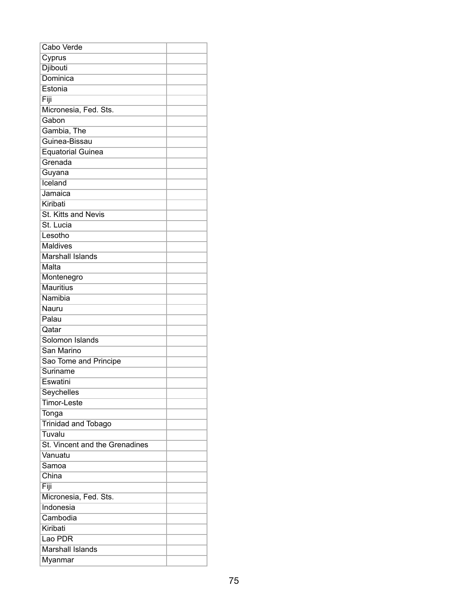| Cabo Verde                     |  |
|--------------------------------|--|
| Cyprus                         |  |
| Djibouti                       |  |
| Dominica                       |  |
| Estonia                        |  |
| Fiji                           |  |
| Micronesia, Fed. Sts.          |  |
| Gabon                          |  |
| Gambia, The                    |  |
| Guinea-Bissau                  |  |
| <b>Equatorial Guinea</b>       |  |
| Grenada                        |  |
| Guyana                         |  |
| Iceland                        |  |
| Jamaica                        |  |
| Kiribati                       |  |
| St. Kitts and Nevis            |  |
| St. Lucia                      |  |
| Lesotho                        |  |
| <b>Maldives</b>                |  |
| <b>Marshall Islands</b>        |  |
| Malta                          |  |
| Montenegro                     |  |
| <b>Mauritius</b>               |  |
| Namibia                        |  |
| Nauru                          |  |
| Palau                          |  |
| Qatar                          |  |
| Solomon Islands                |  |
| San Marino                     |  |
| Sao Tome and Principe          |  |
| Suriname                       |  |
| Eswatini                       |  |
| Seychelles                     |  |
| <b>Timor-Leste</b>             |  |
| Tonga                          |  |
| <b>Trinidad and Tobago</b>     |  |
| Tuvalu                         |  |
| St. Vincent and the Grenadines |  |
| Vanuatu                        |  |
| Samoa                          |  |
| China                          |  |
| Fiji                           |  |
| Micronesia, Fed. Sts.          |  |
| Indonesia                      |  |
| Cambodia                       |  |
| Kiribati                       |  |
| Lao PDR                        |  |
| <b>Marshall Islands</b>        |  |
| Myanmar                        |  |
|                                |  |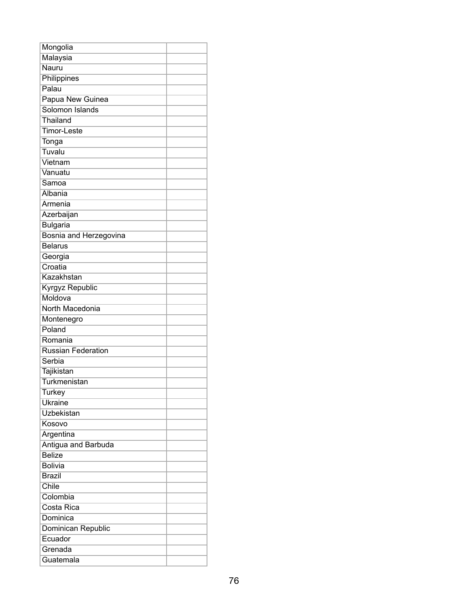| Mongolia                  |  |
|---------------------------|--|
| Malaysia                  |  |
| Nauru                     |  |
| Philippines               |  |
| Palau                     |  |
| Papua New Guinea          |  |
| Solomon Islands           |  |
| Thailand                  |  |
| <b>Timor-Leste</b>        |  |
| Tonga                     |  |
| Tuvalu                    |  |
| Vietnam                   |  |
| Vanuatu                   |  |
| Samoa                     |  |
| Albania                   |  |
| Armenia                   |  |
| Azerbaijan                |  |
| <b>Bulgaria</b>           |  |
| Bosnia and Herzegovina    |  |
| <b>Belarus</b>            |  |
| Georgia                   |  |
| Croatia                   |  |
| Kazakhstan                |  |
| Kyrgyz Republic           |  |
| Moldova                   |  |
| North Macedonia           |  |
| Montenegro                |  |
| Poland                    |  |
| Romania                   |  |
| <b>Russian Federation</b> |  |
| Serbia                    |  |
| Tajikistan                |  |
| <b>Turkmenistan</b>       |  |
| <b>Turkey</b>             |  |
| <b>Ukraine</b>            |  |
| Uzbekistan                |  |
| Kosovo                    |  |
| Argentina                 |  |
| Antigua and Barbuda       |  |
| <b>Belize</b>             |  |
| <b>Bolivia</b>            |  |
| <b>Brazil</b>             |  |
| Chile                     |  |
| Colombia                  |  |
| Costa Rica                |  |
| Dominica                  |  |
| Dominican Republic        |  |
| Ecuador                   |  |
| Grenada                   |  |
| Guatemala                 |  |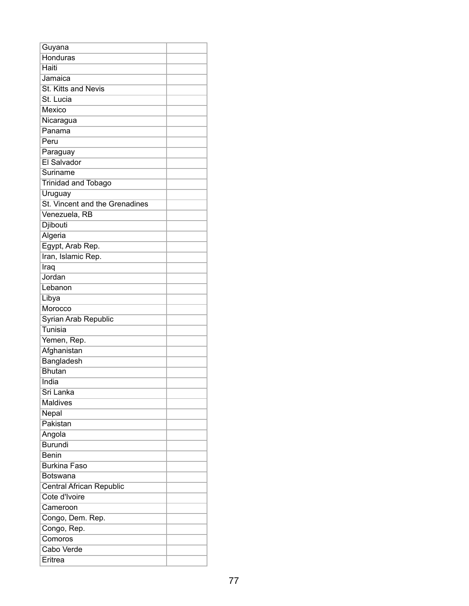| Guyana                         |  |
|--------------------------------|--|
| <b>Honduras</b>                |  |
| Haiti                          |  |
| Jamaica                        |  |
| St. Kitts and Nevis            |  |
| St. Lucia                      |  |
| Mexico                         |  |
| Nicaragua                      |  |
| Panama                         |  |
| Peru                           |  |
| Paraguay                       |  |
| El Salvador                    |  |
| Suriname                       |  |
| <b>Trinidad and Tobago</b>     |  |
| Uruguay                        |  |
| St. Vincent and the Grenadines |  |
| Venezuela, RB                  |  |
| Djibouti                       |  |
| Algeria                        |  |
| Egypt, Arab Rep.               |  |
| Iran, Islamic Rep.             |  |
| Iraq                           |  |
| Jordan                         |  |
| Lebanon                        |  |
| Libya                          |  |
| Morocco                        |  |
| Syrian Arab Republic           |  |
| Tunisia                        |  |
| Yemen, Rep.                    |  |
| Afghanistan                    |  |
| Bangladesh                     |  |
| <b>Bhutan</b>                  |  |
| India                          |  |
| Sri Lanka                      |  |
| <b>Maldives</b>                |  |
| Nepal                          |  |
| Pakistan                       |  |
| Angola                         |  |
| <b>Burundi</b>                 |  |
| <b>Benin</b>                   |  |
| <b>Burkina Faso</b>            |  |
| <b>Botswana</b>                |  |
| Central African Republic       |  |
| Cote d'Ivoire                  |  |
| Cameroon                       |  |
| Congo, Dem. Rep.               |  |
| Congo, Rep.                    |  |
| Comoros                        |  |
| Cabo Verde                     |  |
| Eritrea                        |  |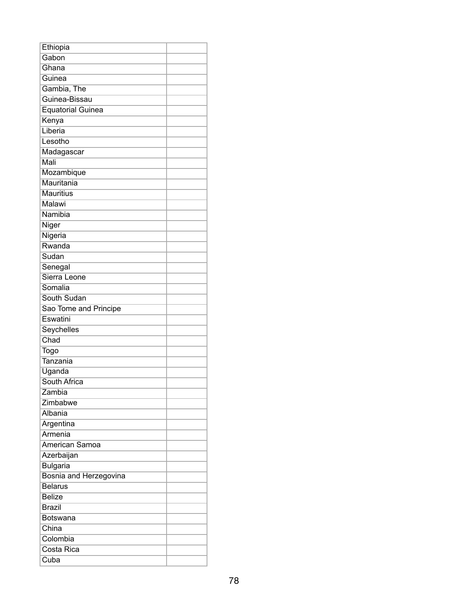| Ethiopia                 |  |
|--------------------------|--|
| Gabon                    |  |
| Ghana                    |  |
| Guinea                   |  |
| Gambia, The              |  |
| Guinea-Bissau            |  |
| <b>Equatorial Guinea</b> |  |
| Kenya                    |  |
| Liberia                  |  |
| Lesotho                  |  |
| Madagascar               |  |
| Mali                     |  |
| Mozambique               |  |
| Mauritania               |  |
| <b>Mauritius</b>         |  |
| <b>Malawi</b>            |  |
| Namibia                  |  |
| <b>Niger</b>             |  |
| Nigeria                  |  |
| Rwanda                   |  |
| Sudan                    |  |
| Senegal                  |  |
| Sierra Leone             |  |
| Somalia                  |  |
| South Sudan              |  |
| Sao Tome and Principe    |  |
| Eswatini                 |  |
| Seychelles               |  |
| Chad                     |  |
| Togo                     |  |
| Tanzania                 |  |
| Uganda                   |  |
| South Africa             |  |
| Zambia                   |  |
| Zimbabwe                 |  |
| Albania                  |  |
| Argentina                |  |
| Armenia                  |  |
| American Samoa           |  |
| Azerbaijan               |  |
| <b>Bulgaria</b>          |  |
| Bosnia and Herzegovina   |  |
| <b>Belarus</b>           |  |
| <b>Belize</b>            |  |
| <b>Brazil</b>            |  |
| Botswana                 |  |
| China                    |  |
| Colombia                 |  |
| Costa Rica               |  |
| Cuba                     |  |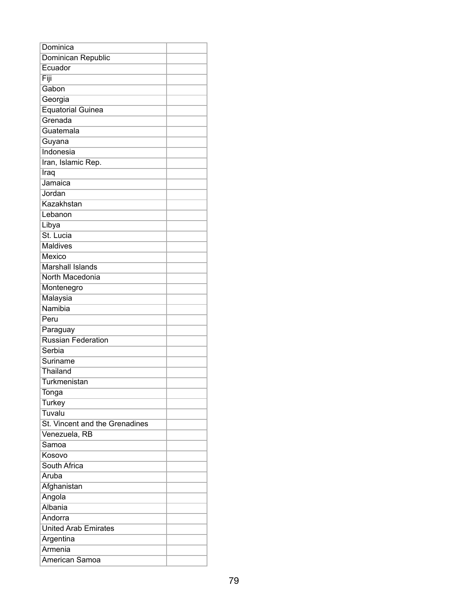| Dominica                              |  |
|---------------------------------------|--|
| Dominican Republic                    |  |
| Ecuador                               |  |
| Fiji                                  |  |
| Gabon                                 |  |
| Georgia                               |  |
| <b>Equatorial Guinea</b>              |  |
| Grenada                               |  |
| Guatemala                             |  |
| Guyana                                |  |
| Indonesia                             |  |
| Iran, Islamic Rep.                    |  |
| Iraq                                  |  |
| Jamaica                               |  |
| Jordan                                |  |
| Kazakhstan                            |  |
| Lebanon                               |  |
| Libya                                 |  |
| St. Lucia                             |  |
| <b>Maldives</b>                       |  |
| Mexico                                |  |
| <b>Marshall Islands</b>               |  |
| North Macedonia                       |  |
| Montenegro                            |  |
| Malaysia                              |  |
| Namibia                               |  |
| Peru                                  |  |
|                                       |  |
| Paraguay<br><b>Russian Federation</b> |  |
| Serbia                                |  |
| Suriname                              |  |
|                                       |  |
| Thailand                              |  |
| <b>Turkmenistan</b>                   |  |
| Tonga                                 |  |
| <b>Turkey</b>                         |  |
| Tuvalu                                |  |
| St. Vincent and the Grenadines        |  |
| Venezuela, RB                         |  |
| Samoa                                 |  |
| Kosovo                                |  |
| South Africa                          |  |
| Aruba                                 |  |
| Afghanistan                           |  |
| Angola                                |  |
| Albania                               |  |
| Andorra                               |  |
| <b>United Arab Emirates</b>           |  |
| Argentina                             |  |
| Armenia                               |  |
| American Samoa                        |  |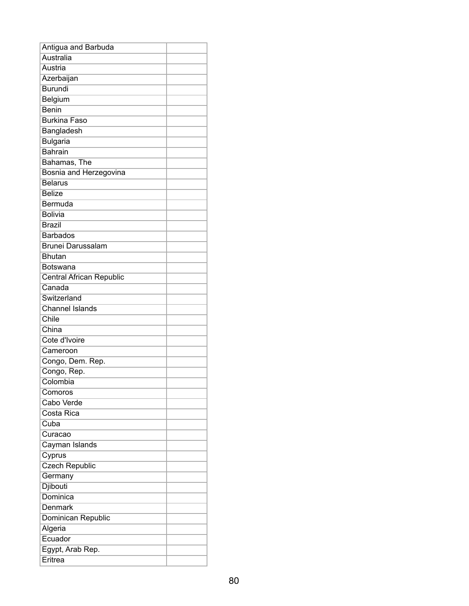| Antigua and Barbuda      |  |
|--------------------------|--|
| Australia                |  |
| Austria                  |  |
| Azerbaijan               |  |
| <b>Burundi</b>           |  |
| Belgium                  |  |
| <b>Benin</b>             |  |
| <b>Burkina Faso</b>      |  |
| Bangladesh               |  |
| <b>Bulgaria</b>          |  |
| Bahrain                  |  |
| Bahamas, The             |  |
| Bosnia and Herzegovina   |  |
| <b>Belarus</b>           |  |
| <b>Belize</b>            |  |
| Bermuda                  |  |
| <b>Bolivia</b>           |  |
| <b>Brazil</b>            |  |
| <b>Barbados</b>          |  |
| <b>Brunei Darussalam</b> |  |
| <b>Bhutan</b>            |  |
| <b>Botswana</b>          |  |
| Central African Republic |  |
| Canada                   |  |
| Switzerland              |  |
| <b>Channel Islands</b>   |  |
| Chile                    |  |
| China                    |  |
| Cote d'Ivoire            |  |
| Cameroon                 |  |
| Congo, Dem. Rep.         |  |
| Congo, Rep.              |  |
| Colombia                 |  |
| Comoros                  |  |
| Cabo Verde               |  |
| Costa Rica               |  |
| Cuba                     |  |
| Curacao                  |  |
| Cayman Islands           |  |
| Cyprus                   |  |
| <b>Czech Republic</b>    |  |
| Germany                  |  |
| Djibouti                 |  |
| Dominica                 |  |
| Denmark                  |  |
| Dominican Republic       |  |
| Algeria                  |  |
| Ecuador                  |  |
| Egypt, Arab Rep.         |  |
| Eritrea                  |  |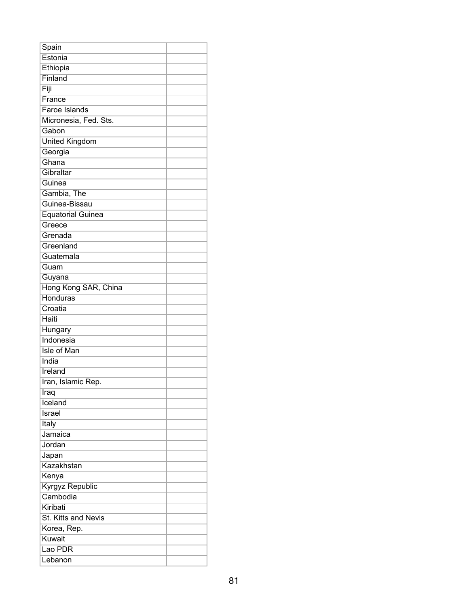| Spain                    |  |
|--------------------------|--|
| Estonia                  |  |
| Ethiopia                 |  |
| Finland                  |  |
| Fiji                     |  |
| France                   |  |
| <b>Faroe Islands</b>     |  |
| Micronesia, Fed. Sts.    |  |
| Gabon                    |  |
| <b>United Kingdom</b>    |  |
| Georgia                  |  |
| Ghana                    |  |
| Gibraltar                |  |
| Guinea                   |  |
| Gambia, The              |  |
| Guinea-Bissau            |  |
| <b>Equatorial Guinea</b> |  |
| Greece                   |  |
| Grenada                  |  |
| Greenland                |  |
| Guatemala                |  |
| Guam                     |  |
| Guyana                   |  |
| Hong Kong SAR, China     |  |
| Honduras                 |  |
| Croatia                  |  |
| Haiti                    |  |
| Hungary                  |  |
| Indonesia                |  |
| <b>Isle of Man</b>       |  |
| India                    |  |
| Ireland                  |  |
| Iran, Islamic Rep.       |  |
| Iraq                     |  |
| Iceland                  |  |
| Israel                   |  |
| Italy                    |  |
| Jamaica                  |  |
| Jordan                   |  |
| Japan                    |  |
| Kazakhstan               |  |
| Kenya                    |  |
| Kyrgyz Republic          |  |
| Cambodia                 |  |
| Kiribati                 |  |
| St. Kitts and Nevis      |  |
| Korea, Rep.              |  |
| Kuwait                   |  |
| Lao PDR                  |  |
| Lebanon                  |  |
|                          |  |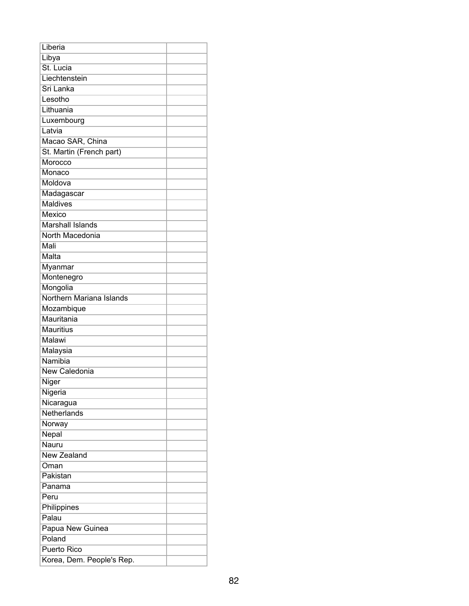| Liberia                   |  |
|---------------------------|--|
| Libya                     |  |
| St. Lucia                 |  |
| Liechtenstein             |  |
| Sri Lanka                 |  |
| Lesotho                   |  |
| Lithuania                 |  |
| Luxembourg                |  |
| Latvia                    |  |
| Macao SAR, China          |  |
| St. Martin (French part)  |  |
| Morocco                   |  |
| Monaco                    |  |
| Moldova                   |  |
| Madagascar                |  |
| <b>Maldives</b>           |  |
| Mexico                    |  |
| <b>Marshall Islands</b>   |  |
| North Macedonia           |  |
| Mali                      |  |
| Malta                     |  |
| Myanmar                   |  |
| Montenegro                |  |
| Mongolia                  |  |
| Northern Mariana Islands  |  |
| Mozambique                |  |
| Mauritania                |  |
| <b>Mauritius</b>          |  |
| Malawi                    |  |
| Malaysia                  |  |
| Namibia                   |  |
| New Caledonia             |  |
| Niger                     |  |
| Nigeria                   |  |
| Nicaragua                 |  |
| Netherlands               |  |
| Norway                    |  |
| Nepal                     |  |
| Nauru                     |  |
| New Zealand               |  |
| Oman                      |  |
| Pakistan                  |  |
| Panama                    |  |
| Peru                      |  |
| Philippines               |  |
| Palau                     |  |
| Papua New Guinea          |  |
| Poland                    |  |
| Puerto Rico               |  |
| Korea, Dem. People's Rep. |  |
|                           |  |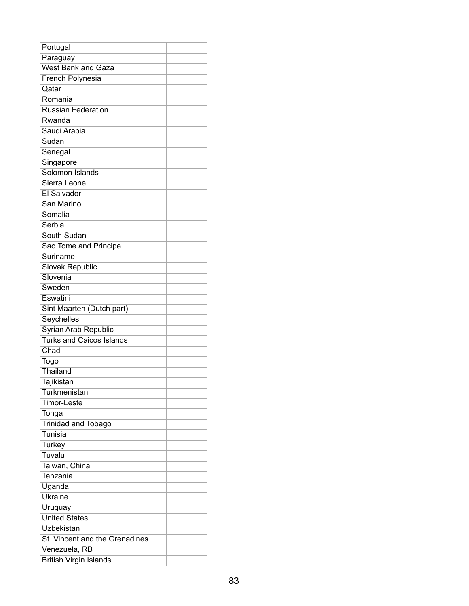| Portugal                        |  |
|---------------------------------|--|
| Paraguay                        |  |
| <b>West Bank and Gaza</b>       |  |
| French Polynesia                |  |
| Qatar                           |  |
| Romania                         |  |
| <b>Russian Federation</b>       |  |
| Rwanda                          |  |
| Saudi Arabia                    |  |
| Sudan                           |  |
| Senegal                         |  |
| Singapore                       |  |
| Solomon Islands                 |  |
| Sierra Leone                    |  |
| El Salvador                     |  |
| San Marino                      |  |
| Somalia                         |  |
| Serbia                          |  |
| South Sudan                     |  |
| Sao Tome and Principe           |  |
| Suriname                        |  |
| Slovak Republic                 |  |
| Slovenia                        |  |
| Sweden                          |  |
| Eswatini                        |  |
| Sint Maarten (Dutch part)       |  |
| Seychelles                      |  |
| Syrian Arab Republic            |  |
| <b>Turks and Caicos Islands</b> |  |
| Chad                            |  |
| Togo                            |  |
| Thailand                        |  |
| <b>Tajikistan</b>               |  |
| Turkmenistan                    |  |
| <b>Timor-Leste</b>              |  |
| Tonga                           |  |
| <b>Trinidad and Tobago</b>      |  |
| Tunisia                         |  |
| Turkey                          |  |
| Tuvalu                          |  |
| Taiwan, China                   |  |
| Tanzania                        |  |
| Uganda                          |  |
| <b>Ukraine</b>                  |  |
| Uruguay                         |  |
| <b>United States</b>            |  |
| Uzbekistan                      |  |
| St. Vincent and the Grenadines  |  |
| Venezuela, RB                   |  |
| <b>British Virgin Islands</b>   |  |